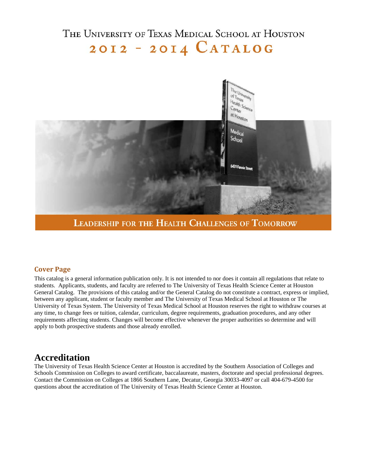# THE UNIVERSITY OF TEXAS MEDICAL SCHOOL AT HOUSTON 2012 - 2014  $CATALOG$



**LEADERSHIP FOR THE HEALTH CHALLENGES OF TOMORROW** 

## **Cover Page**

This catalog is a general information publication only. It is not intended to nor does it contain all regulations that relate to students. Applicants, students, and faculty are referred to The University of Texas Health Science Center at Houston General Catalog. The provisions of this catalog and/or the General Catalog do not constitute a contract, express or implied, between any applicant, student or faculty member and The University of Texas Medical School at Houston or The University of Texas System. The University of Texas Medical School at Houston reserves the right to withdraw courses at any time, to change fees or tuition, calendar, curriculum, degree requirements, graduation procedures, and any other requirements affecting students. Changes will become effective whenever the proper authorities so determine and will apply to both prospective students and those already enrolled.

# **Accreditation**

The University of Texas Health Science Center at Houston is accredited by the Southern Association of Colleges and Schools Commission on Colleges to award certificate, baccalaureate, masters, doctorate and special professional degrees. Contact the Commission on Colleges at 1866 Southern Lane, Decatur, Georgia 30033-4097 or call 404-679-4500 for questions about the accreditation of The University of Texas Health Science Center at Houston.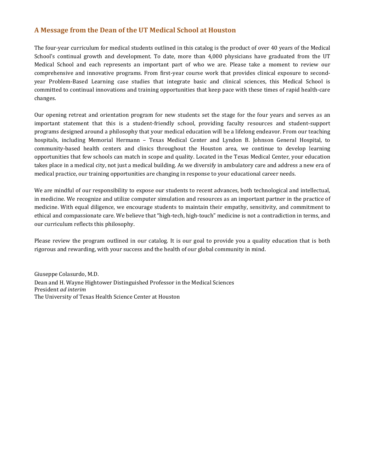### **A Message from the Dean of the UT Medical School at Houston**

The four-year curriculum for medical students outlined in this catalog is the product of over 40 years of the Medical School's continual growth and development. To date, more than 4,000 physicians have graduated from the UT Medical School and each represents an important part of who we are. Please take a moment to review our comprehensive and innovative programs. From first-year course work that provides clinical exposure to secondyear Problem-Based Learning case studies that integrate basic and clinical sciences, this Medical School is committed to continual innovations and training opportunities that keep pace with these times of rapid health-care changes.

Our opening retreat and orientation program for new students set the stage for the four years and serves as an important statement that this is a student-friendly school, providing faculty resources and student-support programs designed around a philosophy that your medical education will be a lifelong endeavor. From our teaching hospitals, including Memorial Hermann – Texas Medical Center and Lyndon B. Johnson General Hospital, to community-based health centers and clinics throughout the Houston area, we continue to develop learning opportunities that few schools can match in scope and quality. Located in the Texas Medical Center, your education takes place in a medical city, not just a medical building. As we diversify in ambulatory care and address a new era of medical practice, our training opportunities are changing in response to your educational career needs.

We are mindful of our responsibility to expose our students to recent advances, both technological and intellectual, in medicine. We recognize and utilize computer simulation and resources as an important partner in the practice of medicine. With equal diligence, we encourage students to maintain their empathy, sensitivity, and commitment to ethical and compassionate care. We believe that "high-tech, high-touch" medicine is not a contradiction in terms, and our curriculum reflects this philosophy.

Please review the program outlined in our catalog. It is our goal to provide you a quality education that is both rigorous and rewarding, with your success and the health of our global community in mind.

Giuseppe Colasurdo, M.D. Dean and H. Wayne Hightower Distinguished Professor in the Medical Sciences President *ad interim* The University of Texas Health Science Center at Houston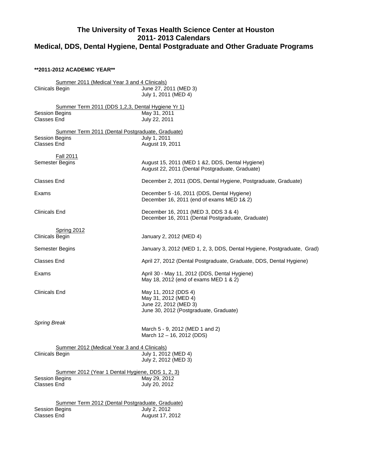# **The University of Texas Health Science Center at Houston 2011- 2013 Calendars Medical, DDS, Dental Hygiene, Dental Postgraduate and Other Graduate Programs**

#### **\*\*2011-2012 ACADEMIC YEAR\*\***

| Summer 2011 (Medical Year 3 and 4 Clinicals)<br><b>Clinicals Begin</b>                           | June 27, 2011 (MED 3)<br>July 1, 2011 (MED 4)                                                                   |
|--------------------------------------------------------------------------------------------------|-----------------------------------------------------------------------------------------------------------------|
| Summer Term 2011 (DDS 1,2,3, Dental Hygiene Yr 1)<br><b>Session Begins</b><br><b>Classes End</b> | May 31, 2011<br>July 22, 2011                                                                                   |
| Summer Term 2011 (Dental Postgraduate, Graduate)<br><b>Session Begins</b><br><b>Classes End</b>  | July 1, 2011<br>August 19, 2011                                                                                 |
| <b>Fall 2011</b><br>Semester Begins                                                              | August 15, 2011 (MED 1 & 2, DDS, Dental Hygiene)<br>August 22, 2011 (Dental Postgraduate, Graduate)             |
| <b>Classes End</b>                                                                               | December 2, 2011 (DDS, Dental Hygiene, Postgraduate, Graduate)                                                  |
| Exams                                                                                            | December 5 -16, 2011 (DDS, Dental Hygiene)<br>December 16, 2011 (end of exams MED 1& 2)                         |
| <b>Clinicals End</b>                                                                             | December 16, 2011 (MED 3, DDS 3 & 4)<br>December 16, 2011 (Dental Postgraduate, Graduate)                       |
| <b>Spring 2012</b><br><b>Clinicals Begin</b>                                                     | January 2, 2012 (MED 4)                                                                                         |
| Semester Begins                                                                                  | January 3, 2012 (MED 1, 2, 3, DDS, Dental Hygiene, Postgraduate, Grad)                                          |
| <b>Classes End</b>                                                                               | April 27, 2012 (Dental Postgraduate, Graduate, DDS, Dental Hygiene)                                             |
| Exams                                                                                            | April 30 - May 11, 2012 (DDS, Dental Hygiene)<br>May 18, 2012 (end of exams MED 1 & 2)                          |
| <b>Clinicals End</b>                                                                             | May 11, 2012 (DDS 4)<br>May 31, 2012 (MED 4)<br>June 22, 2012 (MED 3)<br>June 30, 2012 (Postgraduate, Graduate) |
| <b>Spring Break</b>                                                                              | March 5 - 9, 2012 (MED 1 and 2)<br>March 12 - 16, 2012 (DDS)                                                    |
| Summer 2012 (Medical Year 3 and 4 Clinicals)<br>Clinicals Begin                                  | July 1, 2012 (MED 4)<br>July 2, 2012 (MED 3)                                                                    |
| Summer 2012 (Year 1 Dental Hygiene, DDS 1, 2, 3)<br><b>Session Begins</b><br><b>Classes End</b>  | May 29, 2012<br>July 20, 2012                                                                                   |
| Summer Term 2012 (Dental Postgraduate, Graduate)<br><b>Session Begins</b>                        | July 2, 2012                                                                                                    |
| <b>Classes End</b>                                                                               | August 17, 2012                                                                                                 |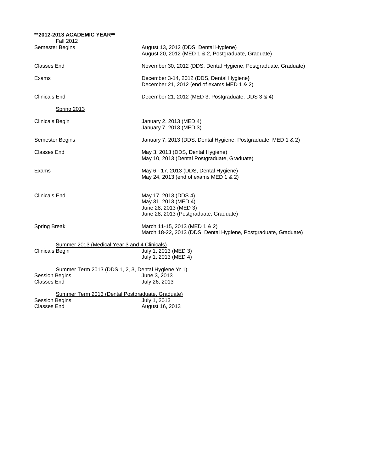| **2012-2013 ACADEMIC YEAR**<br><b>Fall 2012</b>                                                    |                                                                                                                 |
|----------------------------------------------------------------------------------------------------|-----------------------------------------------------------------------------------------------------------------|
| Semester Begins                                                                                    | August 13, 2012 (DDS, Dental Hygiene)<br>August 20, 2012 (MED 1 & 2, Postgraduate, Graduate)                    |
| Classes End                                                                                        | November 30, 2012 (DDS, Dental Hygiene, Postgraduate, Graduate)                                                 |
| Exams                                                                                              | December 3-14, 2012 (DDS, Dental Hygiene)<br>December 21, 2012 (end of exams MED 1 & 2)                         |
| <b>Clinicals End</b>                                                                               | December 21, 2012 (MED 3, Postgraduate, DDS 3 & 4)                                                              |
| <b>Spring 2013</b>                                                                                 |                                                                                                                 |
| <b>Clinicals Begin</b>                                                                             | January 2, 2013 (MED 4)<br>January 7, 2013 (MED 3)                                                              |
| Semester Begins                                                                                    | January 7, 2013 (DDS, Dental Hygiene, Postgraduate, MED 1 & 2)                                                  |
| Classes End                                                                                        | May 3, 2013 (DDS, Dental Hygiene)<br>May 10, 2013 (Dental Postgraduate, Graduate)                               |
| Exams                                                                                              | May 6 - 17, 2013 (DDS, Dental Hygiene)<br>May 24, 2013 (end of exams MED 1 & 2)                                 |
| Clinicals End                                                                                      | May 17, 2013 (DDS 4)<br>May 31, 2013 (MED 4)<br>June 28, 2013 (MED 3)<br>June 28, 2013 (Postgraduate, Graduate) |
| <b>Spring Break</b>                                                                                | March 11-15, 2013 (MED 1 & 2)<br>March 18-22, 2013 (DDS, Dental Hygiene, Postgraduate, Graduate)                |
| Summer 2013 (Medical Year 3 and 4 Clinicals)<br><b>Clinicals Begin</b>                             | July 1, 2013 (MED 3)<br>July 1, 2013 (MED 4)                                                                    |
| Summer Term 2013 (DDS 1, 2, 3, Dental Hygiene Yr 1)<br><b>Session Begins</b><br><b>Classes End</b> | June 3, 2013<br>July 26, 2013                                                                                   |
| Summer Term 2013 (Dental Postgraduate, Graduate)<br><b>Session Begins</b><br><b>Classes End</b>    | July 1, 2013<br>August 16, 2013                                                                                 |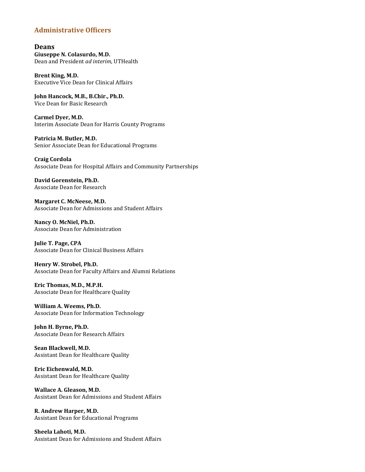## **Administrative Officers**

#### **Deans Giuseppe N. Colasurdo, M.D.** Dean and President *ad interim*, UTHealth

**Brent King, M.D.** Executive Vice Dean for Clinical Affairs

**John Hancock, M.B., B.Chir., Ph.D.** Vice Dean for Basic Research

**Carmel Dyer, M.D.** Interim Associate Dean for Harris County Programs

**Patricia M. Butler, M.D.** Senior Associate Dean for Educational Programs

**Craig Cordola** Associate Dean for Hospital Affairs and Community Partnerships

#### **David Gorenstein, Ph.D.** Associate Dean for Research

**Margaret C. McNeese, M.D.** Associate Dean for Admissions and Student Affairs

**Nancy O. McNiel, Ph.D.** Associate Dean for Administration

**Julie T. Page, CPA** Associate Dean for Clinical Business Affairs

**Henry W. Strobel, Ph.D.** Associate Dean for Faculty Affairs and Alumni Relations

**Eric Thomas, M.D., M.P.H.** Associate Dean for Healthcare Quality

**William A. Weems, Ph.D.** Associate Dean for Information Technology

**John H. Byrne, Ph.D.** Associate Dean for Research Affairs

**Sean Blackwell, M.D.** Assistant Dean for Healthcare Quality

**Eric Eichenwald, M.D.** Assistant Dean for Healthcare Quality

**Wallace A. Gleason, M.D.** Assistant Dean for Admissions and Student Affairs

**R. Andrew Harper, M.D.** Assistant Dean for Educational Programs

**Sheela Lahoti, M.D.** Assistant Dean for Admissions and Student Affairs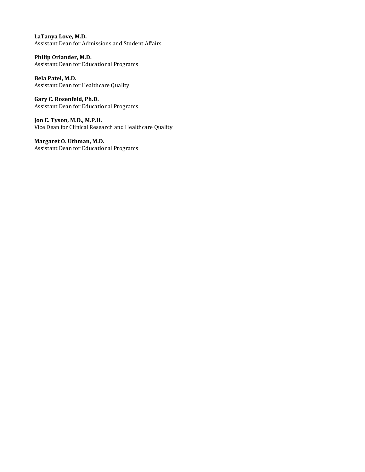**LaTanya Love, M.D.** Assistant Dean for Admissions and Student Affairs

**Philip Orlander, M.D.** Assistant Dean for Educational Programs

**Bela Patel, M.D.** Assistant Dean for Healthcare Quality

**Gary C. Rosenfeld, Ph.D.** Assistant Dean for Educational Programs

**Jon E. Tyson, M.D., M.P.H.** Vice Dean for Clinical Research and Healthcare Quality

**Margaret O. Uthman, M.D.** Assistant Dean for Educational Programs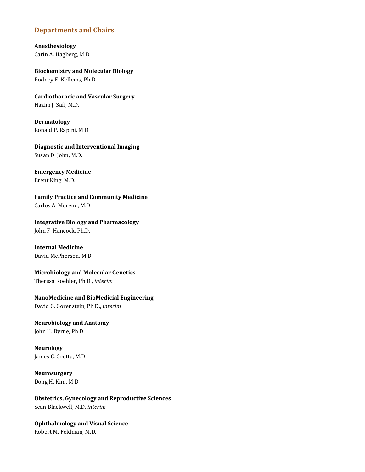#### **Departments and Chairs**

**Anesthesiology** Carin A. Hagberg, M.D.

**Biochemistry and Molecular Biology** Rodney E. Kellems, Ph.D.

**Cardiothoracic and Vascular Surgery** Hazim J. Safi, M.D.

**Dermatology** Ronald P. Rapini, M.D.

**Diagnostic and Interventional Imaging** Susan D. John, M.D.

**Emergency Medicine** Brent King, M.D.

**Family Practice and Community Medicine** Carlos A. Moreno, M.D.

**Integrative Biology and Pharmacology** John F. Hancock, Ph.D.

**Internal Medicine**  David McPherson, M.D.

**Microbiology and Molecular Genetics** Theresa Koehler, Ph.D., *interim*

#### **NanoMedicine and BioMedicial Engineering**

David G. Gorenstein, Ph.D., *interim*

**Neurobiology and Anatomy** John H. Byrne, Ph.D.

**Neurology** James C. Grotta, M.D.

**Neurosurgery** Dong H. Kim, M.D.

**Obstetrics, Gynecology and Reproductive Sciences** Sean Blackwell, M.D. *interim*

**Ophthalmology and Visual Science** Robert M. Feldman, M.D.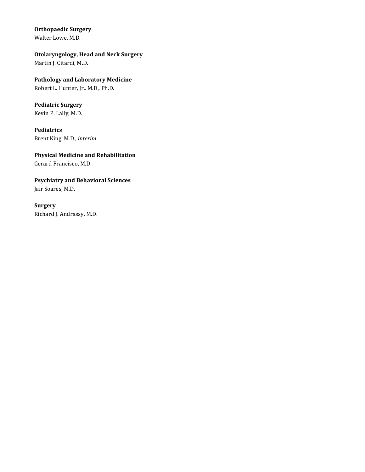### **Orthopaedic Surgery**

Walter Lowe, M.D.

## **Otolaryngology, Head and Neck Surgery**

Martin J. Citardi, M.D.

# **Pathology and Laboratory Medicine**

Robert L. Hunter, Jr., M.D., Ph.D.

# **Pediatric Surgery**

Kevin P. Lally, M.D.

#### **Pediatrics** Brent King, M.D., *interim*

# **Physical Medicine and Rehabilitation**

Gerard Francisco, M.D.

# **Psychiatry and Behavioral Sciences**

Jair Soares, M.D.

## **Surgery** Richard J. Andrassy, M.D.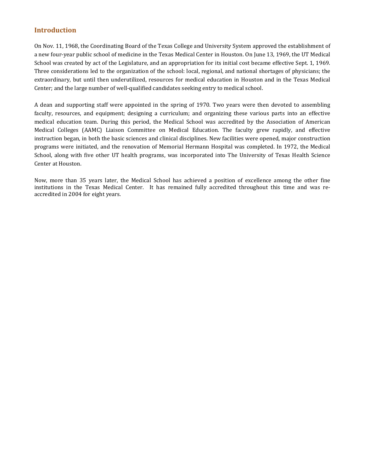#### **Introduction**

On Nov. 11, 1968, the Coordinating Board of the Texas College and University System approved the establishment of a new four-year public school of medicine in the Texas Medical Center in Houston. On June 13, 1969, the UT Medical School was created by act of the Legislature, and an appropriation for its initial cost became effective Sept. 1, 1969. Three considerations led to the organization of the school: local, regional, and national shortages of physicians; the extraordinary, but until then underutilized, resources for medical education in Houston and in the Texas Medical Center; and the large number of well-qualified candidates seeking entry to medical school.

A dean and supporting staff were appointed in the spring of 1970. Two years were then devoted to assembling faculty, resources, and equipment; designing a curriculum; and organizing these various parts into an effective medical education team. During this period, the Medical School was accredited by the Association of American Medical Colleges (AAMC) Liaison Committee on Medical Education. The faculty grew rapidly, and effective instruction began, in both the basic sciences and clinical disciplines. New facilities were opened, major construction programs were initiated, and the renovation of Memorial Hermann Hospital was completed. In 1972, the Medical School, along with five other UT health programs, was incorporated into The University of Texas Health Science Center at Houston.

Now, more than 35 years later, the Medical School has achieved a position of excellence among the other fine institutions in the Texas Medical Center. It has remained fully accredited throughout this time and was reaccredited in 2004 for eight years.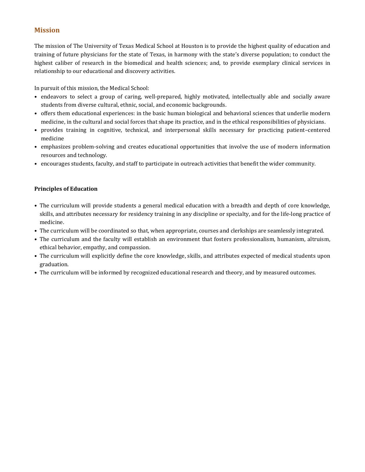## **Mission**

The mission of The University of Texas Medical School at Houston is to provide the highest quality of education and training of future physicians for the state of Texas, in harmony with the state's diverse population; to conduct the highest caliber of research in the biomedical and health sciences; and, to provide exemplary clinical services in relationship to our educational and discovery activities.

In pursuit of this mission, the Medical School:

- endeavors to select a group of caring, well-prepared, highly motivated, intellectually able and socially aware students from diverse cultural, ethnic, social, and economic backgrounds.
- offers them educational experiences: in the basic human biological and behavioral sciences that underlie modern medicine, in the cultural and social forces that shape its practice, and in the ethical responsibilities of physicians.
- provides training in cognitive, technical, and interpersonal skills necessary for practicing patient–centered medicine
- emphasizes problem-solving and creates educational opportunities that involve the use of modern information resources and technology.
- encourages students, faculty, and staff to participate in outreach activities that benefit the wider community.

#### **Principles of Education**

- The curriculum will provide students a general medical education with a breadth and depth of core knowledge, skills, and attributes necessary for residency training in any discipline or specialty, and for the life-long practice of medicine.
- The curriculum will be coordinated so that, when appropriate, courses and clerkships are seamlessly integrated.
- The curriculum and the faculty will establish an environment that fosters professionalism, humanism, altruism, ethical behavior, empathy, and compassion.
- The curriculum will explicitly define the core knowledge, skills, and attributes expected of medical students upon graduation.
- The curriculum will be informed by recognized educational research and theory, and by measured outcomes.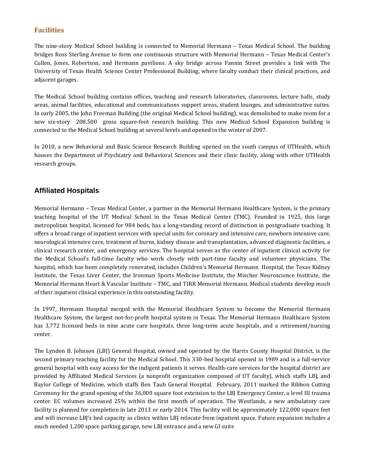## **Facilities**

The nine-story Medical School building is connected to Memorial Hermann – Texas Medical School. The building bridges Ross Sterling Avenue to form one continuous structure with Memorial Hermann – Texas Medical Center's Cullen, Jones, Robertson, and Hermann pavilions. A sky bridge across Fannin Street provides a link with The University of Texas Health Science Center Professional Building, where faculty conduct their clinical practices, and adjacent garages.

The Medical School building contains offices, teaching and research laboratories, classrooms, lecture halls, study areas, animal facilities, educational and communications support areas, student lounges, and administrative suites. In early 2005, the John Freeman Building (the original Medical School building), was demolished to make room for a new six-story 208,500 gross square-foot research building. This new Medical School Expansion building is connected to the Medical School building at several levels and opened in the winter of 2007.

In 2010, a new Behavioral and Basic Science Research Building opened on the south campus of UTHealth, which houses the Department of Psychiatry and Behavioral Sciences and their clinic facility, along with other UTHealth research groups.

## **Affiliated Hospitals**

Memorial Hermann – Texas Medical Center, a partner in the Memorial Hermann Healthcare System, is the primary teaching hospital of the UT Medical School in the Texas Medical Center (TMC). Founded in 1925, this large metropolitan hospital, licensed for 984 beds, has a long-standing record of distinction in postgraduate teaching. It offers a broad range of inpatient services with special units for coronary and intensive care, newborn intensive care, neurological intensive care, treatment of burns, kidney disease and transplantation, advanced diagnostic facilities, a clinical research center, and emergency services. The hospital serves as the center of inpatient clinical activity for the Medical School's full-time faculty who work closely with part-time faculty and volunteer physicians. The hospital, which has been completely renovated, includes Children's Memorial Hermann Hospital, the Texas Kidney Institute, the Texas Liver Center, the Ironman Sports Medicine Institute, the Mischer Neuroscience Institute, the Memorial Hermann Heart & Vascular Institute – TMC, and TIRR Memorial Hermann. Medical students develop much of their inpatient clinical experience in this outstanding facility.

In 1997, Hermann Hospital merged with the Memorial Healthcare System to become the Memorial Hermann Healthcare System, the largest not-for-profit hospital system in Texas. The Memorial Hermann Healthcare System has 3,772 licensed beds in nine acute care hospitals, three long-term acute hospitals, and a retirement/nursing center.

The Lyndon B. Johnson (LBJ) General Hospital, owned and operated by the Harris County Hospital District, is the second primary teaching facility for the Medical School. This 330-bed hospital opened in 1989 and is a full-service general hospital with easy access for the indigent patients it serves. Health-care services for the hospital district are provided by Affiliated Medical Services (a nonprofit organization composed of UT faculty), which staffs LBJ, and Baylor College of Medicine, which staffs Ben Taub General Hospital. February, 2011 marked the Ribbon Cutting Ceremony for the grand opening of the 36,000 square foot extension to the LBJ Emergency Center, a level III trauma center. EC volumes increased 25% within the first month of operation. The Westlands, a new ambulatory care facility is planned for completion in late 2013 or early 2014. This facility will be approximately 122,000 square feet and will increase LBJ's bed capacity as clinics within LBJ relocate from inpatient space. Future expansion includes a much needed 1,200 space parking garage, new LBJ entrance and a new GI suite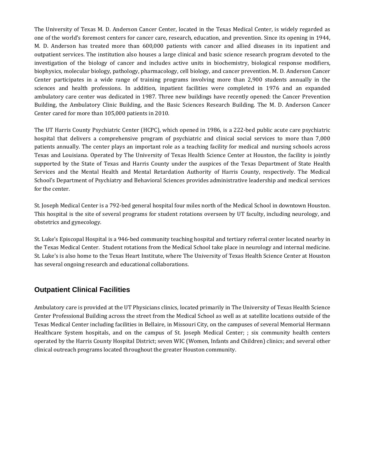The University of Texas M. D. Anderson Cancer Center, located in the Texas Medical Center, is widely regarded as one of the world's foremost centers for cancer care, research, education, and prevention. Since its opening in 1944, M. D. Anderson has treated more than 600,000 patients with cancer and allied diseases in its inpatient and outpatient services. The institution also houses a large clinical and basic science research program devoted to the investigation of the biology of cancer and includes active units in biochemistry, biological response modifiers, biophysics, molecular biology, pathology, pharmacology, cell biology, and cancer prevention. M. D. Anderson Cancer Center participates in a wide range of training programs involving more than 2,900 students annually in the sciences and health professions. In addition, inpatient facilities were completed in 1976 and an expanded ambulatory care center was dedicated in 1987. Three new buildings have recently opened: the Cancer Prevention Building, the Ambulatory Clinic Building, and the Basic Sciences Research Building. The M. D. Anderson Cancer Center cared for more than 105,000 patients in 2010.

The UT Harris County Psychiatric Center (HCPC), which opened in 1986, is a 222-bed public acute care psychiatric hospital that delivers a comprehensive program of psychiatric and clinical social services to more than 7,000 patients annually. The center plays an important role as a teaching facility for medical and nursing schools across Texas and Louisiana. Operated by The University of Texas Health Science Center at Houston, the facility is jointly supported by the State of Texas and Harris County under the auspices of the Texas Department of State Health Services and the Mental Health and Mental Retardation Authority of Harris County, respectively. The Medical School's Department of Psychiatry and Behavioral Sciences provides administrative leadership and medical services for the center.

St. Joseph Medical Center is a 792-bed general hospital four miles north of the Medical School in downtown Houston. This hospital is the site of several programs for student rotations overseen by UT faculty, including neurology, and obstetrics and gynecology.

St. Luke's Episcopal Hospital is a 946-bed community teaching hospital and tertiary referral center located nearby in the Texas Medical Center. Student rotations from the Medical School take place in neurology and internal medicine. St. Luke's is also home to the Texas Heart Institute, where The University of Texas Health Science Center at Houston has several ongoing research and educational collaborations.

## **Outpatient Clinical Facilities**

Ambulatory care is provided at the UT Physicians clinics, located primarily in The University of Texas Health Science Center Professional Building across the street from the Medical School as well as at satellite locations outside of the Texas Medical Center including facilities in Bellaire, in Missouri City, on the campuses of several Memorial Hermann Healthcare System hospitals, and on the campus of St. Joseph Medical Center; ; six community health centers operated by the Harris County Hospital District; seven WIC (Women, Infants and Children) clinics; and several other clinical outreach programs located throughout the greater Houston community.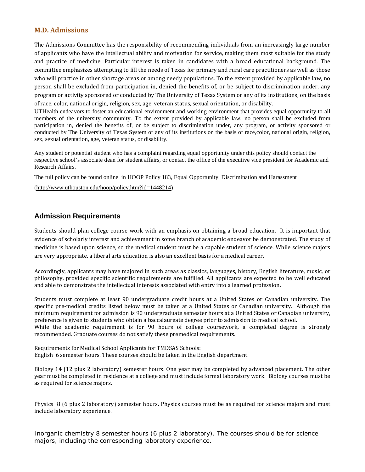#### **M.D. Admissions**

The Admissions Committee has the responsibility of recommending individuals from an increasingly large number of applicants who have the intellectual ability and motivation for service, making them most suitable for the study and practice of medicine. Particular interest is taken in candidates with a broad educational background. The committee emphasizes attempting to fill the needs of Texas for primary and rural care practitioners as well as those who will practice in other shortage areas or among needy populations. To the extent provided by applicable law, no person shall be excluded from participation in, denied the benefits of, or be subject to discrimination under, any program or activity sponsored or conducted by The University of Texas System or any of its institutions, on the basis of race, color, national origin, religion, sex, age, veteran status, sexual orientation, or disability.

UTHealth endeavors to foster an educational environment and working environment that provides equal opportunity to all members of the university community. To the extent provided by applicable law, no person shall be excluded from participation in, denied the benefits of, or be subject to discrimination under, any program, or activity sponsored or conducted by The University of Texas System or any of its institutions on the basis of race,color, national origin, religion, sex, sexual orientation, age, veteran status, or disability.

Any student or potential student who has a complaint regarding equal opportunity under this policy should contact the respective school's associate dean for student affairs, or contact the office of the executive vice president for Academic and Research Affairs.

The full policy can be found online in HOOP Policy 183, Equal Opportunity, Discrimination and Harassment

[\(http://www.uthouston.edu/hoop/policy.htm?id=1448214\)](http://www.uthouston.edu/hoop/policy.htm?id=1448214)

## **Admission Requirements**

Students should plan college course work with an emphasis on obtaining a broad education. It is important that evidence of scholarly interest and achievement in some branch of academic endeavor be demonstrated. The study of medicine is based upon science, so the medical student must be a capable student of science. While science majors are very appropriate, a liberal arts education is also an excellent basis for a medical career.

Accordingly, applicants may have majored in such areas as classics, languages, history, English literature, music, or philosophy, provided specific scientific requirements are fulfilled. All applicants are expected to be well educated and able to demonstrate the intellectual interests associated with entry into a learned profession.

Students must complete at least 90 undergraduate credit hours at a United States or Canadian university. The specific pre-medical credits listed below must be taken at a United States or Canadian university. Although the minimum requirement for admission is 90 undergraduate semester hours at a United States or Canadian university, preference is given to students who obtain a baccalaureate degree prior to admission to medical school. While the academic requirement is for 90 hours of college coursework, a completed degree is strongly recommended. Graduate courses do not satisfy these premedical requirements.

Requirements for Medical School Applicants for TMDSAS Schools: English 6 semester hours. These courses should be taken in the English department.

Biology 14 (12 plus 2 laboratory) semester hours. One year may be completed by advanced placement. The other year must be completed in residence at a college and must include formal laboratory work. Biology courses must be as required for science majors.

Physics 8 (6 plus 2 laboratory) semester hours. Physics courses must be as required for science majors and must include laboratory experience.

Inorganic chemistry 8 semester hours (6 plus 2 laboratory). The courses should be for science majors, including the corresponding laboratory experience.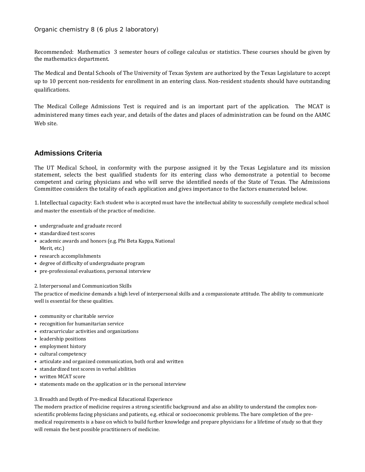Organic chemistry 8 (6 plus 2 laboratory)

Recommended: Mathematics 3 semester hours of college calculus or statistics. These courses should be given by the mathematics department.

The Medical and Dental Schools of The University of Texas System are authorized by the Texas Legislature to accept up to 10 percent non-residents for enrollment in an entering class. Non-resident students should have outstanding qualifications.

The Medical College Admissions Test is required and is an important part of the application. The MCAT is administered many times each year, and details of the dates and places of administration can be found on the AAMC Web site.

## **Admissions Criteria**

The UT Medical School, in conformity with the purpose assigned it by the Texas Legislature and its mission statement, selects the best qualified students for its entering class who demonstrate a potential to become competent and caring physicians and who will serve the identified needs of the State of Texas. The Admissions Committee considers the totality of each application and gives importance to the factors enumerated below.

1.Intellectual capacity: Each student who is accepted must have the intellectual ability to successfully complete medical school and master the essentials of the practice of medicine.

- undergraduate and graduate record
- standardized test scores
- academic awards and honors (e.g. Phi Beta Kappa, National Merit, etc.)
- research accomplishments
- degree of difficulty of undergraduate program
- pre-professional evaluations, personal interview

2. Interpersonal and Communication Skills

The practice of medicine demands a high level of interpersonal skills and a compassionate attitude. The ability to communicate well is essential for these qualities.

- community or charitable service
- recognition for humanitarian service
- extracurricular activities and organizations
- leadership positions
- employment history
- cultural competency
- articulate and organized communication, both oral and written
- standardized test scores in verbal abilities
- written MCAT score
- statements made on the application or in the personal interview

#### 3. Breadth and Depth of Pre-medical Educational Experience

The modern practice of medicine requires a strong scientific background and also an ability to understand the complex nonscientific problems facing physicians and patients, e.g. ethical or socioeconomic problems. The bare completion of the premedical requirements is a base on which to build further knowledge and prepare physicians for a lifetime of study so that they will remain the best possible practitioners of medicine.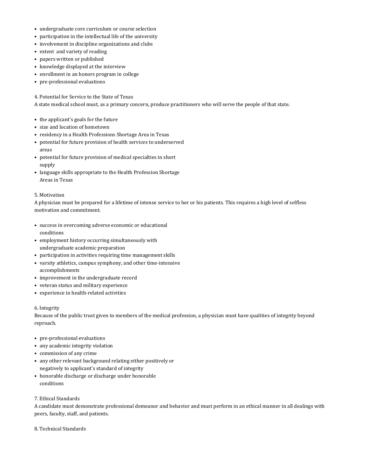- undergraduate core curriculum or course selection
- participation in the intellectual life of the university
- involvement in discipline organizations and clubs
- extent and variety of reading
- papers written or published
- knowledge displayed at the interview
- enrollment in an honors program in college
- pre-professional evaluations

4. Potential for Service to the State of Texas

A state medical school must, as a primary concern, produce practitioners who will serve the people of that state.

- the applicant's goals for the future
- size and location of hometown
- residency in a Health Professions Shortage Area in Texas
- potential for future provision of health services to underserved areas
- potential for future provision of medical specialties in short supply
- language skills appropriate to the Health Profession Shortage Areas in Texas

#### 5. Motivation

A physician must be prepared for a lifetime of intense service to her or his patients. This requires a high level of selfless motivation and commitment.

- success in overcoming adverse economic or educational conditions
- employment history occurring simultaneously with undergraduate academic preparation
- participation in activities requiring time management skills
- varsity athletics, campus symphony, and other time-intensive accomplishments
- improvement in the undergraduate record
- veteran status and military experience
- experience in health-related activities

#### 6. Integrity

Because of the public trust given to members of the medical profession, a physician must have qualities of integrity beyond reproach.

- pre-professional evaluations
- any academic integrity violation
- commission of any crime
- any other relevant background relating either positively or negatively to applicant's standard of integrity
- honorable discharge or discharge under honorable conditions

#### 7. Ethical Standards

A candidate must demonstrate professional demeanor and behavior and must perform in an ethical manner in all dealings with peers, faculty, staff, and patients.

8. Technical Standards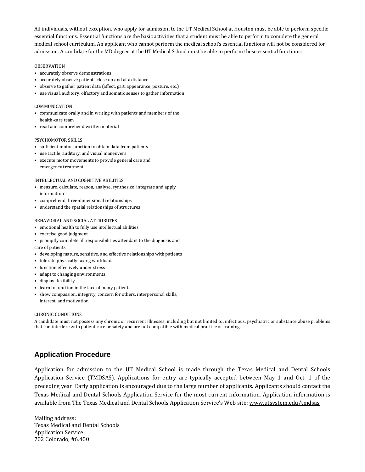All individuals, without exception, who apply for admission to the UT Medical School at Houston must be able to perform specific essential functions. Essential functions are the basic activities that a student must be able to perform to complete the general medical school curriculum. An applicant who cannot perform the medical school's essential functions will not be considered for admission. A candidate for the MD degree at the UT Medical School must be able to perform these essential functions:

#### OBSERVATION

- accurately observe demonstrations
- accurately observe patients close up and at a distance
- observe to gather patient data (affect, gait, appearance, posture, etc.)
- use visual, auditory, olfactory and somatic senses to gather information

#### COMMUNICATION

- communicate orally and in writing with patients and members of the health-care team
- read and comprehend written material

#### PSYCHOMOTOR SKILLS

- sufficient motor function to obtain data from patients
- use tactile, auditory, and visual maneuvers
- execute motor movements to provide general care and emergency treatment

#### INTELLECTUAL AND COGNITIVE ABILITIES

- measure, calculate, reason, analyze, synthesize, integrate and apply information
- comprehend three-dimensional relationships
- understand the spatial relationships of structures

#### BEHAVIORAL AND SOCIAL ATTRIBUTES

- emotional health to fully use intellectual abilities
- exercise good judgment
- promptly complete all responsibilities attendant to the diagnosis and care of patients
- developing mature, sensitive, and effective relationships with patients
- tolerate physically taxing workloads
- function effectively under stress
- adapt to changing environments
- display flexibility
- learn to function in the face of many patients
- show compassion, integrity, concern for others, interpersonal skills, interest, and motivation

#### CHRONIC CONDITIONS

A candidate must not possess any chronic or recurrent illnesses, including but not limited to, infectious, psychiatric or substance abuse problems that can interfere with patient care or safety and are not compatible with medical practice or training.

#### **Application Procedure**

Application for admission to the UT Medical School is made through the Texas Medical and Dental Schools Application Service (TMDSAS). Applications for entry are typically accepted between May 1 and Oct. 1 of the preceding year. Early application is encouraged due to the large number of applicants. Applicants should contact the Texas Medical and Dental Schools Application Service for the most current information. Application information is available from The Texas Medical and Dental Schools Application Service's Web site: www.utsystem.edu/tmdsas

Mailing address: Texas Medical and Dental Schools Application Service 702 Colorado, #6.400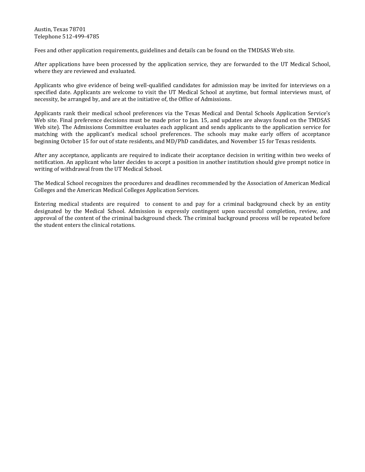Austin, Texas 78701 Telephone 512-499-4785

Fees and other application requirements, guidelines and details can be found on the TMDSAS Web site.

After applications have been processed by the application service, they are forwarded to the UT Medical School, where they are reviewed and evaluated.

Applicants who give evidence of being well-qualified candidates for admission may be invited for interviews on a specified date. Applicants are welcome to visit the UT Medical School at anytime, but formal interviews must, of necessity, be arranged by, and are at the initiative of, the Office of Admissions.

Applicants rank their medical school preferences via the Texas Medical and Dental Schools Application Service's Web site. Final preference decisions must be made prior to Jan. 15, and updates are always found on the TMDSAS Web site). The Admissions Committee evaluates each applicant and sends applicants to the application service for matching with the applicant's medical school preferences. The schools may make early offers of acceptance beginning October 15 for out of state residents, and MD/PhD candidates, and November 15 for Texas residents.

After any acceptance, applicants are required to indicate their acceptance decision in writing within two weeks of notification. An applicant who later decides to accept a position in another institution should give prompt notice in writing of withdrawal from the UT Medical School.

The Medical School recognizes the procedures and deadlines recommended by the Association of American Medical Colleges and the American Medical Colleges Application Services.

Entering medical students are required to consent to and pay for a criminal background check by an entity designated by the Medical School. Admission is expressly contingent upon successful completion, review, and approval of the content of the criminal background check. The criminal background process will be repeated before the student enters the clinical rotations.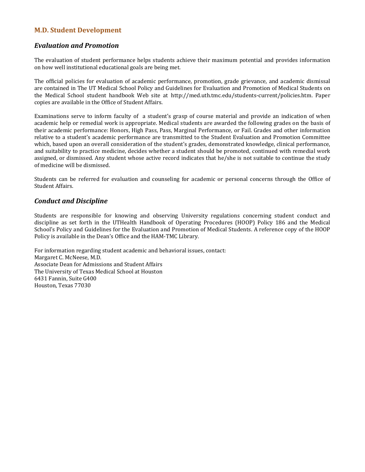#### **M.D. Student Development**

#### *Evaluation and Promotion*

The evaluation of student performance helps students achieve their maximum potential and provides information on how well institutional educational goals are being met.

The official policies for evaluation of academic performance, promotion, grade grievance, and academic dismissal are contained in The UT Medical School Policy and Guidelines for Evaluation and Promotion of Medical Students on the Medical School student handbook Web site at http://med.uth.tmc.edu/students-current/policies.htm. Paper copies are available in the Office of Student Affairs.

Examinations serve to inform faculty of a student's grasp of course material and provide an indication of when academic help or remedial work is appropriate. Medical students are awarded the following grades on the basis of their academic performance: Honors, High Pass, Pass, Marginal Performance, or Fail. Grades and other information relative to a student's academic performance are transmitted to the Student Evaluation and Promotion Committee which, based upon an overall consideration of the student's grades, demonstrated knowledge, clinical performance, and suitability to practice medicine, decides whether a student should be promoted, continued with remedial work assigned, or dismissed. Any student whose active record indicates that he/she is not suitable to continue the study of medicine will be dismissed.

Students can be referred for evaluation and counseling for academic or personal concerns through the Office of Student Affairs.

#### *Conduct and Discipline*

Students are responsible for knowing and observing University regulations concerning student conduct and discipline as set forth in the UTHealth Handbook of Operating Procedures (HOOP) Policy 186 and the Medical School's Policy and Guidelines for the Evaluation and Promotion of Medical Students. A reference copy of the HOOP Policy is available in the Dean's Office and the HAM-TMC Library.

For information regarding student academic and behavioral issues, contact: Margaret C. McNeese, M.D. Associate Dean for Admissions and Student Affairs The University of Texas Medical School at Houston 6431 Fannin, Suite G400 Houston, Texas 77030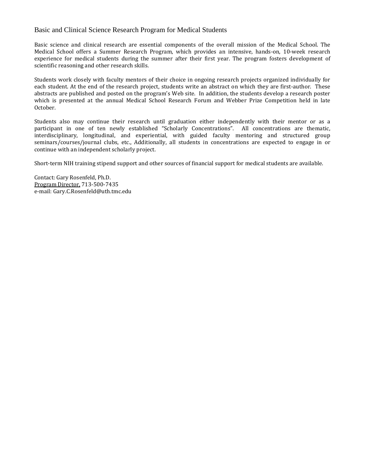#### Basic and Clinical Science Research Program for Medical Students

Basic science and clinical research are essential components of the overall mission of the Medical School. The Medical School offers a Summer Research Program, which provides an intensive, hands-on, 10-week research experience for medical students during the summer after their first year. The program fosters development of scientific reasoning and other research skills.

Students work closely with faculty mentors of their choice in ongoing research projects organized individually for each student. At the end of the research project, students write an abstract on which they are first-author. These abstracts are published and posted on the program's Web site. In addition, the students develop a research poster which is presented at the annual Medical School Research Forum and Webber Prize Competition held in late October.

Students also may continue their research until graduation either independently with their mentor or as a participant in one of ten newly established "Scholarly Concentrations". All concentrations are thematic, interdisciplinary, longitudinal, and experiential, with guided faculty mentoring and structured group seminars/courses/journal clubs, etc., Additionally, all students in concentrations are expected to engage in or continue with an independent scholarly project.

Short-term NIH training stipend support and other sources of financial support for medical students are available.

Contact: Gary Rosenfeld, Ph.D. Program Director, 713-500-7435 e-mail: Gary.C.Rosenfeld@uth.tmc.edu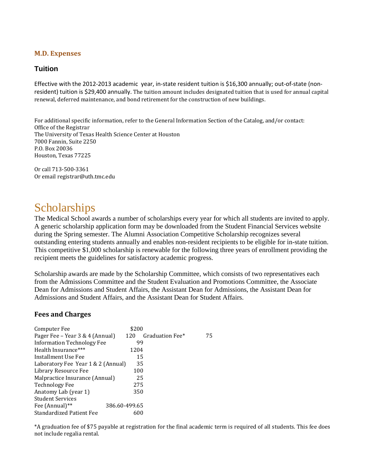#### **M.D. Expenses**

## **Tuition**

Effective with the 2012-2013 academic year, in-state resident tuition is \$16,300 annually; out-of-state (nonresident) tuition is \$29,400 annually. The tuition amount includes designated tuition that is used for annual capital renewal, deferred maintenance, and bond retirement for the construction of new buildings.

For additional specific information, refer to the General Information Section of the Catalog, and/or contact: Office of the Registrar The University of Texas Health Science Center at Houston 7000 Fannin, Suite 2250 P.O. Box 20036 Houston, Texas 77225

Or call 713-500-3361 Or email registrar@uth.tmc.edu

# **Scholarships**

The Medical School awards a number of scholarships every year for which all students are invited to apply. A generic scholarship application form may be downloaded from the Student Financial Services website during the Spring semester. The Alumni Association Competitive Scholarship recognizes several outstanding entering students annually and enables non-resident recipients to be eligible for in-state tuition. This competitive \$1,000 scholarship is renewable for the following three years of enrollment providing the recipient meets the guidelines for satisfactory academic progress.

Scholarship awards are made by the Scholarship Committee, which consists of two representatives each from the Admissions Committee and the Student Evaluation and Promotions Committee, the Associate Dean for Admissions and Student Affairs, the Assistant Dean for Admissions, the Assistant Dean for Admissions and Student Affairs, and the Assistant Dean for Student Affairs.

#### **Fees and Charges**

| Computer Fee                       | \$200         |                 |    |
|------------------------------------|---------------|-----------------|----|
| Pager Fee – Year 3 & 4 (Annual)    | 120           | Graduation Fee* | 75 |
| <b>Information Technology Fee</b>  | 99            |                 |    |
| Health Insurance***                | 1204          |                 |    |
| Installment Use Fee                | 15            |                 |    |
| Laboratory Fee Year 1 & 2 (Annual) | 35            |                 |    |
| Library Resource Fee               | 100           |                 |    |
| Malpractice Insurance (Annual)     | 25            |                 |    |
| <b>Technology Fee</b>              | 275           |                 |    |
| Anatomy Lab (year 1)               | 350           |                 |    |
| <b>Student Services</b>            |               |                 |    |
| Fee (Annual) <sup>**</sup>         | 386.60-499.65 |                 |    |
| <b>Standardized Patient Fee</b>    | 600           |                 |    |
|                                    |               |                 |    |

\*A graduation fee of \$75 payable at registration for the final academic term is required of all students. This fee does not include regalia rental.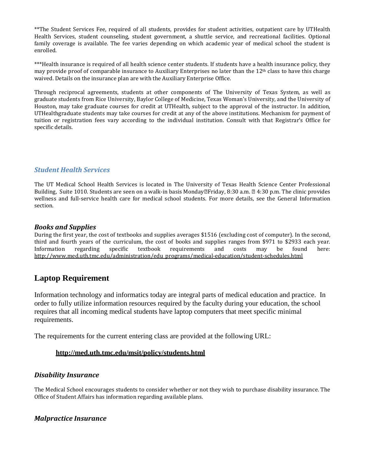\*\*The Student Services Fee, required of all students, provides for student activities, outpatient care by UTHealth Health Services, student counseling, student government, a shuttle service, and recreational facilities. Optional family coverage is available. The fee varies depending on which academic year of medical school the student is enrolled.

\*\*\*Health insurance is required of all health science center students. If students have a health insurance policy, they may provide proof of comparable insurance to Auxiliary Enterprises no later than the  $12<sup>th</sup>$  class to have this charge waived. Details on the insurance plan are with the Auxiliary Enterprise Office.

Through reciprocal agreements, students at other components of The University of Texas System, as well as graduate students from Rice University, Baylor College of Medicine, Texas Woman's University, and the University of Houston, may take graduate courses for credit at UTHealth, subject to the approval of the instructor. In addition, UTHealthgraduate students may take courses for credit at any of the above institutions. Mechanism for payment of tuition or registration fees vary according to the individual institution. Consult with that Registrar's Office for specific details.

#### *Student Health Services*

The UT Medical School Health Services is located in The University of Texas Health Science Center Professional Building, Suite 1010. Students are seen on a walk-in basis Monday  $\mathbb{F}$  Friday, 8:30 a.m.  $\mathbb{Z}$  4:30 p.m. The clinic provides wellness and full-service health care for medical school students. For more details, see the General Information section.

#### *Books and Supplies*

During the first year, the cost of textbooks and supplies averages \$1516 (excluding cost of computer). In the second, third and fourth years of the curriculum, the cost of books and supplies ranges from \$971 to \$2933 each year.<br>Information regarding specific textbook requirements and costs may be found here: Information regarding specific textbook requirements and costs may be found here: [http://www.med.uth.tmc.edu/administration/edu\\_programs/medical-education/student-schedules.html](http://www.med.uth.tmc.edu/administration/edu_programs/medical-education/student-schedules.html)

# **Laptop Requirement**

Information technology and informatics today are integral parts of medical education and practice. In order to fully utilize information resources required by the faculty during your education, the school requires that all incoming medical students have laptop computers that meet specific minimal requirements.

The requirements for the current entering class are provided at the following URL:

#### **<http://med.uth.tmc.edu/msit/policy/students.html>**

#### *Disability Insurance*

The Medical School encourages students to consider whether or not they wish to purchase disability insurance. The Office of Student Affairs has information regarding available plans.

#### *Malpractice Insurance*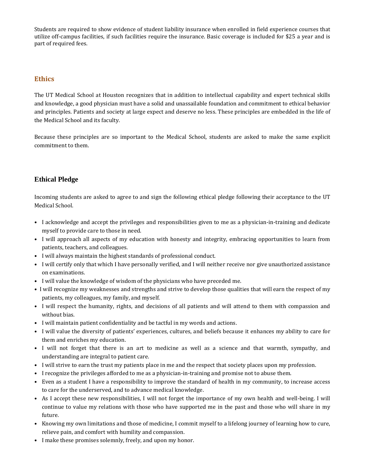Students are required to show evidence of student liability insurance when enrolled in field experience courses that utilize off-campus facilities, if such facilities require the insurance. Basic coverage is included for \$25 a year and is part of required fees.

## **Ethics**

The UT Medical School at Houston recognizes that in addition to intellectual capability and expert technical skills and knowledge, a good physician must have a solid and unassailable foundation and commitment to ethical behavior and principles. Patients and society at large expect and deserve no less. These principles are embedded in the life of the Medical School and its faculty.

Because these principles are so important to the Medical School, students are asked to make the same explicit commitment to them.

## **Ethical Pledge**

Incoming students are asked to agree to and sign the following ethical pledge following their acceptance to the UT Medical School.

- I acknowledge and accept the privileges and responsibilities given to me as a physician-in-training and dedicate myself to provide care to those in need.
- I will approach all aspects of my education with honesty and integrity, embracing opportunities to learn from patients, teachers, and colleagues.
- I will always maintain the highest standards of professional conduct.
- I will certify only that which I have personally verified, and I will neither receive nor give unauthorized assistance on examinations.
- I will value the knowledge of wisdom of the physicians who have preceded me.
- I will recognize my weaknesses and strengths and strive to develop those qualities that will earn the respect of my patients, my colleagues, my family, and myself.
- I will respect the humanity, rights, and decisions of all patients and will attend to them with compassion and without bias.
- I will maintain patient confidentiality and be tactful in my words and actions.
- I will value the diversity of patients' experiences, cultures, and beliefs because it enhances my ability to care for them and enriches my education.
- I will not forget that there is an art to medicine as well as a science and that warmth, sympathy, and understanding are integral to patient care.
- I will strive to earn the trust my patients place in me and the respect that society places upon my profession.
- I recognize the privileges afforded to me as a physician-in-training and promise not to abuse them.
- Even as a student I have a responsibility to improve the standard of health in my community, to increase access to care for the underserved, and to advance medical knowledge.
- As I accept these new responsibilities, I will not forget the importance of my own health and well-being. I will continue to value my relations with those who have supported me in the past and those who will share in my future.
- Knowing my own limitations and those of medicine, I commit myself to a lifelong journey of learning how to cure, relieve pain, and comfort with humility and compassion.
- I make these promises solemnly, freely, and upon my honor.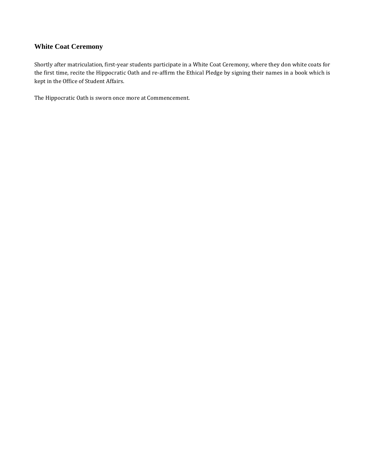## **White Coat Ceremony**

Shortly after matriculation, first-year students participate in a White Coat Ceremony, where they don white coats for the first time, recite the Hippocratic Oath and re-affirm the Ethical Pledge by signing their names in a book which is kept in the Office of Student Affairs.

The Hippocratic Oath is sworn once more at Commencement.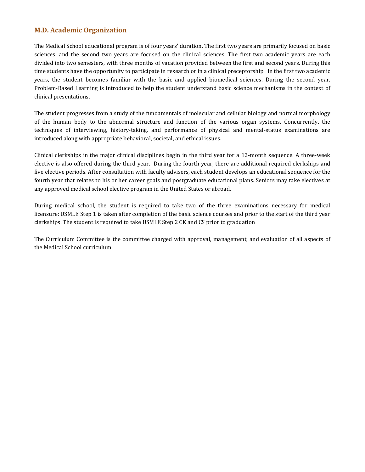### **M.D. Academic Organization**

The Medical School educational program is of four years' duration. The first two years are primarily focused on basic sciences, and the second two years are focused on the clinical sciences. The first two academic years are each divided into two semesters, with three months of vacation provided between the first and second years. During this time students have the opportunity to participate in research or in a clinical preceptorship. In the first two academic years, the student becomes familiar with the basic and applied biomedical sciences. During the second year, Problem-Based Learning is introduced to help the student understand basic science mechanisms in the context of clinical presentations.

The student progresses from a study of the fundamentals of molecular and cellular biology and normal morphology of the human body to the abnormal structure and function of the various organ systems. Concurrently, the techniques of interviewing, history-taking, and performance of physical and mental-status examinations are introduced along with appropriate behavioral, societal, and ethical issues.

Clinical clerkships in the major clinical disciplines begin in the third year for a 12-month sequence. A three-week elective is also offered during the third year. During the fourth year, there are additional required clerkships and five elective periods. After consultation with faculty advisers, each student develops an educational sequence for the fourth year that relates to his or her career goals and postgraduate educational plans. Seniors may take electives at any approved medical school elective program in the United States or abroad.

During medical school, the student is required to take two of the three examinations necessary for medical licensure: USMLE Step 1 is taken after completion of the basic science courses and prior to the start of the third year clerkships. The student is required to take USMLE Step 2 CK and CS prior to graduation

The Curriculum Committee is the committee charged with approval, management, and evaluation of all aspects of the Medical School curriculum.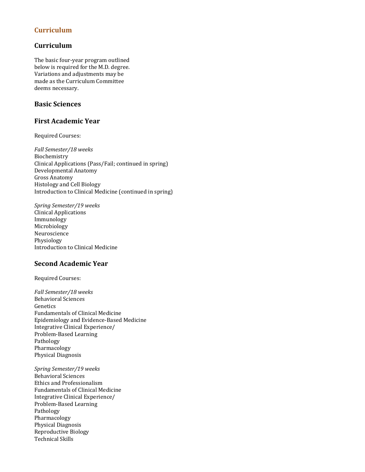### **Curriculum**

## **Curriculum**

The basic four-year program outlined below is required for the M.D. degree. Variations and adjustments may be made as the Curriculum Committee deems necessary.

## **Basic Sciences**

#### **First Academic Year**

Required Courses:

*Fall Semester/18 weeks* Biochemistry Clinical Applications (Pass/Fail; continued in spring) Developmental Anatomy Gross Anatomy Histology and Cell Biology Introduction to Clinical Medicine (continued in spring)

*Spring Semester/19 weeks* Clinical Applications Immunology Microbiology Neuroscience Physiology Introduction to Clinical Medicine

#### **Second Academic Year**

Required Courses:

*Fall Semester/18 weeks* Behavioral Sciences Genetics Fundamentals of Clinical Medicine Epidemiology and Evidence-Based Medicine Integrative Clinical Experience/ Problem-Based Learning Pathology Pharmacology Physical Diagnosis

*Spring Semester/19 weeks* Behavioral Sciences Ethics and Professionalism Fundamentals of Clinical Medicine Integrative Clinical Experience/ Problem-Based Learning Pathology Pharmacology Physical Diagnosis Reproductive Biology Technical Skills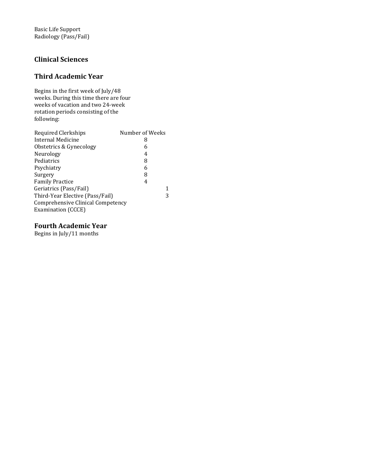Basic Life Support Radiology (Pass/Fail)

## **Clinical Sciences**

# **Third Academic Year**

Begins in the first week of July/48 weeks. During this time there are four weeks of vacation and two 24-week rotation periods consisting of the following:

| Internal Medicine<br>8<br>Obstetrics & Gynecology<br>6 | Number of Weeks |
|--------------------------------------------------------|-----------------|
|                                                        |                 |
|                                                        |                 |
| Neurology<br>4                                         |                 |
| Pediatrics<br>8                                        |                 |
| Psychiatry<br>6                                        |                 |
| Surgery<br>8                                           |                 |
| <b>Family Practice</b><br>4                            |                 |
| Geriatrics (Pass/Fail)                                 | 1               |
| Third-Year Elective (Pass/Fail)                        | 3               |
| Comprehensive Clinical Competency                      |                 |
| Examination (CCCE)                                     |                 |

#### **Fourth Academic Year**

Begins in July/11 months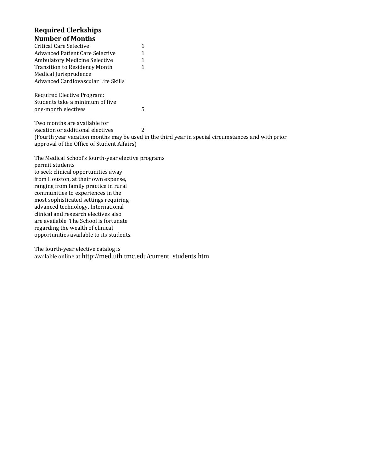#### **Required Clerkships Number of Months**

| Critical Care Selective              | 1 |
|--------------------------------------|---|
| Advanced Patient Care Selective      | 1 |
| Ambulatory Medicine Selective        | 1 |
| <b>Transition to Residency Month</b> | 1 |
| Medical Jurisprudence                |   |
| Advanced Cardiovascular Life Skills  |   |

Required Elective Program: Students take a minimum of five one-month electives 5

Two months are available for vacation or additional electives 2 (Fourth year vacation months may be used in the third year in special circumstances and with prior approval of the Office of Student Affairs)

The Medical School's fourth-year elective programs permit students to seek clinical opportunities away from Houston, at their own expense, ranging from family practice in rural communities to experiences in the most sophisticated settings requiring advanced technology. International clinical and research electives also are available. The School is fortunate regarding the wealth of clinical opportunities available to its students.

The fourth-year elective catalog is available online at http://med.uth.tmc.edu/current\_students.htm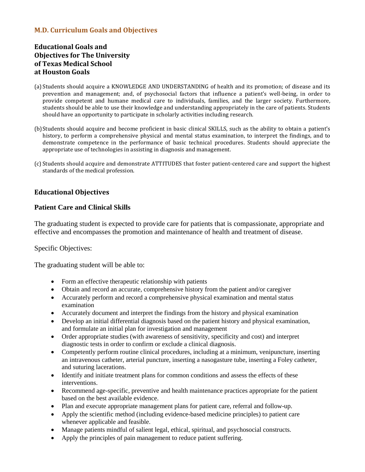## **M.D. Curriculum Goals and Objectives**

# **Educational Goals and Objectives for The University of Texas Medical School at Houston Goals**

- (a) Students should acquire a KNOWLEDGE AND UNDERSTANDING of health and its promotion; of disease and its prevention and management; and, of psychosocial factors that influence a patient's well-being, in order to provide competent and humane medical care to individuals, families, and the larger society. Furthermore, students should be able to use their knowledge and understanding appropriately in the care of patients. Students should have an opportunity to participate in scholarly activities including research.
- (b)Students should acquire and become proficient in basic clinical SKILLS, such as the ability to obtain a patient's history, to perform a comprehensive physical and mental status examination, to interpret the findings, and to demonstrate competence in the performance of basic technical procedures. Students should appreciate the appropriate use of technologies in assisting in diagnosis and management.
- (c) Students should acquire and demonstrate ATTITUDES that foster patient-centered care and support the highest standards of the medical profession.

## **Educational Objectives**

#### **Patient Care and Clinical Skills**

The graduating student is expected to provide care for patients that is compassionate, appropriate and effective and encompasses the promotion and maintenance of health and treatment of disease.

#### Specific Objectives:

The graduating student will be able to:

- Form an effective therapeutic relationship with patients
- Obtain and record an accurate, comprehensive history from the patient and/or caregiver
- Accurately perform and record a comprehensive physical examination and mental status examination
- Accurately document and interpret the findings from the history and physical examination
- Develop an initial differential diagnosis based on the patient history and physical examination, and formulate an initial plan for investigation and management
- Order appropriate studies (with awareness of sensitivity, specificity and cost) and interpret diagnostic tests in order to confirm or exclude a clinical diagnosis.
- Competently perform routine clinical procedures, including at a minimum, venipuncture, inserting an intravenous catheter, arterial puncture, inserting a nasogasture tube, inserting a Foley catheter, and suturing lacerations.
- Identify and initiate treatment plans for common conditions and assess the effects of these interventions.
- Recommend age-specific, preventive and health maintenance practices appropriate for the patient based on the best available evidence.
- Plan and execute appropriate management plans for patient care, referral and follow-up.
- Apply the scientific method (including evidence-based medicine principles) to patient care whenever applicable and feasible.
- Manage patients mindful of salient legal, ethical, spiritual, and psychosocial constructs.
- Apply the principles of pain management to reduce patient suffering.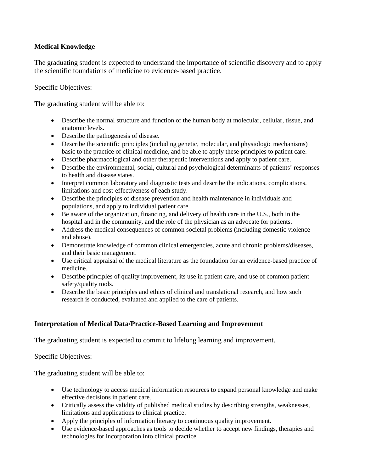## **Medical Knowledge**

The graduating student is expected to understand the importance of scientific discovery and to apply the scientific foundations of medicine to evidence-based practice.

Specific Objectives:

The graduating student will be able to:

- Describe the normal structure and function of the human body at molecular, cellular, tissue, and anatomic levels.
- Describe the pathogenesis of disease.
- Describe the scientific principles (including genetic, molecular, and physiologic mechanisms) basic to the practice of clinical medicine, and be able to apply these principles to patient care.
- Describe pharmacological and other therapeutic interventions and apply to patient care.
- Describe the environmental, social, cultural and psychological determinants of patients' responses to health and disease states.
- Interpret common laboratory and diagnostic tests and describe the indications, complications, limitations and cost-effectiveness of each study.
- Describe the principles of disease prevention and health maintenance in individuals and populations, and apply to individual patient care.
- Be aware of the organization, financing, and delivery of health care in the U.S., both in the hospital and in the community, and the role of the physician as an advocate for patients.
- Address the medical consequences of common societal problems (including domestic violence and abuse).
- Demonstrate knowledge of common clinical emergencies, acute and chronic problems/diseases, and their basic management.
- Use critical appraisal of the medical literature as the foundation for an evidence-based practice of medicine.
- Describe principles of quality improvement, its use in patient care, and use of common patient safety/quality tools.
- Describe the basic principles and ethics of clinical and translational research, and how such research is conducted, evaluated and applied to the care of patients.

## **Interpretation of Medical Data/Practice-Based Learning and Improvement**

The graduating student is expected to commit to lifelong learning and improvement.

Specific Objectives:

The graduating student will be able to:

- Use technology to access medical information resources to expand personal knowledge and make effective decisions in patient care.
- Critically assess the validity of published medical studies by describing strengths, weaknesses, limitations and applications to clinical practice.
- Apply the principles of information literacy to continuous quality improvement.
- Use evidence-based approaches as tools to decide whether to accept new findings, therapies and technologies for incorporation into clinical practice.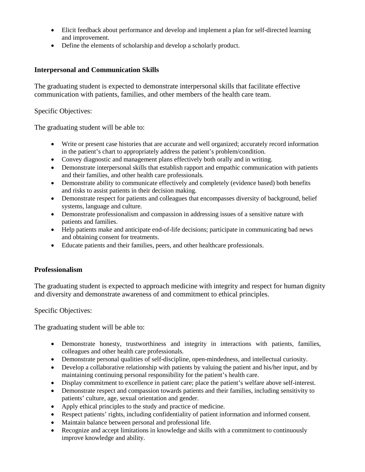- Elicit feedback about performance and develop and implement a plan for self-directed learning and improvement.
- Define the elements of scholarship and develop a scholarly product.

# **Interpersonal and Communication Skills**

The graduating student is expected to demonstrate interpersonal skills that facilitate effective communication with patients, families, and other members of the health care team.

Specific Objectives:

The graduating student will be able to:

- Write or present case histories that are accurate and well organized; accurately record information in the patient's chart to appropriately address the patient's problem/condition.
- Convey diagnostic and management plans effectively both orally and in writing.
- Demonstrate interpersonal skills that establish rapport and empathic communication with patients and their families, and other health care professionals.
- Demonstrate ability to communicate effectively and completely (evidence based) both benefits and risks to assist patients in their decision making.
- Demonstrate respect for patients and colleagues that encompasses diversity of background, belief systems, language and culture.
- Demonstrate professionalism and compassion in addressing issues of a sensitive nature with patients and families.
- Help patients make and anticipate end-of-life decisions; participate in communicating bad news and obtaining consent for treatments.
- Educate patients and their families, peers, and other healthcare professionals.

# **Professionalism**

The graduating student is expected to approach medicine with integrity and respect for human dignity and diversity and demonstrate awareness of and commitment to ethical principles.

Specific Objectives:

The graduating student will be able to:

- Demonstrate honesty, trustworthiness and integrity in interactions with patients, families, colleagues and other health care professionals.
- Demonstrate personal qualities of self-discipline, open-mindedness, and intellectual curiosity.
- Develop a collaborative relationship with patients by valuing the patient and his/her input, and by maintaining continuing personal responsibility for the patient's health care.
- Display commitment to excellence in patient care; place the patient's welfare above self-interest.
- Demonstrate respect and compassion towards patients and their families, including sensitivity to patients' culture, age, sexual orientation and gender.
- Apply ethical principles to the study and practice of medicine.
- Respect patients' rights, including confidentiality of patient information and informed consent.
- Maintain balance between personal and professional life.
- Recognize and accept limitations in knowledge and skills with a commitment to continuously improve knowledge and ability.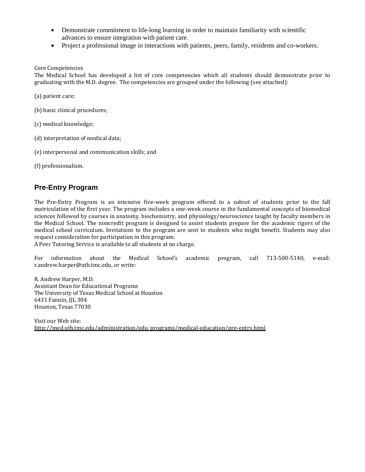- Demonstrate commitment to life-long learning in order to maintain familiarity with scientific advances to ensure integration with patient care.
- Project a professional image in interactions with patients, peers, family, residents and co-workers.

#### Core Competencies

The Medical School has developed a list of core competencies which all students should demonstrate prior to graduating with the M.D. degree. The competencies are grouped under the following (see attached):

(a) patient care;

(b) basic clinical procedures;

- (c) medical knowledge;
- (d) interpretation of medical data;
- (e) interpersonal and communication skills; and
- (f) professionalism.

## **Pre-Entry Program**

The Pre-Entry Program is an intensive five-week program offered to a subset of students prior to the fall matriculation of the first year. The program includes a one-week course in the fundamental concepts of biomedical sciences followed by courses in anatomy, biochemistry, and physiology/neuroscience taught by faculty members in the Medical School. The noncredit program is designed to assist students prepare for the academic rigors of the medical school curriculum. Invitations to the program are sent to students who might benefit. Students may also request consideration for participation in this program.

A Peer Tutoring Service is available to all students at no charge.

For information about the Medical School's academic program, call 713-500-5140, e-mail: r.andrew.harper@uth.tmc.edu, or write:

R. Andrew Harper, M.D. Assistant Dean for Educational Programs The University of Texas Medical School at Houston 6431 Fannin, JJL 304 Houston, Texas 77030

Visit our Web site: [http://med.uth.tmc.edu/administration/edu\\_programs/medical-education/pre-entry.html](http://med.uth.tmc.edu/administration/edu_programs/medical-education/pre-entry.html)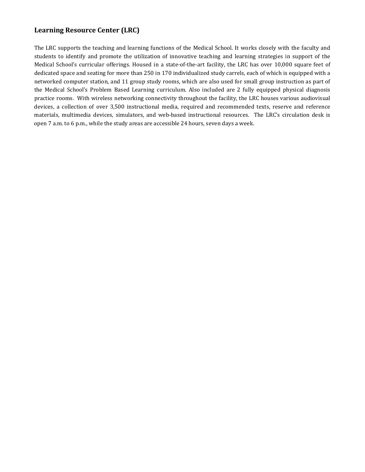## **Learning Resource Center (LRC)**

The LRC supports the teaching and learning functions of the Medical School. It works closely with the faculty and students to identify and promote the utilization of innovative teaching and learning strategies in support of the Medical School's curricular offerings. Housed in a state-of-the-art facility, the LRC has over 10,000 square feet of dedicated space and seating for more than 250 in 170 individualized study carrels, each of which is equipped with a networked computer station, and 11 group study rooms, which are also used for small group instruction as part of the Medical School's Problem Based Learning curriculum. Also included are 2 fully equipped physical diagnosis practice rooms. With wireless networking connectivity throughout the facility, the LRC houses various audiovisual devices, a collection of over 3,500 instructional media, required and recommended texts, reserve and reference materials, multimedia devices, simulators, and web-based instructional resources. The LRC's circulation desk is open 7 a.m. to 6 p.m., while the study areas are accessible 24 hours, seven days a week.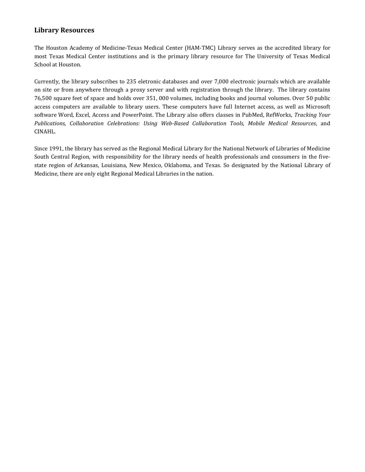#### **Library Resources**

The Houston Academy of Medicine-Texas Medical Center (HAM-TMC) Library serves as the accredited library for most Texas Medical Center institutions and is the primary library resource for The University of Texas Medical School at Houston.

Currently, the library subscribes to 235 eletronic databases and over 7,000 electronic journals which are available on site or from anywhere through a proxy server and with registration through the library. The library contains 76,500 square feet of space and holds over 351, 000 volumes, including books and journal volumes. Over 50 public access computers are available to library users. These computers have full Internet access, as well as Microsoft software Word, Excel, Access and PowerPoint. The Library also offers classes in PubMed, RefWorks, *Tracking Your Publications, Collaboration Celebrations: Using Web-Based Collaboration Tools, Mobile Medical Resources*, and CINAHL.

Since 1991, the library has served as the Regional Medical Library for the National Network of Libraries of Medicine South Central Region, with responsibility for the library needs of health professionals and consumers in the fivestate region of Arkansas, Louisiana, New Mexico, Oklahoma, and Texas. So designated by the National Library of Medicine, there are only eight Regional Medical Libraries in the nation.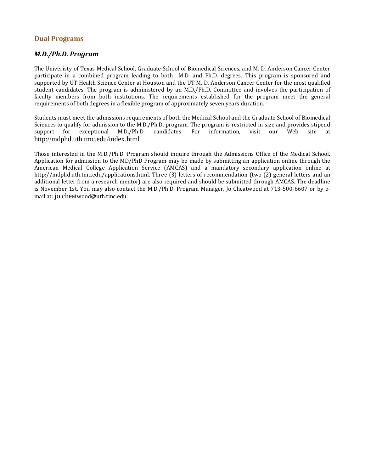#### **Dual Programs**

#### *M.D./Ph.D. Program*

The Univeristy of Texas Medical School, Graduate School of Biomedical Sciences, and M. D. Anderson Cancer Center participate in a combined program leading to both M.D. and Ph.D. degrees. This program is sponsored and supported by UT Health Science Center at Houston and the UT M. D. Anderson Cancer Center for the most qualified student candidates. The program is administered by an M.D./Ph.D. Committee and involves the participation of faculty members from both institutions. The requirements established for the program meet the general requirements of both degrees in a flexible program of approximately seven years duration.

Students must meet the admissions requirements of both the Medical School and the Graduate School of Biomedical Sciences to qualify for admission to the M.D./Ph.D. program. The program is restricted in size and provides stipend<br>support for exceptional M.D./Ph.D. candidates. For information, visit our Web site at for exceptional M.D./Ph.D. candidates. For http://mdphd.uth.tmc.edu/index.html

Those interested in the M.D./Ph.D. Program should inquire through the Admissions Office of the Medical School. Application for admission to the MD/PhD Program may be made by submitting an application online through the American Medical College Application Service (AMCAS) and a mandatory secondary application online at http://mdphd.uth.tmc.edu/applications.html. Three (3) letters of recommendation (two (2) general letters and an additional letter from a research mentor) are also required and should be submitted through AMCAS. The deadline is November 1st. You may also contact the M.D./Ph.D. Program Manager, Jo Cheatwood at 713-500-6607 or by email at: jo.cheatwood@uth.tmc.edu.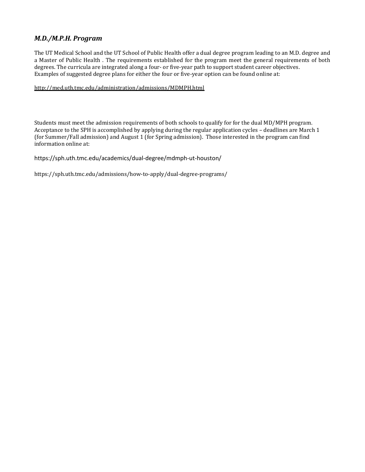## *M.D./M.P.H. Program*

The UT Medical School and the UT School of Public Health offer a dual degree program leading to an M.D. degree and a Master of Public Health . The requirements established for the program meet the general requirements of both degrees. The curricula are integrated along a four- or five-year path to support student career objectives. Examples of suggested degree plans for either the four or five-year option can be found online at:

#### <http://med.uth.tmc.edu/administration/admissions/MDMPH.html>

Students must meet the admission requirements of both schools to qualify for for the dual MD/MPH program. Acceptance to the SPH is accomplished by applying during the regular application cycles – deadlines are March 1 (for Summer/Fall admission) and August 1 (for Spring admission). Those interested in the program can find information online at:

https://sph.uth.tmc.edu/academics/dual-degree/mdmph-ut-houston/

https://sph.uth.tmc.edu/admissions/how-to-apply/dual-degree-programs/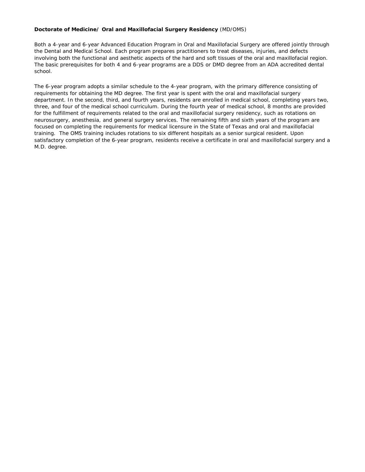#### **Doctorate of Medicine/ Oral and Maxillofacial Surgery Residency** (MD/OMS)

Both a 4-year and 6-year Advanced Education Program in Oral and Maxillofacial Surgery are offered jointly through the Dental and Medical School. Each program prepares practitioners to treat diseases, injuries, and defects involving both the functional and aesthetic aspects of the hard and soft tissues of the oral and maxillofacial region. The basic prerequisites for both 4 and 6-year programs are a DDS or DMD degree from an ADA accredited dental school.

The 6-year program adopts a similar schedule to the 4-year program, with the primary difference consisting of requirements for obtaining the MD degree. The first year is spent with the oral and maxillofacial surgery department. In the second, third, and fourth years, residents are enrolled in medical school, completing years two, three, and four of the medical school curriculum. During the fourth year of medical school, 8 months are provided for the fulfillment of requirements related to the oral and maxillofacial surgery residency, such as rotations on neurosurgery, anesthesia, and general surgery services. The remaining fifth and sixth years of the program are focused on completing the requirements for medical licensure in the State of Texas and oral and maxillofacial training. The OMS training includes rotations to six different hospitals as a senior surgical resident. Upon satisfactory completion of the 6-year program, residents receive a certificate in oral and maxillofacial surgery and a M.D. degree.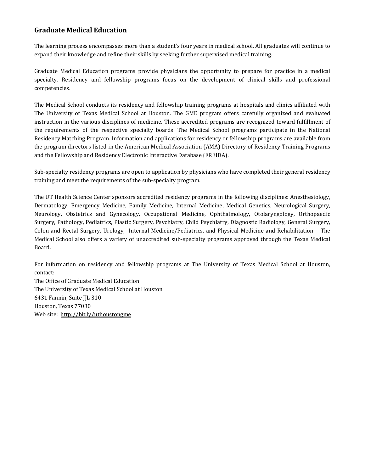# **Graduate Medical Education**

The learning process encompasses more than a student's four years in medical school. All graduates will continue to expand their knowledge and refine their skills by seeking further supervised medical training.

Graduate Medical Education programs provide physicians the opportunity to prepare for practice in a medical specialty. Residency and fellowship programs focus on the development of clinical skills and professional competencies.

The Medical School conducts its residency and fellowship training programs at hospitals and clinics affiliated with The University of Texas Medical School at Houston. The GME program offers carefully organized and evaluated instruction in the various disciplines of medicine. These accredited programs are recognized toward fulfillment of the requirements of the respective specialty boards. The Medical School programs participate in the National Residency Matching Program. Information and applications for residency or fellowship programs are available from the program directors listed in the American Medical Association (AMA) Directory of Residency Training Programs and the Fellowship and Residency Electronic Interactive Database (FREIDA).

Sub-specialty residency programs are open to application by physicians who have completed their general residency training and meet the requirements of the sub-specialty program.

The UT Health Science Center sponsors accredited residency programs in the following disciplines: Anesthesiology, Dermatology, Emergency Medicine, Family Medicine, Internal Medicine, Medical Genetics, Neurological Surgery, Neurology, Obstetrics and Gynecology, Occupational Medicine, Ophthalmology, Otolaryngology, Orthopaedic Surgery, Pathology, Pediatrics, Plastic Surgery, Psychiatry, Child Psychiatry, Diagnostic Radiology, General Surgery, Colon and Rectal Surgery, Urology, Internal Medicine/Pediatrics, and Physical Medicine and Rehabilitation. The Medical School also offers a variety of unaccredited sub-specialty programs approved through the Texas Medical Board.

For information on residency and fellowship programs at The University of Texas Medical School at Houston, contact:

The Office of Graduate Medical Education The University of Texas Medical School at Houston 6431 Fannin, Suite JJL 310 Houston, Texas 77030 Web site:<http://bit.ly/uthoustongme>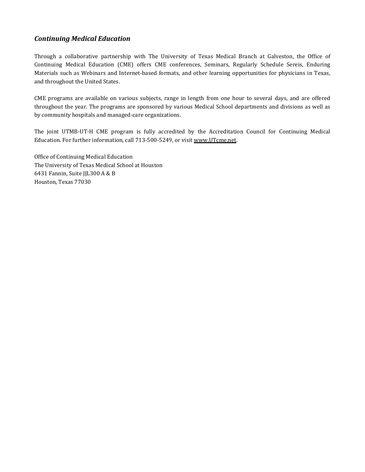# *Continuing Medical Education*

Through a collaborative partnership with The University of Texas Medical Branch at Galveston, the Office of Continuing Medical Education (CME) offers CME conferences, Seminars, Regularly Schedule Sereis, Enduring Materials such as Webinars and Internet-based formats, and other learning opportunities for physicians in Texas, and throughout the United States.

CME programs are available on various subjects, range in length from one hour to several days, and are offered throughout the year. The programs are sponsored by various Medical School departments and divisions as well as by community hospitals and managed-care organizations.

The joint UTMB-UT-H CME program is fully accredited by the Accreditation Council for Continuing Medical Education. For further information, call 713-500-5249, or visi[t www.UTcme.net.](http://www.utcme.net/) 

Office of Continuing Medical Education The University of Texas Medical School at Houston 6431 Fannin, Suite JJL300 A & B Houston, Texas 77030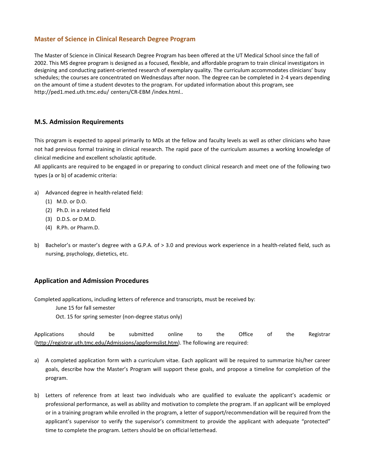# **Master of Science in Clinical Research Degree Program**

The Master of Science in Clinical Research Degree Program has been offered at the UT Medical School since the fall of 2002. This MS degree program is designed as a focused, flexible, and affordable program to train clinical investigators in designing and conducting patient-oriented research of exemplary quality. The curriculum accommodates clinicians' busy schedules; the courses are concentrated on Wednesdays after noon. The degree can be completed in 2-4 years depending on the amount of time a student devotes to the program. For updated information about this program, see http://ped1.med.uth.tmc.edu/ centers/CR-EBM /index.html..

# **M.S. Admission Requirements**

This program is expected to appeal primarily to MDs at the fellow and faculty levels as well as other clinicians who have not had previous formal training in clinical research. The rapid pace of the curriculum assumes a working knowledge of clinical medicine and excellent scholastic aptitude.

All applicants are required to be engaged in or preparing to conduct clinical research and meet one of the following two types (a or b) of academic criteria:

- a) Advanced degree in health-related field:
	- (1) M.D. or D.O.
	- (2) Ph.D. in a related field
	- (3) D.D.S. or D.M.D.
	- (4) R.Ph. or Pharm.D.
- b) Bachelor's or master's degree with a G.P.A. of > 3.0 and previous work experience in a health-related field, such as nursing, psychology, dietetics, etc.

# **Application and Admission Procedures**

Completed applications, including letters of reference and transcripts, must be received by: June 15 for fall semester Oct. 15 for spring semester (non-degree status only)

Applications should be submitted online to the Office of the Registrar (http://registrar.uth.tmc.edu/Admissions/appformslist.htm). The following are required:

- a) A completed application form with a curriculum vitae. Each applicant will be required to summarize his/her career goals, describe how the Master's Program will support these goals, and propose a timeline for completion of the program.
- b) Letters of reference from at least two individuals who are qualified to evaluate the applicant's academic or professional performance, as well as ability and motivation to complete the program. If an applicant will be employed or in a training program while enrolled in the program, a letter of support/recommendation will be required from the applicant's supervisor to verify the supervisor's commitment to provide the applicant with adequate "protected" time to complete the program. Letters should be on official letterhead.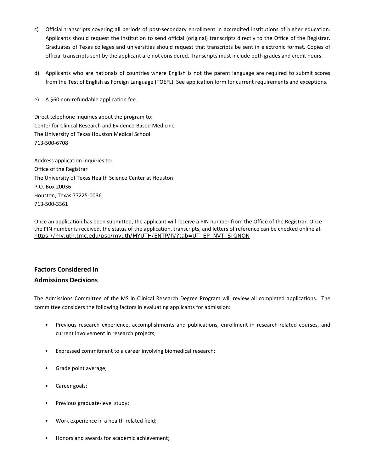- c) Official transcripts covering all periods of post-secondary enrollment in accredited institutions of higher education. Applicants should request the institution to send official (original) transcripts directly to the Office of the Registrar. Graduates of Texas colleges and universities should request that transcripts be sent in electronic format. Copies of official transcripts sent by the applicant are not considered. Transcripts must include both grades and credit hours.
- d) Applicants who are nationals of countries where English is not the parent language are required to submit scores from the Test of English as Foreign Language (TOEFL). See application form for current requirements and exceptions.
- e) A \$60 non-refundable application fee.

Direct telephone inquiries about the program to: Center for Clinical Research and Evidence-Based Medicine The University of Texas Houston Medical School 713-500-6708

Address application inquiries to: Office of the Registrar The University of Texas Health Science Center at Houston P.O. Box 20036 Houston, Texas 77225-0036 713-500-3361

Once an application has been submitted, the applicant will receive a PIN number from the Office of the Registrar. Once the PIN number is received, the status of the application, transcripts, and letters of reference can be checked online at [https://my.uth.tmc.edu/psp/myuth/MYUTH/ENTP/h/?tab=UT\\_EP\\_NVT\\_SIGNON](https://my.uth.tmc.edu/psp/myuth/MYUTH/ENTP/h/?tab=UT_EP_NVT_SIGNON)

# **Factors Considered in**

# **Admissions Decisions**

The Admissions Committee of the MS in Clinical Research Degree Program will review all completed applications. The committee considers the following factors in evaluating applicants for admission:

- Previous research experience, accomplishments and publications, enrollment in research-related courses, and current involvement in research projects;
- Expressed commitment to a career involving biomedical research;
- Grade point average;
- Career goals;
- Previous graduate-level study;
- Work experience in a health-related field;
- Honors and awards for academic achievement;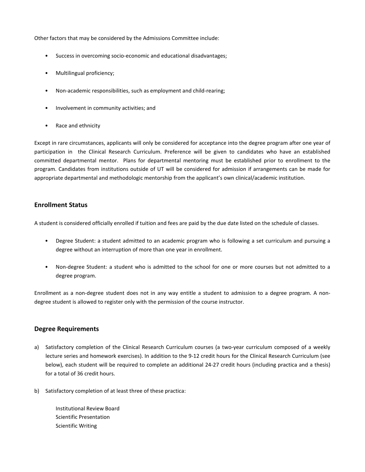Other factors that may be considered by the Admissions Committee include:

- Success in overcoming socio-economic and educational disadvantages;
- Multilingual proficiency;
- Non-academic responsibilities, such as employment and child-rearing;
- Involvement in community activities; and
- Race and ethnicity

Except in rare circumstances, applicants will only be considered for acceptance into the degree program after one year of participation in the Clinical Research Curriculum. Preference will be given to candidates who have an established committed departmental mentor. Plans for departmental mentoring must be established prior to enrollment to the program. Candidates from institutions outside of UT will be considered for admission if arrangements can be made for appropriate departmental and methodologic mentorship from the applicant's own clinical/academic institution.

# **Enrollment Status**

A student is considered officially enrolled if tuition and fees are paid by the due date listed on the schedule of classes.

- Degree Student: a student admitted to an academic program who is following a set curriculum and pursuing a degree without an interruption of more than one year in enrollment.
- Non-degree Student: a student who is admitted to the school for one or more courses but not admitted to a degree program.

Enrollment as a non-degree student does not in any way entitle a student to admission to a degree program. A nondegree student is allowed to register only with the permission of the course instructor.

# **Degree Requirements**

- a) Satisfactory completion of the Clinical Research Curriculum courses (a two-year curriculum composed of a weekly lecture series and homework exercises). In addition to the 9-12 credit hours for the Clinical Research Curriculum (see below), each student will be required to complete an additional 24-27 credit hours (including practica and a thesis) for a total of 36 credit hours.
- b) Satisfactory completion of at least three of these practica:

Institutional Review Board Scientific Presentation Scientific Writing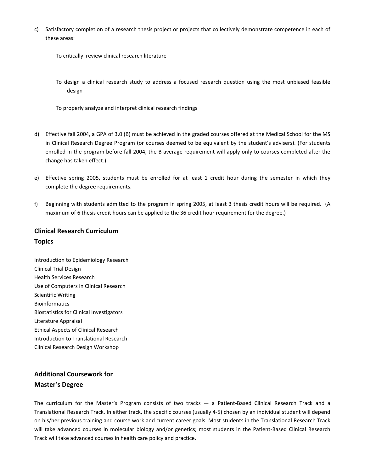c) Satisfactory completion of a research thesis project or projects that collectively demonstrate competence in each of these areas:

To critically review clinical research literature

- To design a clinical research study to address a focused research question using the most unbiased feasible design
- To properly analyze and interpret clinical research findings
- d) Effective fall 2004, a GPA of 3.0 (B) must be achieved in the graded courses offered at the Medical School for the MS in Clinical Research Degree Program (or courses deemed to be equivalent by the student's advisers). (For students enrolled in the program before fall 2004, the B average requirement will apply only to courses completed after the change has taken effect.)
- e) Effective spring 2005, students must be enrolled for at least 1 credit hour during the semester in which they complete the degree requirements.
- f) Beginning with students admitted to the program in spring 2005, at least 3 thesis credit hours will be required. (A maximum of 6 thesis credit hours can be applied to the 36 credit hour requirement for the degree.)

# **Clinical Research Curriculum Topics**

Introduction to Epidemiology Research Clinical Trial Design Health Services Research Use of Computers in Clinical Research Scientific Writing Bioinformatics Biostatistics for Clinical Investigators Literature Appraisal Ethical Aspects of Clinical Research Introduction to Translational Research Clinical Research Design Workshop

# **Additional Coursework for Master's Degree**

The curriculum for the Master's Program consists of two tracks — a Patient-Based Clinical Research Track and a Translational Research Track. In either track, the specific courses (usually 4-5) chosen by an individual student will depend on his/her previous training and course work and current career goals. Most students in the Translational Research Track will take advanced courses in molecular biology and/or genetics; most students in the Patient-Based Clinical Research Track will take advanced courses in health care policy and practice.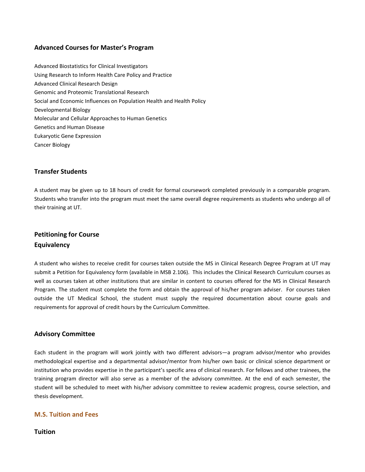# **Advanced Courses for Master's Program**

Advanced Biostatistics for Clinical Investigators Using Research to Inform Health Care Policy and Practice Advanced Clinical Research Design Genomic and Proteomic Translational Research Social and Economic Influences on Population Health and Health Policy Developmental Biology Molecular and Cellular Approaches to Human Genetics Genetics and Human Disease Eukaryotic Gene Expression Cancer Biology

# **Transfer Students**

A student may be given up to 18 hours of credit for formal coursework completed previously in a comparable program. Students who transfer into the program must meet the same overall degree requirements as students who undergo all of their training at UT.

# **Petitioning for Course Equivalency**

A student who wishes to receive credit for courses taken outside the MS in Clinical Research Degree Program at UT may submit a Petition for Equivalency form (available in MSB 2.106). This includes the Clinical Research Curriculum courses as well as courses taken at other institutions that are similar in content to courses offered for the MS in Clinical Research Program. The student must complete the form and obtain the approval of his/her program adviser. For courses taken outside the UT Medical School, the student must supply the required documentation about course goals and requirements for approval of credit hours by the Curriculum Committee.

# **Advisory Committee**

Each student in the program will work jointly with two different advisors—a program advisor/mentor who provides methodological expertise and a departmental advisor/mentor from his/her own basic or clinical science department or institution who provides expertise in the participant's specific area of clinical research. For fellows and other trainees, the training program director will also serve as a member of the advisory committee. At the end of each semester, the student will be scheduled to meet with his/her advisory committee to review academic progress, course selection, and thesis development.

# **M.S. Tuition and Fees**

**Tuition**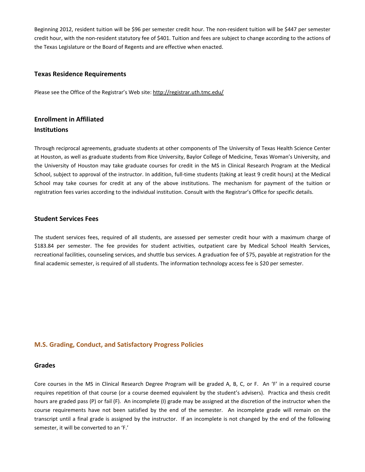Beginning 2012, resident tuition will be \$96 per semester credit hour. The non-resident tuition will be \$447 per semester credit hour, with the non-resident statutory fee of \$401. Tuition and fees are subject to change according to the actions of the Texas Legislature or the Board of Regents and are effective when enacted.

#### **Texas Residence Requirements**

Please see the Office of the Registrar's Web site:<http://registrar.uth.tmc.edu/>

# **Enrollment in Affiliated Institutions**

Through reciprocal agreements, graduate students at other components of The University of Texas Health Science Center at Houston, as well as graduate students from Rice University, Baylor College of Medicine, Texas Woman's University, and the University of Houston may take graduate courses for credit in the MS in Clinical Research Program at the Medical School, subject to approval of the instructor. In addition, full-time students (taking at least 9 credit hours) at the Medical School may take courses for credit at any of the above institutions. The mechanism for payment of the tuition or registration fees varies according to the individual institution. Consult with the Registrar's Office for specific details.

#### **Student Services Fees**

The student services fees, required of all students, are assessed per semester credit hour with a maximum charge of \$183.84 per semester. The fee provides for student activities, outpatient care by Medical School Health Services, recreational facilities, counseling services, and shuttle bus services. A graduation fee of \$75, payable at registration for the final academic semester, is required of all students. The information technology access fee is \$20 per semester.

# **M.S. Grading, Conduct, and Satisfactory Progress Policies**

#### **Grades**

Core courses in the MS in Clinical Research Degree Program will be graded A, B, C, or F. An 'F' in a required course requires repetition of that course (or a course deemed equivalent by the student's advisers). Practica and thesis credit hours are graded pass (P) or fail (F). An incomplete (I) grade may be assigned at the discretion of the instructor when the course requirements have not been satisfied by the end of the semester. An incomplete grade will remain on the transcript until a final grade is assigned by the instructor. If an incomplete is not changed by the end of the following semester, it will be converted to an 'F.'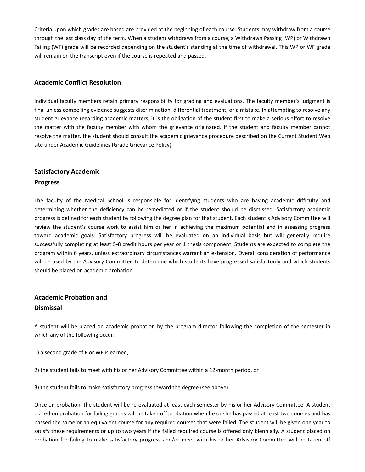Criteria upon which grades are based are provided at the beginning of each course. Students may withdraw from a course through the last class day of the term. When a student withdraws from a course, a Withdrawn Passing (WP) or Withdrawn Failing (WF) grade will be recorded depending on the student's standing at the time of withdrawal. This WP or WF grade will remain on the transcript even if the course is repeated and passed.

# **Academic Conflict Resolution**

Individual faculty members retain primary responsibility for grading and evaluations. The faculty member's judgment is final unless compelling evidence suggests discrimination, differential treatment, or a mistake. In attempting to resolve any student grievance regarding academic matters, it is the obligation of the student first to make a serious effort to resolve the matter with the faculty member with whom the grievance originated. If the student and faculty member cannot resolve the matter, the student should consult the academic grievance procedure described on the Current Student Web site under Academic Guidelines (Grade Grievance Policy).

# **Satisfactory Academic**

# **Progress**

The faculty of the Medical School is responsible for identifying students who are having academic difficulty and determining whether the deficiency can be remediated or if the student should be dismissed. Satisfactory academic progress is defined for each student by following the degree plan for that student. Each student's Advisory Committee will review the student's course work to assist him or her in achieving the maximum potential and in assessing progress toward academic goals. Satisfactory progress will be evaluated on an individual basis but will generally require successfully completing at least 5-8 credit hours per year or 1 thesis component. Students are expected to complete the program within 6 years, unless extraordinary circumstances warrant an extension. Overall consideration of performance will be used by the Advisory Committee to determine which students have progressed satisfactorily and which students should be placed on academic probation.

# **Academic Probation and Dismissal**

A student will be placed on academic probation by the program director following the completion of the semester in which any of the following occur:

1) a second grade of F or WF is earned,

2) the student fails to meet with his or her Advisory Committee within a 12-month period, or

3) the student fails to make satisfactory progress toward the degree (see above).

Once on probation, the student will be re-evaluated at least each semester by his or her Advisory Committee. A student placed on probation for failing grades will be taken off probation when he or she has passed at least two courses and has passed the same or an equivalent course for any required courses that were failed. The student will be given one year to satisfy these requirements or up to two years if the failed required course is offered only biennially. A student placed on probation for failing to make satisfactory progress and/or meet with his or her Advisory Committee will be taken off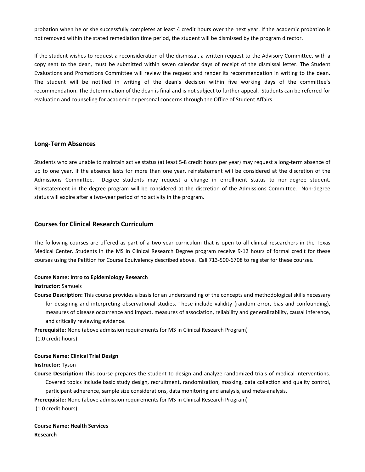probation when he or she successfully completes at least 4 credit hours over the next year. If the academic probation is not removed within the stated remediation time period, the student will be dismissed by the program director.

If the student wishes to request a reconsideration of the dismissal, a written request to the Advisory Committee, with a copy sent to the dean, must be submitted within seven calendar days of receipt of the dismissal letter. The Student Evaluations and Promotions Committee will review the request and render its recommendation in writing to the dean. The student will be notified in writing of the dean's decision within five working days of the committee's recommendation. The determination of the dean is final and is not subject to further appeal. Students can be referred for evaluation and counseling for academic or personal concerns through the Office of Student Affairs.

# **Long-Term Absences**

Students who are unable to maintain active status (at least 5-8 credit hours per year) may request a long-term absence of up to one year. If the absence lasts for more than one year, reinstatement will be considered at the discretion of the Admissions Committee. Degree students may request a change in enrollment status to non-degree student. Reinstatement in the degree program will be considered at the discretion of the Admissions Committee. Non-degree status will expire after a two-year period of no activity in the program.

# **Courses for Clinical Research Curriculum**

The following courses are offered as part of a two-year curriculum that is open to all clinical researchers in the Texas Medical Center. Students in the MS in Clinical Research Degree program receive 9-12 hours of formal credit for these courses using the Petition for Course Equivalency described above. Call 713-500-6708 to register for these courses.

# **Course Name: Intro to Epidemiology Research**

#### **Instructor:** Samuels

**Course Description:** This course provides a basis for an understanding of the concepts and methodological skills necessary for designing and interpreting observational studies. These include validity (random error, bias and confounding), measures of disease occurrence and impact, measures of association, reliability and generalizability, causal inference, and critically reviewing evidence.

**Prerequisite:** None (above admission requirements for MS in Clinical Research Program)

(1.0 credit hours).

# **Course Name: Clinical Trial Design**

# **Instructor:** Tyson

**Course Description:** This course prepares the student to design and analyze randomized trials of medical interventions. Covered topics include basic study design, recruitment, randomization, masking, data collection and quality control, participant adherence, sample size considerations, data monitoring and analysis, and meta-analysis.

**Prerequisite:** None (above admission requirements for MS in Clinical Research Program)

(1.0 credit hours).

**Course Name: Health Services Research**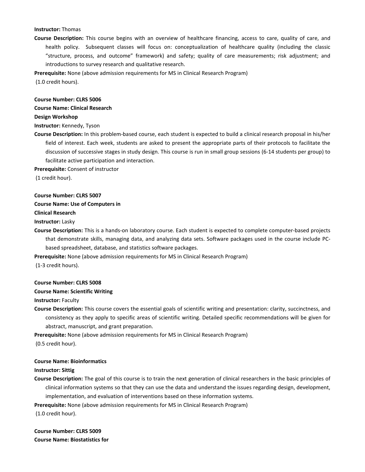# **Instructor:** Thomas

**Course Description:** This course begins with an overview of healthcare financing, access to care, quality of care, and health policy. Subsequent classes will focus on: conceptualization of healthcare quality (including the classic "structure, process, and outcome" framework) and safety; quality of care measurements; risk adjustment; and introductions to survey research and qualitative research.

**Prerequisite:** None (above admission requirements for MS in Clinical Research Program)

(1.0 credit hours).

# **Course Number: CLRS 5006**

#### **Course Name: Clinical Research**

#### **Design Workshop**

**Instructor:** Kennedy, Tyson

**Course Description:** In this problem-based course, each student is expected to build a clinical research proposal in his/her field of interest. Each week, students are asked to present the appropriate parts of their protocols to facilitate the discussion of successive stages in study design. This course is run in small group sessions (6-14 students per group) to facilitate active participation and interaction.

**Prerequisite:** Consent of instructor

(1 credit hour).

#### **Course Number: CLRS 5007**

#### **Course Name: Use of Computers in**

**Clinical Research**

**Instructor:** Lasky

**Course Description:** This is a hands-on laboratory course. Each student is expected to complete computer-based projects that demonstrate skills, managing data, and analyzing data sets. Software packages used in the course include PCbased spreadsheet, database, and statistics software packages.

**Prerequisite:** None (above admission requirements for MS in Clinical Research Program)

(1-3 credit hours).

#### **Course Number: CLRS 5008**

#### **Course Name: Scientific Writing**

**Instructor:** Faculty

**Course Description:** This course covers the essential goals of scientific writing and presentation: clarity, succinctness, and consistency as they apply to specific areas of scientific writing. Detailed specific recommendations will be given for abstract, manuscript, and grant preparation.

**Prerequisite:** None (above admission requirements for MS in Clinical Research Program)

(0.5 credit hour).

#### **Course Name: Bioinformatics**

#### **Instructor: Sittig**

**Course Description:** The goal of this course is to train the next generation of clinical researchers in the basic principles of clinical information systems so that they can use the data and understand the issues regarding design, development, implementation, and evaluation of interventions based on these information systems.

**Prerequisite:** None (above admission requirements for MS in Clinical Research Program)

(1.0 credit hour).

**Course Number: CLRS 5009 Course Name: Biostatistics for**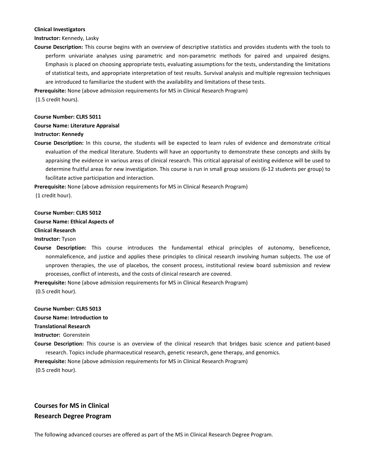#### **Clinical Investigators**

#### **Instructor:** Kennedy, Lasky

**Course Description:** This course begins with an overview of descriptive statistics and provides students with the tools to perform univariate analyses using parametric and non-parametric methods for paired and unpaired designs. Emphasis is placed on choosing appropriate tests, evaluating assumptions for the tests, understanding the limitations of statistical tests, and appropriate interpretation of test results. Survival analysis and multiple regression techniques are introduced to familiarize the student with the availability and limitations of these tests.

**Prerequisite:** None (above admission requirements for MS in Clinical Research Program)

(1.5 credit hours).

#### **Course Number: CLRS 5011**

#### **Course Name: Literature Appraisal**

#### **Instructor: Kennedy**

**Course Description:** In this course, the students will be expected to learn rules of evidence and demonstrate critical evaluation of the medical literature. Students will have an opportunity to demonstrate these concepts and skills by appraising the evidence in various areas of clinical research. This critical appraisal of existing evidence will be used to determine fruitful areas for new investigation. This course is run in small group sessions (6-12 students per group) to facilitate active participation and interaction.

**Prerequisite:** None (above admission requirements for MS in Clinical Research Program) (1 credit hour).

#### **Course Number: CLRS 5012**

#### **Course Name: Ethical Aspects of**

**Clinical Research**

**Instructor:** Tyson

**Course Description:** This course introduces the fundamental ethical principles of autonomy, beneficence, nonmaleficence, and justice and applies these principles to clinical research involving human subjects. The use of unproven therapies, the use of placebos, the consent process, institutional review board submission and review processes, conflict of interests, and the costs of clinical research are covered.

**Prerequisite:** None (above admission requirements for MS in Clinical Research Program) (0.5 credit hour).

#### **Course Number: CLRS 5013**

**Course Name: Introduction to**

**Translational Research**

**Instructor:** Gorenstein

**Course Description:** This course is an overview of the clinical research that bridges basic science and patient-based research. Topics include pharmaceutical research, genetic research, gene therapy, and genomics.

**Prerequisite:** None (above admission requirements for MS in Clinical Research Program) (0.5 credit hour).

# **Courses for MS in Clinical Research Degree Program**

The following advanced courses are offered as part of the MS in Clinical Research Degree Program.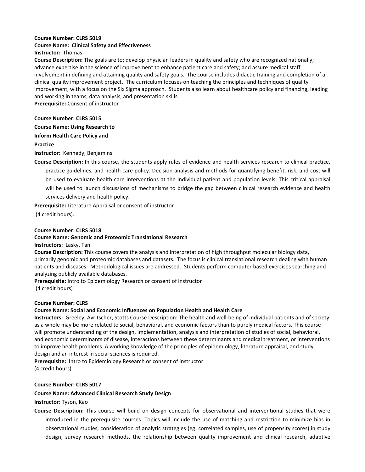#### **Course Number: CLRS 5019 Course Name: Clinical Safety and Effectiveness Instructor:** Thomas

**Course Description:** The goals are to: develop physician leaders in quality and safety who are recognized nationally; advance expertise in the science of improvement to enhance patient care and safety; and assure medical staff involvement in defining and attaining quality and safety goals. The course includes didactic training and completion of a clinical quality improvement project. The curriculum focuses on teaching the principles and techniques of quality improvement, with a focus on the Six Sigma approach. Students also learn about healthcare policy and financing, leading and working in teams, data analysis, and presentation skills.

**Prerequisite:** Consent of instructor

# **Course Number: CLRS 5015**

# **Course Name: Using Research to**

**Inform Health Care Policy and**

# **Practice**

#### **Instructor:** Kennedy, Benjamins

**Course Description:** In this course, the students apply rules of evidence and health services research to clinical practice, practice guidelines, and health care policy. Decision analysis and methods for quantifying benefit, risk, and cost will be used to evaluate health care interventions at the individual patient and population levels. This critical appraisal will be used to launch discussions of mechanisms to bridge the gap between clinical research evidence and health services delivery and health policy.

**Prerequisite:** Literature Appraisal or consent of instructor

(4 credit hours).

# **Course Number: CLRS 5018**

#### **Course Name: Genomic and Proteomic Translational Research**

#### **Instructors:** Lasky, Tan

**Course Description:** This course covers the analysis and interpretation of high throughput molecular biology data, primarily genomic and proteomic databases and datasets. The focus is clinical translational research dealing with human patients and diseases. Methodological issues are addressed. Students perform computer based exercises searching and analyzing publicly available databases.

**Prerequisite:** Intro to Epidemiology Research or consent of instructor (4 credit hours)

#### **Course Number: CLRS Course Name: Social and Economic Influences on Population Health and Health Care**

**Instructors:** Greeley, Avritscher, Stotts Course Description: The health and well-being of individual patients and of society as a whole may be more related to social, behavioral, and economic factors than to purely medical factors. This course will promote understanding of the design, implementation, analysis and interpretation of studies of social, behavioral, and economic determinants of disease, interactions between these determinants and medical treatment, or interventions to improve health problems. A working knowledge of the principles of epidemiology, literature appraisal, and study design and an interest in social sciences is required.

**Prerequisite:** Intro to Epidemiology Research or consent of instructor (4 credit hours)

# **Course Number: CLRS 5017**

# **Course Name: Advanced Clinical Research Study Design**

# **Instructor:** Tyson, Kao

**Course Description:** This course will build on design concepts for observational and interventional studies that were introduced in the prerequisite courses. Topics will include the use of matching and restriction to minimize bias in observational studies, consideration of analytic strategies (eg. correlated samples, use of propensity scores) in study design, survey research methods, the relationship between quality improvement and clinical research, adaptive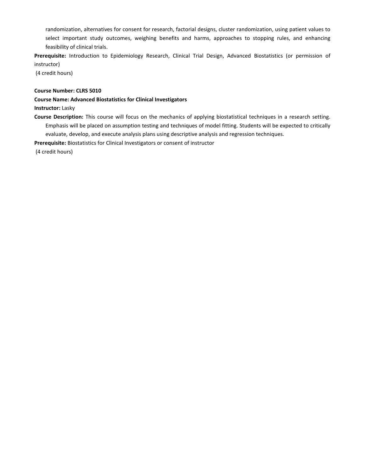randomization, alternatives for consent for research, factorial designs, cluster randomization, using patient values to select important study outcomes, weighing benefits and harms, approaches to stopping rules, and enhancing feasibility of clinical trials.

**Prerequisite:** Introduction to Epidemiology Research, Clinical Trial Design, Advanced Biostatistics (or permission of instructor)

(4 credit hours)

#### **Course Number: CLRS 5010**

#### **Course Name: Advanced Biostatistics for Clinical Investigators**

#### **Instructor:** Lasky

**Course Description:** This course will focus on the mechanics of applying biostatistical techniques in a research setting. Emphasis will be placed on assumption testing and techniques of model fitting. Students will be expected to critically evaluate, develop, and execute analysis plans using descriptive analysis and regression techniques.

**Prerequisite:** Biostatistics for Clinical Investigators or consent of instructor

(4 credit hours)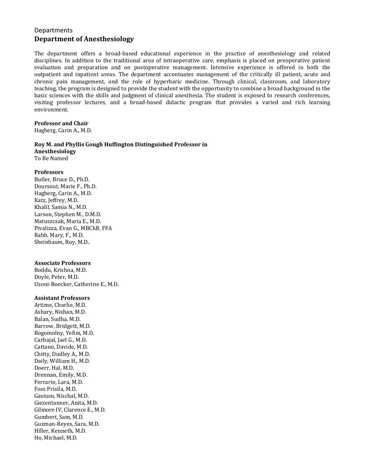# **Departments Department of Anesthesiology**

The department offers a broad-based educational experience in the practice of anesthesiology and related disciplines. In addition to the traditional area of intraoperative care, emphasis is placed on preoperative patient evaluation and preparation and on postoperative management. Intensive experience is offered in both the outpatient and inpatient areas. The department accentuates management of the critically ill patient, acute and chronic pain management, and the role of hyperbaric medicine. Through clinical, classroom, and laboratory teaching, the program is designed to provide the student with the opportunity to combine a broad background in the basic sciences with the skills and judgment of clinical anesthesia. The student is exposed to research conferences, visiting professor lectures, and a broad-based didactic program that provides a varied and rich learning environment.

# **Professor and Chair**

Hagberg, Carin A., M.D.

# **Roy M. and Phyllis Gough Huffington Distinguished Professor in Anesthesiology**

To Be Named

# **Professors**

Butler, Bruce D., Ph.D. Doursout, Marie F., Ph.D. Hagberg, Carin A., M.D. Katz, Jeffrey, M.D. Khalil, Samia N., M.D. Larson, Stephen M., D.M.D. Matuszczak, Maria E., M.D. Pivalizza, Evan G., MBChB, FFA Rabb, Mary, F., M.D. Sheinbaum, Roy, M.D..

# **Associate Professors**

Boddu, Krishna, M.D. Doyle, Peter, M.D. Uzoni-Boecker, Catherine E., M.D.

# **Assistant Professors**

Artime, Charlie, M.D. Ashary, Nishan, M.D. Balan, Sudha, M.D. Barrow, Bridgett, M.D. Bogomolny, Yefim, M.D. Carbajal, Jael G., M.D. Cattano, Davide, M.D. Chitty, Dudley A., M.D. Daily, William H., M.D. Doerr, Hal, M.D. Drennan, Emily, M.D. Ferrario, Lara, M.D. Foss Prisila, M.D. Gautam, Nischal, M.D. Giezentanner, Anita, M.D. Gilmore IV, Clarence E., M.D. Gumbert, Sam, M.D. Guzman-Reyes, Sara, M.D. Hiller, Kenneth, M.D. Ho, Michael, M.D.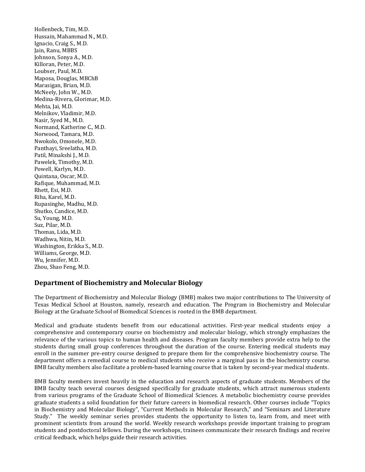Hollenbeck, Tim, M.D. Hussain, Mahammad N., M.D. Ignacio, Craig S., M.D. Jain, Ranu, MBBS Johnson, Sonya A., M.D. Killoran, Peter, M.D. Loubser, Paul, M.D. Maposa, Douglas, MBChB Marasigan, Brian, M.D. McNeely, John W., M.D. Medina-Rivera, Glorimar, M.D. Mehta, Jai, M.D. Melnikov, Vladimir, M.D. Nasir, Syed M., M.D. Normand, Katherine C., M.D. Norwood, Tamara, M.D. Nwokolo, Omonele, M.D. Panthayi, Sreelatha, M.D. Patil, Minakshi J., M.D. Pawelek, Timothy, M.D. Powell, Karlyn, M.D. Quintana, Oscar, M.D. Rafique, Muhammad, M.D. Rhett, Esi, M.D. Riha, Karel, M.D. Rupasinghe, Madhu, M.D. Shutko, Candice, M.D. Su, Young, M.D. Suz, Pilar, M.D. Thomas, Lida, M.D. Wadhwa, Nitin, M.D. Washington, Erikka S., M.D. Williams, George, M.D. Wu, Jennifer, M.D. Zhou, Shao Feng, M.D.

# **Department of Biochemistry and Molecular Biology**

The Department of Biochemistry and Molecular Biology (BMB) makes two major contributions to The University of Texas Medical School at Houston, namely, research and education. The Program in Biochemistry and Molecular Biology at the Graduate School of Biomedical Sciences is rooted in the BMB department.

Medical and graduate students benefit from our educational activities. First-year medical students enjoy a comprehensive and contemporary course on biochemistry and molecular biology, which strongly emphasizes the relevance of the various topics to human health and diseases. Program faculty members provide extra help to the students during small group conferences throughout the duration of the course. Entering medical students may enroll in the summer pre-entry course designed to prepare them for the comprehensive biochemistry course. The department offers a remedial course to medical students who receive a marginal pass in the biochemistry course. BMB faculty members also facilitate a problem-based learning course that is taken by second-year medical students.

BMB faculty members invest heavily in the education and research aspects of graduate students. Members of the BMB faculty teach several courses designed specifically for graduate students, which attract numerous students from various programs of the Graduate School of Biomedical Sciences. A metabolic biochemistry course provides graduate students a solid foundation for their future careers in biomedical research. Other courses include "Topics in Biochemistry and Molecular Biology", "Current Methods in Molecular Research," and "Seminars and Literature Study." The weekly seminar series provides students the opportunity to listen to, learn from, and meet with prominent scientists from around the world. Weekly research workshops provide important training to program students and postdoctoral fellows. During the workshops, trainees communicate their research findings and receive critical feedback, which helps guide their research activities.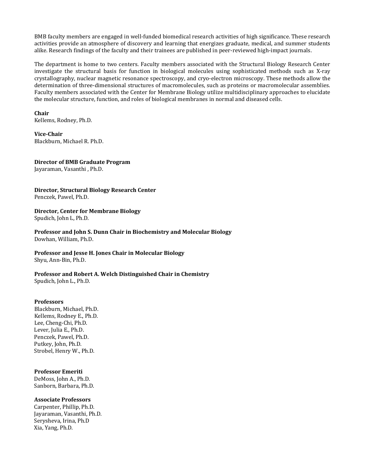BMB faculty members are engaged in well-funded biomedical research activities of high significance. These research activities provide an atmosphere of discovery and learning that energizes graduate, medical, and summer students alike. Research findings of the faculty and their trainees are published in peer-reviewed high-impact journals.

The department is home to two centers. Faculty members associated with the Structural Biology Research Center investigate the structural basis for function in biological molecules using sophisticated methods such as X-ray crystallography, nuclear magnetic resonance spectroscopy, and cryo-electron microscopy. These methods allow the determination of three-dimensional structures of macromolecules, such as proteins or macromolecular assemblies. Faculty members associated with the Center for Membrane Biology utilize multidisciplinary approaches to elucidate the molecular structure, function, and roles of biological membranes in normal and diseased cells.

# **Chair**

Kellems, Rodney, Ph.D.

**Vice-Chair** Blackburn, Michael R. Ph.D.

#### **Director of BMB Graduate Program**

Jayaraman, Vasanthi , Ph.D.

# **Director, Structural Biology Research Center**

Penczek, Pawel, Ph.D.

# **Director, Center for Membrane Biology**

Spudich, John L, Ph.D.

**Professor and John S. Dunn Chair in Biochemistry and Molecular Biology**  Dowhan, William, Ph.D.

#### **Professor and Jesse H. Jones Chair in Molecular Biology** Shyu, Ann-Bin, Ph.D.

# **Professor and Robert A. Welch Distinguished Chair in Chemistry**

Spudich, John L., Ph.D.

# **Professors**

Blackburn, Michael, Ph.D. Kellems, Rodney E., Ph.D. Lee, Cheng-Chi, Ph.D. Lever, Julia E., Ph.D. Penczek, Pawel, Ph.D. Putkey, John, Ph.D. Strobel, Henry W., Ph.D.

# **Professor Emeriti**

DeMoss, John A., Ph.D. Sanborn, Barbara, Ph.D.

# **Associate Professors**

Carpenter, Phillip, Ph.D. Jayaraman, Vasanthi, Ph.D. Serysheva, Irina, Ph.D Xia, Yang, Ph.D.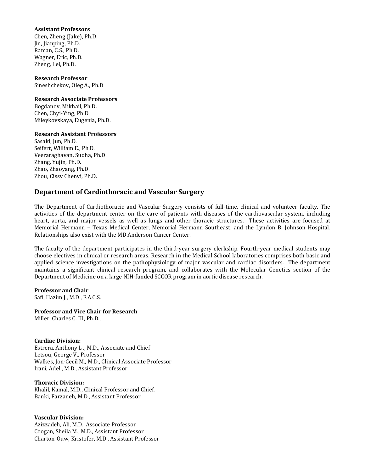#### **Assistant Professors**

Chen, Zheng (Jake), Ph.D. Jin, Jianping, Ph.D. Raman, C.S., Ph.D. Wagner, Eric, Ph.D. Zheng, Lei, Ph.D.

**Research Professor** Sineshchekov, Oleg A., Ph.D

#### **Research Associate Professors**

Bogdanov, Mikhail, Ph.D. Chen, Chyi-Ying, Ph.D. Mileykovskaya, Eugenia, Ph.D.

# **Research Assistant Professors**

Sasaki, Jun, Ph.D. Seifert, William E., Ph.D. Veeraraghavan, Sudha, Ph.D. Zhang, Yujin, Ph.D. Zhao, Zhaoyang, Ph.D. Zhou, Cissy Chenyi, Ph.D.

# **Department of Cardiothoracic and Vascular Surgery**

The Department of Cardiothoracic and Vascular Surgery consists of full-time, clinical and volunteer faculty. The activities of the department center on the care of patients with diseases of the cardiovascular system, including heart, aorta, and major vessels as well as lungs and other thoracic structures. These activities are focused at Memorial Hermann – Texas Medical Center, Memorial Hermann Southeast, and the Lyndon B. Johnson Hospital. Relationships also exist with the MD Anderson Cancer Center.

The faculty of the department participates in the third-year surgery clerkship. Fourth-year medical students may choose electives in clinical or research areas. Research in the Medical School laboratories comprises both basic and applied science investigations on the pathophysiology of major vascular and cardiac disorders. The department maintains a significant clinical research program, and collaborates with the Molecular Genetics section of the Department of Medicine on a large NIH-funded SCCOR program in aortic disease research.

**Professor and Chair** Safi, Hazim J., M.D., F.A.C.S.

**Professor and Vice Chair for Research** Miller, Charles C. III, Ph.D.,

# **Cardiac Division:**

Estrera, Anthony L ., M.D., Associate and Chief Letsou, George V., Professor Walkes, Jon-Cecil M., M.D., Clinical Associate Professor Irani, Adel , M.D., Assistant Professor

# **Thoracic Division:**

Khalil, Kamal, M.D., Clinical Professor and Chief. Banki, Farzaneh, M.D., Assistant Professor

# **Vascular Division:**

Azizzadeh, Ali, M.D., Associate Professor Coogan, Sheila M., M.D., Assistant Professor Charton-Ouw, Kristofer, M.D., Assistant Professor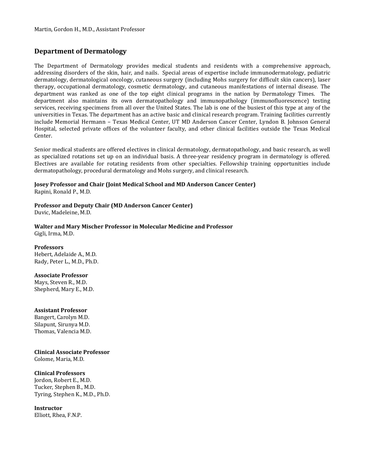# **Department of Dermatology**

The Department of Dermatology provides medical students and residents with a comprehensive approach, addressing disorders of the skin, hair, and nails. Special areas of expertise include immunodermatology, pediatric dermatology, dermatological oncology, cutaneous surgery (including Mohs surgery for difficult skin cancers), laser therapy, occupational dermatology, cosmetic dermatology, and cutaneous manifestations of internal disease. The department was ranked as one of the top eight clinical programs in the nation by Dermatology Times. The department also maintains its own dermatopathology and immunopathology (immunofluorescence) testing services, receiving specimens from all over the United States. The lab is one of the busiest of this type at any of the universities in Texas. The department has an active basic and clinical research program. Training facilities currently include Memorial Hermann – Texas Medical Center, UT MD Anderson Cancer Center, Lyndon B. Johnson General Hospital, selected private offices of the volunteer faculty, and other clinical facilities outside the Texas Medical Center.

Senior medical students are offered electives in clinical dermatology, dermatopathology, and basic research, as well as specialized rotations set up on an individual basis. A three-year residency program in dermatology is offered. Electives are available for rotating residents from other specialties. Fellowship training opportunities include dermatopathology, procedural dermatology and Mohs surgery, and clinical research.

# **Josey Professor and Chair (Joint Medical School and MD Anderson Cancer Center)**

Rapini, Ronald P., M.D.

# **Professor and Deputy Chair (MD Anderson Cancer Center)**

Duvic, Madeleine, M.D.

#### **Walter and Mary Mischer Professor in Molecular Medicine and Professor** Gigli, Irma, M.D.

# **Professors**

Hebert, Adelaide A., M.D. Rady, Peter L., M.D., Ph.D.

# **Associate Professor**

Mays, Steven R., M.D. Shepherd, Mary E., M.D.

# **Assistant Professor**

Bangert, Carolyn M.D. Silapunt, Sirunya M.D. Thomas, Valencia M.D.

# **Clinical Associate Professor**

Colome, Maria, M.D.

# **Clinical Professors**

Jordon, Robert E., M.D. Tucker, Stephen B., M.D. Tyring, Stephen K., M.D., Ph.D.

# **Instructor**

Elliott, Rhea, F.N.P.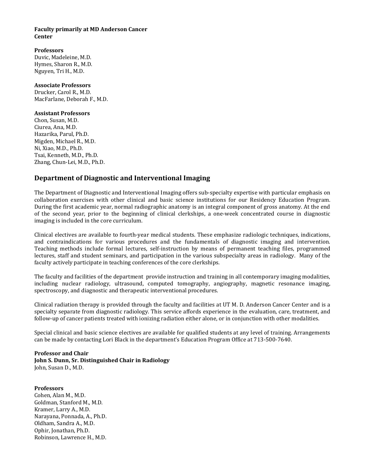# **Faculty primarily at MD Anderson Cancer Center**

# **Professors**

Duvic, Madeleine, M.D. Hymes, Sharon R., M.D. Nguyen, Tri H., M.D.

# **Associate Professors**

Drucker, Carol R., M.D. MacFarlane, Deborah F., M.D.

# **Assistant Professors**

Chon, Susan, M.D. Ciurea, Ana, M.D. Hazarika, Parul, Ph.D. Migden, Michael R., M.D. Ni, Xiao, M.D., Ph.D. Tsai, Kenneth, M.D., Ph.D. Zhang, Chun-Lei, M.D., Ph.D.

# **Department of Diagnostic and Interventional Imaging**

The Department of Diagnostic and Interventional Imaging offers sub-specialty expertise with particular emphasis on collaboration exercises with other clinical and basic science institutions for our Residency Education Program. During the first academic year, normal radiographic anatomy is an integral component of gross anatomy. At the end of the second year, prior to the beginning of clinical clerkships, a one-week concentrated course in diagnostic imaging is included in the core curriculum.

Clinical electives are available to fourth-year medical students. These emphasize radiologic techniques, indications, and contraindications for various procedures and the fundamentals of diagnostic imaging and intervention. Teaching methods include formal lectures, self-instruction by means of permanent teaching files, programmed lectures, staff and student seminars, and participation in the various subspecialty areas in radiology. Many of the faculty actively participate in teaching conferences of the core clerkships.

The faculty and facilities of the department provide instruction and training in all contemporary imaging modalities, including nuclear radiology, ultrasound, computed tomography, angiography, magnetic resonance imaging, spectroscopy, and diagnostic and therapeutic interventional procedures.

Clinical radiation therapy is provided through the faculty and facilities at UT M. D. Anderson Cancer Center and is a specialty separate from diagnostic radiology. This service affords experience in the evaluation, care, treatment, and follow-up of cancer patients treated with ionizing radiation either alone, or in conjunction with other modalities.

Special clinical and basic science electives are available for qualified students at any level of training. Arrangements can be made by contacting Lori Black in the department's Education Program Office at 713-500-7640.

# **Professor and Chair John S. Dunn, Sr. Distinguished Chair in Radiology**  John, Susan D., M.D.

# **Professors**

Cohen, Alan M., M.D. Goldman, Stanford M., M.D. Kramer, Larry A., M.D. Narayana, Ponnada, A., Ph.D. Oldham, Sandra A., M.D. Ophir, Jonathan, Ph.D. Robinson, Lawrence H., M.D.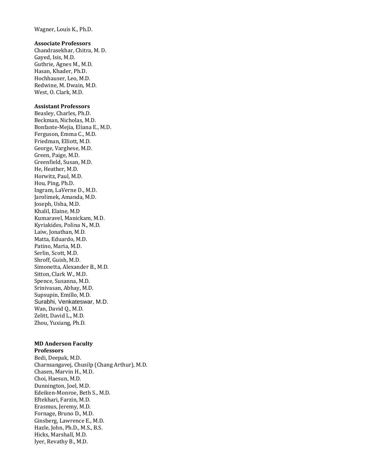Wagner, Louis K., Ph.D.

#### **Associate Professors**

Chandrasekhar, Chitra, M. D. Gayed, Isis, M.D. Guthrie, Agnes M., M.D. Hasan, Khader, Ph.D. Hochhauser, Leo, M.D. Redwine, M. Dwain, M.D. West, O. Clark, M.D.

#### **Assistant Professors**

Beasley, Charles, Ph.D. Beckman, Nicholas, M.D. Bonfante-Mejia, Eliana E., M.D. Ferguson, Emma C., M.D. Friedman, Elliott, M.D. George, Varghese, M.D. Green, Paige, M.D. Greenfield, Susan, M.D. He, Heather, M.D. Horwitz, Paul, M.D. Hou, Ping, Ph.D. Ingram, LaVerne D., M.D. Jarolimek, Amanda, M.D. Joseph, Usha, M.D. Khalil, Elaine, M.D Kumaravel, Manickam, M.D. Kyriakides, Polina N., M.D. Laiw, Jonathan, M.D. Matta, Eduardo, M.D. Patino, Maria, M.D. Serlin, Scott, M.D. Shroff, Guish, M.D. Simonetta, Alexander B., M.D. Sitton, Clark W., M.D. Spence, Susanna, M.D. Srinivasan, Abhay, M.D. Supsupin, Emillo, M.D. Surabhi, Venkateswar, M.D. Wan, David Q., M.D. Zelitt, David L., M.D. Zhou, Yuxiang, Ph.D.

# **MD Anderson Faculty**

**Professors** Bedi, Deepak, M.D. Charnsangavej, Chusilp (Chang Arthur), M.D. Chasen, Marvin H., M.D. Choi, Haesun, M.D. Dunnington, Joel, M.D. Edeiken-Monroe, Beth S., M.D. Eftekhari, Farzin, M.D. Erasmus, Jeremy, M.D. Fornage, Bruno D., M.D. Ginsberg, Lawrence E., M.D. Hazle, John, Ph.D., M.S., B.S. Hicks, Marshall, M.D. Iyer, Revathy B., M.D.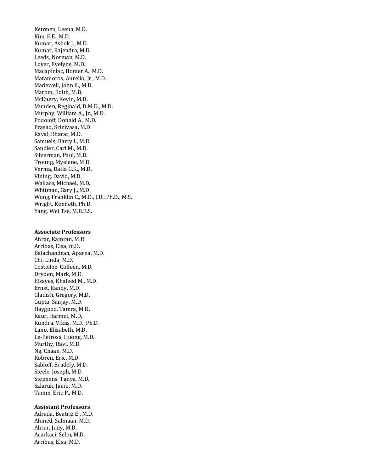Ketonen, Leena, M.D. Kim, E.E., M.D. Kumar, Ashok J., M.D. Kumar, Rajendra, M.D. Leeds, Norman, M.D. Loyer, Evelyne, M.D. Macapinlac, Homer A., M.D. Matamoros, Aurelio, Jr., M.D. Madewell, John E., M.D. Marom, Edith, M.D. McEnery, Kevin, M.D. Munden, Reginald, D.M.D., M.D. Murphy, William A., Jr., M.D. Podoloff, Donald A., M.D. Prasad, Srinivasa, M.D. Raval, Bharat, M.D. Samuels, Barry I., M.D. Sandler, Carl M., M.D. Silverman, Paul, M.D. Troung, Myelene, M.D. Varma, Datla G.K., M.D. Vining, David, M.D. Wallace, Michael, M.D. Whitman, Gary J., M.D. Wong, Franklin C., M.D., J.D., Ph.D., M.S. Wright, Kenneth, Ph.D. Yang, Wei Tse, M.B.B.S.

#### **Associate Professors**

Ahrar, Kamran, M.D. Arribas, Elsa, m.D. Balachandran, Aparna, M.D. Chi, Linda, M.D. Costelloe, Colleen, M.D. Dryden, Mark, M.D. Elsayes, Khaleed M., M.D. Ernst, Randy, M.D. Gladish, Gregory, M.D. Gupta, Sanjay, M.D. Haygood, Tamra, M.D. Kaur, Harmet, M.D. Kundra, Vikas, M.D., Ph.D. Lano, Elizabeth, M.D. Le-Petross, Huong, M.D. Murthy, Ravi, M.D. Ng, Chaan, M.D. Robren, Eric, M.D. Sabloff, Bradely, M.D. Steele, Joseph, M.D. Stephens, Tanya, M.D. Szlaruk, Janio, M.D. Tamm, Eric P., M.D.

#### **Assistant Professors**

Adrada, Beatriz E., M.D. Ahmed, Salmaan, M.D. Ahrar, Judy, M.D. Acarkaci, Selin, M.D. Arribas, Elsa, M.D.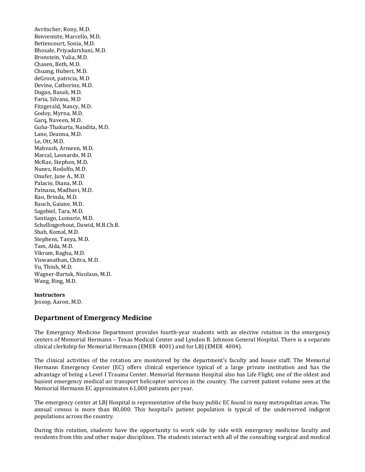Avritscher, Rony, M.D. Benveniste, Marcello, M.D. Bettencourt, Sonia, M.D. Bhosale, Priyadarshani, M.D. Bronstein, Yulia, M.D. Chasen, Beth, M.D. Chuang, Hubert, M.D. deGroot, patricia, M.D Devine, Catherine, M.D. Dogan, Basak, M.D. Faria, Silvana, M.D Fitzgerald, Nancy, M.D. Godoy, Myrna, M.D. Garq, Naveen, M.D. Guha-Thakurta, Nandita, M.D. Lane, Deanna, M.D. Le, Ott, M.D. Mahvash, Armeen, M.D. Marcal, Leonardo, M.D. McRae, Stephen, M.D. Nunez, Rodolfo, M.D. Onufer, Jane A., M.D. Palacio, Diana, M.D. Patnana, Madhavi, M.D. Rao, Brinda, M.D. Rauch, Gaiane, M.D. Sagebiel, Tara, M.D. Santiago, Lumarie, M.D. Schellingerhout, Dawid, M.B.Ch.B. Shah, Komal, M.D. Stephens, Tanya, M.D. Tam, Alda, M.D. Vikram, Raghu, M.D. Viswanathan, Chitra, M.D. Vu, Thinh, M.D. Wagner-Bartak, Nicolaus, M.D. Wang, Bing, M.D.

# **Instructors**

Jessop, Aaron, M.D.

# **Department of Emergency Medicine**

The Emergency Medicine Department provides fourth-year students with an elective rotation in the emergency centers of Memorial Hermann – Texas Medical Center and Lyndon B. Johnson General Hospital. There is a separate clinical clerkship for Memorial Hermann (EMER 4001) and for LBJ (EMER 4004).

The clinical activities of the rotation are monitored by the department's faculty and house staff. The Memorial Hermann Emergency Center (EC) offers clinical experience typical of a large private institution and has the advantage of being a Level I Trauma Center. Memorial Hermann Hospital also has Life Flight, one of the oldest and busiest emergency medical air transport helicopter services in the country. The current patient volume seen at the Memorial Hermann EC approximates 61,000 patients per year.

The emergency center at LBJ Hospital is representative of the busy public EC found in many metropolitan areas. The annual census is more than 80,000. This hospital's patient population is typical of the underserved indigent populations across the country.

During this rotation, students have the opportunity to work side by side with emergency medicine faculty and residents from this and other major disciplines. The students interact with all of the consulting surgical and medical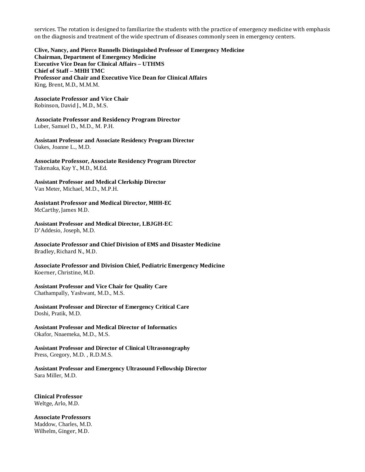services. The rotation is designed to familiarize the students with the practice of emergency medicine with emphasis on the diagnosis and treatment of the wide spectrum of diseases commonly seen in emergency centers.

**Clive, Nancy, and Pierce Runnells Distinguished Professor of Emergency Medicine Chairman, Department of Emergency Medicine Executive Vice Dean for Clinical Affairs – UTHMS Chief of Staff – MHH TMC Professor and Chair and Executive Vice Dean for Clinical Affairs** King, Brent, M.D., M.M.M.

**Associate Professor and Vice Chair** Robinson, David J., M.D., M.S.

**Associate Professor and Residency Program Director** Luber, Samuel D., M.D., M. P.H.

**Assistant Professor and Associate Residency Program Director** Oakes, Joanne L., M.D.

**Associate Professor, Associate Residency Program Director**  Takenaka, Kay Y., M.D., M.Ed.

**Assistant Professor and Medical Clerkship Director** Van Meter, Michael, M.D., M.P.H.

**Assistant Professor and Medical Director, MHH-EC** McCarthy, James M.D.

**Assistant Professor and Medical Director, LBJGH-EC** D'Addesio, Joseph, M.D.

**Associate Professor and Chief Division of EMS and Disaster Medicine** Bradley, Richard N., M.D.

**Associate Professor and Division Chief, Pediatric Emergency Medicine** Koerner, Christine, M.D.

**Assistant Professor and Vice Chair for Quality Care** Chathampally, Yashwant, M.D., M.S.

**Assistant Professor and Director of Emergency Critical Care** Doshi, Pratik, M.D.

**Assistant Professor and Medical Director of Informatics** Okafor, Nnaemeka, M.D., M.S.

**Assistant Professor and Director of Clinical Ultrasonography**  Press, Gregory, M.D. , R.D.M.S.

**Assistant Professor and Emergency Ultrasound Fellowship Director** Sara Miller, M.D.

**Clinical Professor** Weltge, Arlo, M.D.

**Associate Professors** Maddow, Charles, M.D. Wilhelm, Ginger, M.D.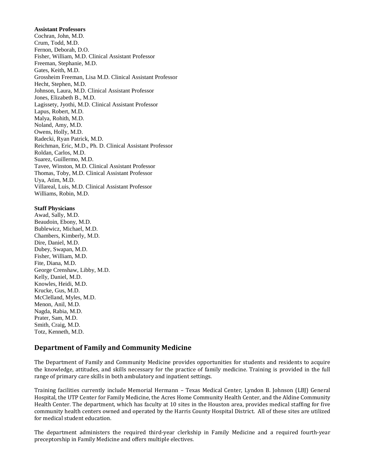#### **Assistant Professors**

Cochran, John, M.D. Crum, Todd, M.D. Fernon, Deborah, D.O. Fisher, William, M.D. Clinical Assistant Professor Freeman, Stephanie, M.D. Gates, Keith, M.D. Grossheim Freeman, Lisa M.D. Clinical Assistant Professor Hecht, Stephen, M.D. Johnson, Laura, M.D. Clinical Assistant Professor Jones, Elizabeth B., M.D. Lagissety, Jyothi, M.D. Clinical Assistant Professor Lapus, Robert, M.D. Malya, Rohith, M.D. Noland, Amy, M.D. Owens, Holly, M.D. Radecki, Ryan Patrick, M.D. Reichman, Eric, M.D., Ph. D. Clinical Assistant Professor Roldan, Carlos, M.D. Suarez, Guillermo, M.D. Tavee, Winston, M.D. Clinical Assistant Professor Thomas, Toby, M.D. Clinical Assistant Professor Uya, Atim, M.D. Villareal, Luis, M.D. Clinical Assistant Professor Williams, Robin, M.D.

#### **Staff Physicians**

Awad, Sally, M.D. Beaudoin, Ebony, M.D. Bublewicz, Michael, M.D. Chambers, Kimberly, M.D. Dire, Daniel, M.D. Dubey, Swapan, M.D. Fisher, William, M.D. Fite, Diana, M.D. George Crenshaw, Libby, M.D. Kelly, Daniel, M.D. Knowles, Heidi, M.D. Krucke, Gus, M.D. McClelland, Myles, M.D. Menon, Anil, M.D. Nagda, Rabia, M.D. Prater, Sam, M.D. Smith, Craig, M.D. Totz, Kenneth, M.D.

# **Department of Family and Community Medicine**

The Department of Family and Community Medicine provides opportunities for students and residents to acquire the knowledge, attitudes, and skills necessary for the practice of family medicine. Training is provided in the full range of primary care skills in both ambulatory and inpatient settings.

Training facilities currently include Memorial Hermann – Texas Medical Center, Lyndon B. Johnson (LBJ) General Hospital, the UTP Center for Family Medicine, the Acres Home Community Health Center, and the Aldine Community Health Center. The department, which has faculty at 10 sites in the Houston area, provides medical staffing for five community health centers owned and operated by the Harris County Hospital District. All of these sites are utilized for medical student education.

The department administers the required third-year clerkship in Family Medicine and a required fourth-year preceptorship in Family Medicine and offers multiple electives.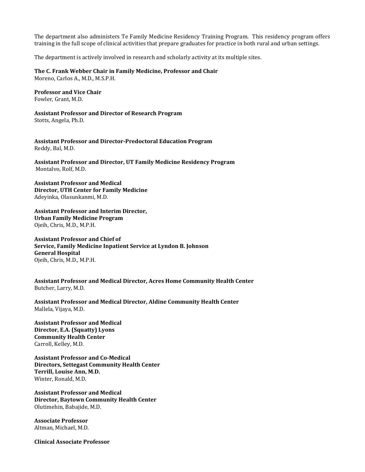The department also administers Te Family Medicine Residency Training Program. This residency program offers training in the full scope of clinical activities that prepare graduates for practice in both rural and urban settings.

The department is actively involved in research and scholarly activity at its multiple sites.

#### **The C. Frank Webber Chair in Family Medicine, Professor and Chair**

Moreno, Carlos A., M.D., M.S.P.H.

**Professor and Vice Chair** Fowler, Grant, M.D.

**Assistant Professor and Director of Research Program** Stotts, Angela, Ph.D.

**Assistant Professor and Director-Predoctoral Education Program** Reddy, Bal, M.D.

**Assistant Professor and Director, UT Family Medicine Residency Program**  Montalvo, Rolf, M.D.

**Assistant Professor and Medical Director, UTH Center for Family Medicine**  Adeyinka, Olasunkanmi, M.D.

**Assistant Professor and Interim Director, Urban Family Medicine Program** Ojeih, Chris, M.D., M.P.H.

**Assistant Professor and Chief of Service, Family Medicine Inpatient Service at Lyndon B. Johnson General Hospital**  Ojeih, Chris, M.D., M.P.H.

**Assistant Professor and Medical Director, Acres Home Community Health Center** Butcher, Larry, M.D.

**Assistant Professor and Medical Director, Aldine Community Health Center** Mallela, Vijaya, M.D.

**Assistant Professor and Medical Director, E.A. (Squatty) Lyons Community Health Center** Carroll, Kelley, M.D.

**Assistant Professor and Co-Medical Directors, Settegast Community Health Center Terrill, Louise Ann, M.D.**  Winter, Ronald, M.D.

**Assistant Professor and Medical Director, Baytown Community Health Center**  Olutimehin, Babajide, M.D.

**Associate Professor** Altman, Michael, M.D.

**Clinical Associate Professor**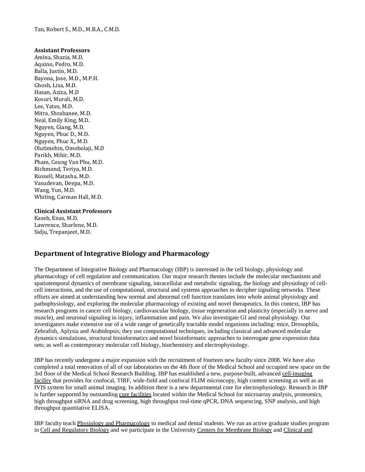Tan, Robert S., M.D., M.B.A., C.M.D.

#### **Assistant Professors**

Amina, Shazia, M.D. Aquino, Pedro, M.D. Balla, Justin, M.D. Bayona, Jose, M.D., M.P.H. Ghosh, Lisa, M.D. Hasan, Aziza, M.D Kosuri, Murali, M.D. Lee, Yates, M.D. Mitra, Shrabanee, M.D. Neal, Emily King, M.D. Nguyen, Giang, M.D. Nguyen, Phuc D., M.D. Nguyen, Phuc X., M.D. Olutimehin, Omobolaji, M.D Parikh, Mihir, M.D. Pham, Coung Van Phu, M.D. Richmond, Teriya, M.D. Russell, Matasha, M.D. Vasudevan, Deepa, M.D. Wang, Yun, M.D. Whiting, Carman Hall, M.D.

#### **Clinical Assistant Professors**

Kaseb, Enas, M.D. Lawrence, Sharlene, M.D. Sidju, Trepanjeet, M.D.

# **Department of Integrative Biology and Pharmacology**

The Department of Integrative Biology and Pharmacology (IBP) is interested in the cell biology, physiology and pharmacology of cell regulation and communication. Our major research themes include the molecular mechanisms and spatiotemporal dynamics of membrane signaling, intracellular and metabolic signaling, the biology and physiology of cellcell interactions, and the use of computational, structural and systems approaches to decipher signaling networks. These efforts are aimed at understanding how normal and abnormal cell function translates into whole animal physiology and pathophysiology, and exploring the molecular pharmacology of existing and novel therapeutics. In this context, IBP has research programs in cancer cell biology, cardiovascular biology, tissue regeneration and plasticity (especially in nerve and muscle), and neuronal signaling in injury, inflammation and pain. We also investigate GI and renal physiology. Our investigators make extensive use of a wide range of genetically tractable model organisms including: mice, Drosophila, Zebrafish, Aplysia and Arabidopsis; they use computational techniques, including classical and advanced molecular dynamics simulations, structural bioinformatics and novel bioinformatic approaches to interrogate gene expression data sets; as well as contemporary molecular cell biology, biochemistry and electrophysiology.

IBP has recently undergone a major expansion with the recruitment of fourteen new faculty since 2008. We have also completed a total renovation of all of our laboratories on the 4th floor of the Medical School and occupied new space on the 3rd floor of the Medical School Research Building. IBP has established a new, purpose-built, advanced cell-imaging [facility](http://ibp.med.uth.tmc.edu/cif-ibp/index.html) that provides for confocal, TIRF, wide-field and confocal FLIM microscopy, high content screening as well as an IVIS system for small animal imaging. In addition there is a new departmental core for electrophysiology. Research in IBP is further supported by outstanding [core facilities](http://www.uth.tmc.edu/research/corelabs/index.html) located within the Medical School for microarray analysis, proteomics, high throughput siRNA and drug screening, high throughput real-time qPCR, DNA sequencing, SNP analysis, and high throughput quantitative ELISA.

IBP faculty teac[h Physiology and Pharmacology](http://ibp.med.uth.tmc.edu/education.html) to medical and dental students. We run an active graduate studies program in [Cell and Regulatory Biology](http://ibp.med.uth.tmc.edu/crb/index.htm) and we participate in the University [Centers for Membrane Biology](http://www.uth.tmc.edu/cmb/) and [Clinical and](http://ccts.uth.tmc.edu/)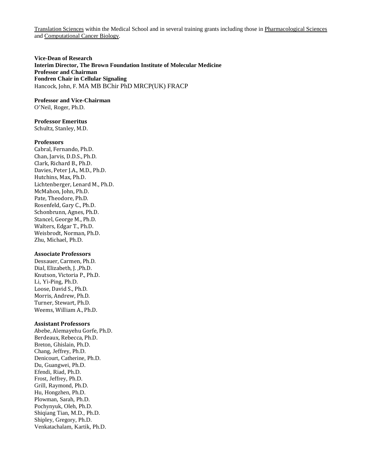[Translation Sciences](http://ccts.uth.tmc.edu/) within the Medical School and in several training grants including those in [Pharmacological Sciences](http://cohesion.rice.edu/centersandinst/gcc/trainingpharm.cfm) and [Computational Cancer Biology.](http://cohesion.rice.edu/centersandinst/gcc/compcancer.cfm)

**Vice-Dean of Research Interim Director, The Brown Foundation Institute of Molecular Medicine Professor and Chairman Fondren Chair in Cellular Signaling**  Hancock, John, F. MA MB BChir PhD MRCP(UK) FRACP

#### **Professor and Vice-Chairman**

O'Neil, Roger, Ph.D.

# **Professor Emeritus**

Schultz, Stanley, M.D.

#### **Professors**

Cabral, Fernando, Ph.D. Chan, Jarvis, D.D.S., Ph.D. Clark, Richard B., Ph.D. Davies, Peter J.A., M.D., Ph.D. Hutchins, Max, Ph.D. Lichtenberger, Lenard M., Ph.D. McMahon, John, Ph.D. Pate, Theodore, Ph.D. Rosenfeld, Gary C., Ph.D. Schonbrunn, Agnes, Ph.D. Stancel, George M., Ph.D. Walters, Edgar T., Ph.D. Weisbrodt, Norman, Ph.D. Zhu, Michael, Ph.D.

#### **Associate Professors**

Dessauer, Carmen, Ph.D. Dial, Elizabeth, J. ,Ph.D. Knutson, Victoria P., Ph.D. Li, Yi-Ping, Ph.D. Loose, David S., Ph.D. Morris, Andrew, Ph.D. Turner, Stewart, Ph.D. Weems, William A., Ph.D.

#### **Assistant Professors**

Abebe, Alemayehu Gorfe, Ph.D. Berdeaux, Rebecca, Ph.D. Breton, Ghislain, Ph.D. Chang, Jeffrey, Ph.D. Denicourt, Catherine, Ph.D. Du, Guangwei, Ph.D. Efendi, Riad, Ph.D. Frost, Jeffrey, Ph.D. Grill, Raymond, Ph.D. Hu, Hongzhen, Ph.D. Plowman, Sarah, Ph.D. Pochynyuk, Oleh, Ph.D. Shiqiang Tian, M.D., Ph.D. Shipley, Gregory, Ph.D. Venkatachalam, Kartik, Ph.D.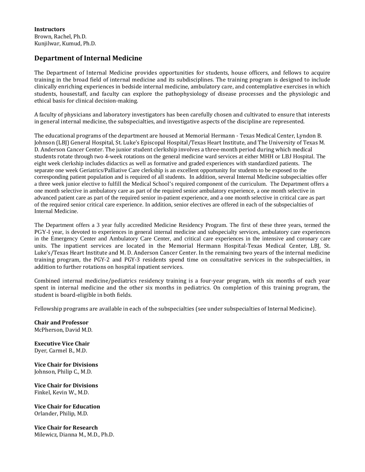**Instructors** Brown, Rachel, Ph.D. Kunjilwar, Kumud, Ph.D.

# **Department of Internal Medicine**

The Department of Internal Medicine provides opportunities for students, house officers, and fellows to acquire training in the broad field of internal medicine and its subdisciplines. The training program is designed to include clinically enriching experiences in bedside internal medicine, ambulatory care, and contemplative exercises in which students, housestaff, and faculty can explore the pathophysiology of disease processes and the physiologic and ethical basis for clinical decision-making.

A faculty of physicians and laboratory investigators has been carefully chosen and cultivated to ensure that interests in general internal medicine, the subspecialties, and investigative aspects of the discipline are represented.

The educational programs of the department are housed at Memorial Hermann - Texas Medical Center, Lyndon B. Johnson (LBJ) General Hospital, St. Luke's Episcopal Hospital/Texas Heart Institute, and The University of Texas M. D. Anderson Cancer Center. The junior student clerkship involves a three-month period during which medical students rotate through two 4-week rotations on the general medicine ward services at either MHH or LBJ Hospital. The eight week clerkship includes didactics as well as formative and graded experiences with standardized patients. The separate one week Geriatrics/Palliative Care clerkship is an excellent opportunity for students to be exposed to the corresponding patient population and is required of all students. In addition, several Internal Medicine subspecialties offer a three week junior elective to fulfill the Medical School's required component of the curriculum. The Department offers a one month selective in ambulatory care as part of the required senior ambulatory experience, a one month selective in advanced patient care as part of the required senior in-patient experience, and a one month selective in critical care as part of the required senior critical care experience. In addition, senior electives are offered in each of the subspecialties of Internal Medicine.

The Department offers a 3 year fully accredited Medicine Residency Program. The first of these three years, termed the PGY-I year, is devoted to experiences in general internal medicine and subspecialty services, ambulatory care experiences in the Emergency Center and Ambulatory Care Center, and critical care experiences in the intensive and coronary care units. The inpatient services are located in the Memorial Hermann Hospital-Texas Medical Center, LBJ, St. Luke's/Texas Heart Institute and M. D. Anderson Cancer Center. In the remaining two years of the internal medicine training program, the PGY-2 and PGY-3 residents spend time on consultative services in the subspecialties, in addition to further rotations on hospital inpatient services.

Combined internal medicine/pediatrics residency training is a four-year program, with six months of each year spent in internal medicine and the other six months in pediatrics. On completion of this training program, the student is board-eligible in both fields.

Fellowship programs are available in each of the subspecialties (see under subspecialties of Internal Medicine).

**Chair and Professor** McPherson, David M.D.

**Executive Vice Chair** Dyer, Carmel B., M.D.

**Vice Chair for Divisions** Johnson, Philip C., M.D.

**Vice Chair for Divisions** Finkel, Kevin W., M.D.

**Vice Chair for Education** Orlander, Philip, M.D.

**Vice Chair for Research** Milewicz, Dianna M., M.D., Ph.D.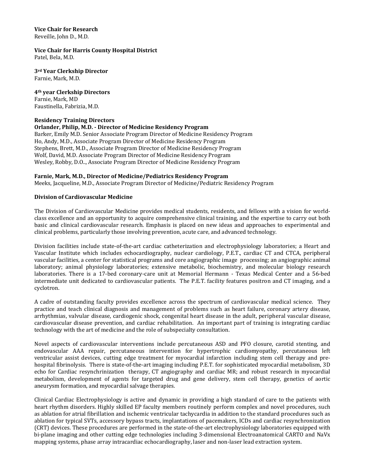#### **Vice Chair for Research** Reveille, John D., M.D.

**Vice Chair for Harris County Hospital District** Patel, Bela, M.D.

**3rd Year Clerkship Director** Farnie, Mark, M.D.

**4th year Clerkship Directors** Farnie, Mark, MD Faustinella, Fabrizia, M.D.

# **Residency Training Directors**

# **Orlander, Philip, M.D. - Director of Medicine Residency Program**

Barker, Emily M.D. Senior Associate Program Director of Medicine Residency Program Ho, Andy, M.D., Associate Program Director of Medicine Residency Program Stephens, Brett, M.D., Associate Program Director of Medicine Residency Program Wolf, David, M.D. Associate Program Director of Medicine Residency Program Wesley, Robby, D.O.., Associate Program Director of Medicine Residency Program

# **Farnie, Mark, M.D., Director of Medicine/Pediatrics Residency Program**

Meeks, Jacqueline, M.D., Associate Program Director of Medicine/Pediatric Residency Program

# **Division of Cardiovascular Medicine**

The Division of Cardiovascular Medicine provides medical students, residents, and fellows with a vision for worldclass excellence and an opportunity to acquire comprehensive clinical training, and the expertise to carry out both basic and clinical cardiovascular research. Emphasis is placed on new ideas and approaches to experimental and clinical problems, particularly those involving prevention, acute care, and advanced technology.

Division facilities include state-of-the-art cardiac catheterization and electrophysiology laboratories; a Heart and Vascular Institute which includes echocardiography, nuclear cardiology, P.E.T., cardiac CT and CTCA, peripheral vascular facilities, a center for statistical programs and core angiographic image processing; an angiographic animal laboratory; animal physiology laboratories; extensive metabolic, biochemistry, and molecular biology research laboratories. There is a 17-bed coronary-care unit at Memorial Hermann - Texas Medical Center and a 56-bed intermediate unit dedicated to cardiovascular patients. The P.E.T. facility features positron and CT imaging, and a cyclotron.

A cadre of outstanding faculty provides excellence across the spectrum of cardiovascular medical science. They practice and teach clinical diagnosis and management of problems such as heart failure, coronary artery disease, arrhythmias, valvular disease, cardiogenic shock, congenital heart disease in the adult, peripheral vascular disease, cardiovascular disease prevention, and cardiac rehabilitation. An important part of training is integrating cardiac technology with the art of medicine and the role of subspecialty consultation.

Novel aspects of cardiovascular interventions include percutaneous ASD and PFO closure, carotid stenting, and endovascular AAA repair, percutaneous intervention for hypertrophic cardiomyopathy, percutaneous left ventricular assist devices, cutting edge treatment for myocardial infarction including stem cell therapy and prehospital fibrinolysis. There is state-of-the-art imaging including P.E.T. for sophisticated myocardial metabolism, 3D echo for Cardiac resynchrinization therapy, CT angiography and cardiac MR; and robust research in myocardial metabolism, development of agents for targeted drug and gene delivery, stem cell therapy, genetics of aortic aneurysm formation, and myocardial salvage therapies.

Clinical Cardiac Electrophysiology is active and dynamic in providing a high standard of care to the patients with heart rhythm disorders. Highly skilled EP faculty members routinely perform complex and novel procedures, such as ablation for atrial fibrillation and ischemic ventricular tachycardia in addition to the standard procedures such as ablation for typical SVTs, accessory bypass tracts, implantations of pacemakers, ICDs and cardiac resynchronization (CRT) devices. These procedures are performed in the state-of-the-art electrophysiology laboratories equipped with bi-plane imaging and other cutting edge technologies including 3-dimensional Electroanatomical CARTO and NaVx mapping systems, phase array intracardiac echocardiography, laser and non-laser lead extraction system.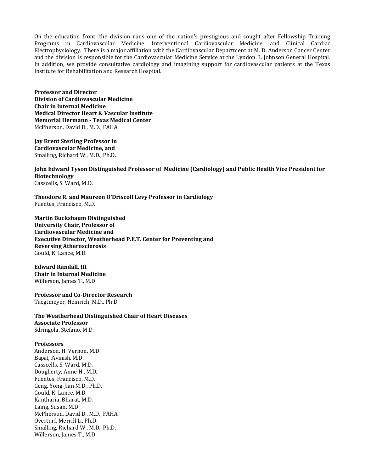On the education front, the division runs one of the nation's prestigious and sought after Fellowship Training Programs in Cardiovascular Medicine, Interventional Cardiovascular Medicine, and Clinical Cardiac Electrophysiology. There is a major affiliation with the Cardiovascular Department at M. D. Anderson Cancer Center and the division is responsible for the Cardiovascular Medicine Service at the Lyndon B. Johnson General Hospital. In addition, we provide consultative cardiology and imagining support for cardiovascular patients at the Texas Institute for Rehabilitation and Research Hospital.

**Professor and Director Division of Cardiovascular Medicine Chair in Internal Medicine Medical Director Heart & Vascular Institute Memorial Hermann - Texas Medical Center** McPherson, David D., M.D., FAHA

**Jay Brent Sterling Professor in Cardiovascular Medicine, and** Smalling, Richard W., M.D., Ph.D.

**John Edward Tyson Distinguished Professor of Medicine (Cardiology) and Public Health Vice President for Biotechnology** Casscells, S. Ward, M.D.

**Theodore R. and Maureen O'Driscoll Levy Professor in Cardiology** Fuentes, Francisco, M.D.

**Martin Bucksbaum Distinguished University Chair, Professor of Cardiovascular Medicine and Executive Director, Weatherhead P.E.T. Center for Preventing and Reversing Atherosclerosis** Gould, K. Lance, M.D.

**Edward Randall, III Chair in Internal Medicine** Willerson, James T., M.D.

**Professor and Co-Director Research** Taegtmeyer, Heinrich, M.D., Ph.D.

**The Weatherhead Distinguished Chair of Heart Diseases Associate Professor** Sdringola, Stefano, M.D.

# **Professors**

Anderson, H. Vernon, M.D. Bapat, Avinish, M.D. Casscells, S. Ward, M.D. Dougherty, Anne H., M.D. Fuentes, Francisco, M.D. Geng, Yong-Jian M.D., Ph.D. Gould, K. Lance, M.D. Kantharia, Bharat, M.D. Laing, Susan, M.D. McPherson, David D., M.D., FAHA Overturf, Merrill L., Ph.D. Smalling, Richard W., M.D., Ph.D. Willerson, James T., M.D.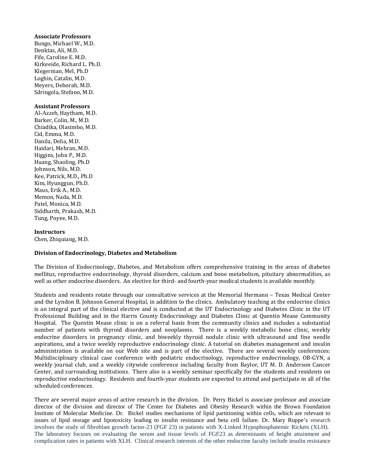#### **Associate Professors**

Bungo, Michael W., M.D. Denktas, Ali, M.D. Fife, Caroline E. M.D. Kirkeeide, Richard L. Ph.D. Klegerman, Mel, Ph.D Loghin, Catalin, M.D. Meyers, Deborah, M.D. Sdringola, Stefano, M.D.

#### **Assistant Professors**

Al-Azzeh, Haytham, M.D. Barker, Colin, M., M.D. Chiadika, Olasimbo, M.D. Cid, Emma, M.D. Danila, Delia, M.D. Haidari, Mehran, M.D. Higgins, John P., M.D. Huang, Shaoling, Ph.D Johnson, Nils, M.D. Kee, Patrick, M.D., Ph.D Kim, Hyunggun, Ph.D. Maus, Erik A., M.D. Memon, Nada, M.D. Patel, Monica, M.D. Siddharth, Prakash, M.D. Tung, Poyee, M.D.

#### **Instructors**

Chen, Zhiquiang, M.D.

#### **Division of Endocrinology, Diabetes and Metabolism**

The Division of Endocrinology, Diabetes, and Metabolism offers comprehensive training in the areas of diabetes mellitus, reproductive endocrinology, thyroid disorders, calcium and bone metabolism, pituitary abnormalities, as well as other endocrine disorders. An elective for third- and fourth-year medical students is available monthly.

Students and residents rotate through our consultative services at the Memorial Hermann – Texas Medical Center and the Lyndon B. Johnson General Hospital, in addition to the clinics. Ambulatory teaching at the endocrine clinics is an integral part of the clinical elective and is conducted at the UT Endocrinology and Diabetes Clinic in the UT Professional Building and in the Harris County Endocrinology and Diabetes Clinic at Quentin Mease Community Hospital. The Quentin Mease clinic is on a referral basis from the community clinics and includes a substantial number of patients with thyroid disorders and neoplasms. There is a weekly metabolic bone clinic, weekly endocrine disorders in pregnancy clinic, and biweekly thyroid nodule clinic with ultrasound and fine needle aspirations, and a twice weekly reproductive endocrinology clinic. A tutorial on diabetes management and insulin administration is available on our Web site and is part of the elective. There are several weekly conferences: Multidisciplinary clinical case conference with pediatric endocrinology, reproductive endocrinology, OB-GYN, a weekly journal club, and a weekly citywide conference including faculty from Baylor, UT M. D. Anderson Cancer Center, and surrounding institutions. There also is a weekly seminar specifically for the students and residents on reproductive endocrinology. Residents and fourth-year students are expected to attend and participate in all of the scheduled conferences.

There are several major areas of active research in the division. Dr. Perry Bickel is associate professor and associate director of the division and director of The Center for Diabetes and Obesity Research within the Brown Foundation Institute of Molecular Medicine. Dr. Bickel studies mechanisms of lipid partitioning within cells, which are relevant to issues of lipid storage and lipotoxicity leading to insulin resistance and beta cell failure. Dr. Mary Ruppe's research involves the study of fibroblast growth factor-23 (FGF 23) in patients with X-Linked Hypophosphatemic Rickets (XLH). The laboratory focuses on evaluating the serum and tissue levels of FGF23 as determinants of height attainment and complication rates in patients with XLH. Clinical research interests of the other endocrine faculty include insulin resistance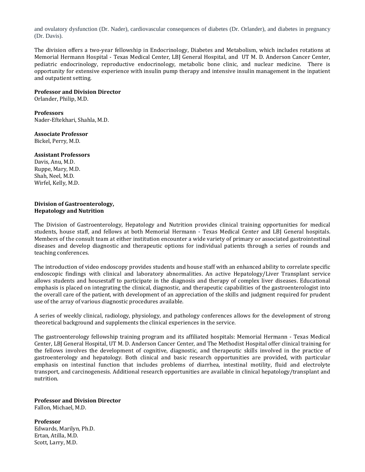and ovulatory dysfunction (Dr. Nader), cardiovascular consequences of diabetes (Dr. Orlander), and diabetes in pregnancy (Dr. Davis).

The division offers a two-year fellowship in Endocrinology, Diabetes and Metabolism, which includes rotations at Memorial Hermann Hospital - Texas Medical Center, LBJ General Hospital, and UT M. D. Anderson Cancer Center, pediatric endocrinology, reproductive endocrinology, metabolic bone clinic, and nuclear medicine. There is opportunity for extensive experience with insulin pump therapy and intensive insulin management in the inpatient and outpatient setting.

#### **Professor and Division Director**

Orlander, Philip, M.D.

#### **Professors**

Nader-Eftekhari, Shahla, M.D.

# **Associate Professor**

Bickel, Perry, M.D.

# **Assistant Professors**

Davis, Anu, M.D. Ruppe, Mary, M.D. Shah, Neel, M.D. Wirfel, Kelly, M.D.

#### **Division of Gastroenterology, Hepatology and Nutrition**

The Division of Gastroenterology, Hepatology and Nutrition provides clinical training opportunities for medical students, house staff, and fellows at both Memorial Hermann - Texas Medical Center and LBJ General hospitals. Members of the consult team at either institution encounter a wide variety of primary or associated gastrointestinal diseases and develop diagnostic and therapeutic options for individual patients through a series of rounds and teaching conferences.

The introduction of video endoscopy provides students and house staff with an enhanced ability to correlate specific endoscopic findings with clinical and laboratory abnormalities. An active Hepatology/Liver Transplant service allows students and housestaff to participate in the diagnosis and therapy of complex liver diseases. Educational emphasis is placed on integrating the clinical, diagnostic, and therapeutic capabilities of the gastroenterologist into the overall care of the patient, with development of an appreciation of the skills and judgment required for prudent use of the array of various diagnostic procedures available.

A series of weekly clinical, radiology, physiology, and pathology conferences allows for the development of strong theoretical background and supplements the clinical experiences in the service.

The gastroenterology fellowship training program and its affiliated hospitals: Memorial Hermann - Texas Medical Center, LBJ General Hospital, UT M. D. Anderson Cancer Center, and The Methodist Hospital offer clinical training for the fellows involves the development of cognitive, diagnostic, and therapeutic skills involved in the practice of gastroenterology and hepatology. Both clinical and basic research opportunities are provided, with particular emphasis on intestinal function that includes problems of diarrhea, intestinal motility, fluid and electrolyte transport, and carcinogenesis. Additional research opportunities are available in clinical hepatology/transplant and nutrition.

# **Professor and Division Director**

Fallon, Michael, M.D.

**Professor** Edwards, Marilyn, Ph.D. Ertan, Atilla, M.D. Scott, Larry, M.D.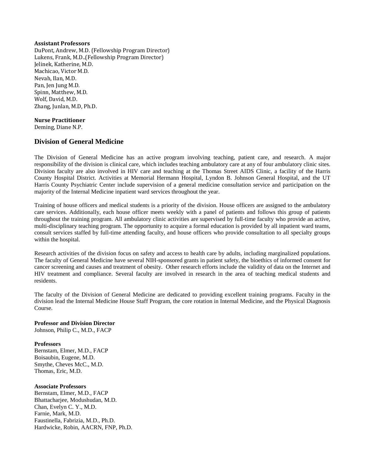#### **Assistant Professors**

DuPont, Andrew, M.D. (Fellowship Program Director) Lukens, Frank, M.D..(Fellowship Program Director) Jelinek, Katherine, M.D. Machicao, Victor M.D. Nevah, Ilan, M.D. Pan, Jen Jung M.D. Spinn, Matthew, M.D. Wolf, David, M.D. Zhang, Junlan, M.D, Ph.D.

# **Nurse Practitioner**

Deming, Diane N.P.

# **Division of General Medicine**

The Division of General Medicine has an active program involving teaching, patient care, and research. A major responsibility of the division is clinical care, which includes teaching ambulatory care at any of four ambulatory clinic sites. Division faculty are also involved in HIV care and teaching at the Thomas Street AIDS Clinic, a facility of the Harris County Hospital District. Activities at Memorial Hermann Hospital, Lyndon B. Johnson General Hospital, and the UT Harris County Psychiatric Center include supervision of a general medicine consultation service and participation on the majority of the Internal Medicine inpatient ward services throughout the year.

Training of house officers and medical students is a priority of the division. House officers are assigned to the ambulatory care services. Additionally, each house officer meets weekly with a panel of patients and follows this group of patients throughout the training program. All ambulatory clinic activities are supervised by full-time faculty who provide an active, multi-disciplinary teaching program. The opportunity to acquire a formal education is provided by all inpatient ward teams, consult services staffed by full-time attending faculty, and house officers who provide consultation to all specialty groups within the hospital.

Research activities of the division focus on safety and access to health care by adults, including marginalized populations. The faculty of General Medicine have several NIH-sponsored grants in patient safety, the bioethics of informed consent for cancer screening and causes and treatment of obesity. Other research efforts include the validity of data on the Internet and HIV treatment and compliance. Several faculty are involved in research in the area of teaching medical students and residents.

The faculty of the Division of General Medicine are dedicated to providing excellent training programs. Faculty in the division lead the Internal Medicine House Staff Program, the core rotation in Internal Medicine, and the Physical Diagnosis Course.

# **Professor and Division Director**

Johnson, Philip C., M.D., FACP

#### **Professors**

Bernstam, Elmer, M.D., FACP Boisaubin, Eugene, M.D. Smythe, Cheves McC., M.D. Thomas, Eric, M.D.

#### **Associate Professors**

Bernstam, Elmer, M.D., FACP Bhattacharjee, Modushudan, M.D. Chan, Evelyn C. Y., M.D. Farnie, Mark, M.D. Faustinella, Fabrizia, M.D., Ph.D. Hardwicke, Robin, AACRN, FNP, Ph.D.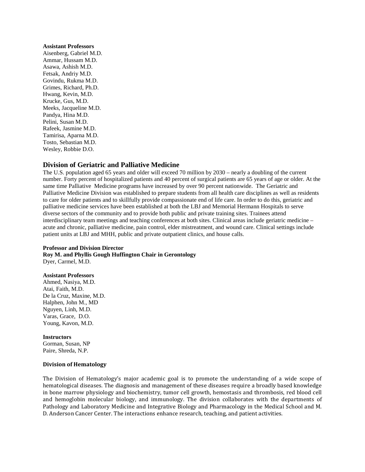#### **Assistant Professors**

Aisenberg, Gabriel M.D. Ammar, Hussam M.D. Asawa, Ashish M.D. Fetsak, Andriy M.D. Govindu, Rukma M.D. Grimes, Richard, Ph.D. Hwang, Kevin, M.D. Krucke, Gus, M.D. Meeks, Jacqueline M.D. Pandya, Hina M.D. Pelini, Susan M.D. Rafeek, Jasmine M.D. Tamirisa, Aparna M.D. Tosto, Sebastian M.D. Wesley, Robbie D.O.

# **Division of Geriatric and Palliative Medicine**

The U.S. population aged 65 years and older will exceed 70 million by 2030 – nearly a doubling of the current number. Forty percent of hospitalized patients and 40 percent of surgical patients are 65 years of age or older. At the same time Palliative Medicine programs have increased by over 90 percent nationwide. The Geriatric and Palliative Medicine Division was established to prepare students from all health care disciplines as well as residents to care for older patients and to skillfully provide compassionate end of life care. In order to do this, geriatric and palliative medicine services have been established at both the LBJ and Memorial Hermann Hospitals to serve diverse sectors of the community and to provide both public and private training sites. Trainees attend interdisciplinary team meetings and teaching conferences at both sites. Clinical areas include geriatric medicine – acute and chronic, palliative medicine, pain control, elder mistreatment, and wound care. Clinical settings include patient units at LBJ and MHH, public and private outpatient clinics, and house calls.

#### **Professor and Division Director**

**Roy M. and Phyllis Gough Huffington Chair in Gerontology** Dyer, Carmel, M.D.

#### **Assistant Professors**

Ahmed, Nasiya, M.D. Atai, Faith, M.D. De la Cruz, Maxine, M.D. Halphen, John M., MD Nguyen, Linh, M.D. Varas, Grace, D.O. Young, Kavon, M.D.

#### **Instructors**

Gorman, Susan, NP Paire, Shreda, N.P.

#### **Division of Hematology**

The Division of Hematology's major academic goal is to promote the understanding of a wide scope of hematological diseases. The diagnosis and management of these diseases require a broadly based knowledge in bone marrow physiology and biochemistry, tumor cell growth, hemostasis and thrombosis, red blood cell and hemoglobin molecular biology, and immunology. The division collaborates with the departments of Pathology and Laboratory Medicine and Integrative Biology and Pharmacology in the Medical School and M. D. Anderson Cancer Center. The interactions enhance research, teaching, and patient activities.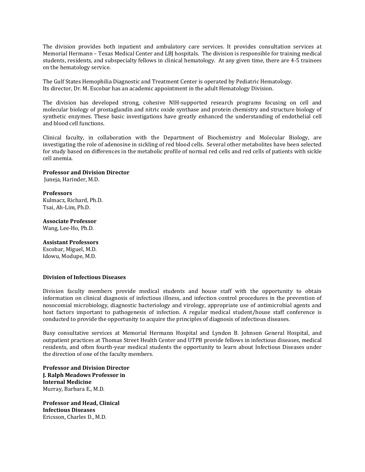The division provides both inpatient and ambulatory care services. It provides consultation services at Memorial Hermann – Texas Medical Center and LBJ hospitals. The division is responsible for training medical students, residents, and subspecialty fellows in clinical hematology. At any given time, there are 4-5 trainees on the hematology service.

The Gulf States Hemophilia Diagnostic and Treatment Center is operated by Pediatric Hematology. Its director, Dr. M. Escobar has an academic appointment in the adult Hematology Division.

The division has developed strong, cohesive NIH-supported research programs focusing on cell and molecular biology of prostaglandin and nitric oxide synthase and protein chemistry and structure biology of synthetic enzymes. These basic investigations have greatly enhanced the understanding of endothelial cell and blood cell functions.

Clinical faculty, in collaboration with the Department of Biochemistry and Molecular Biology, are investigating the role of adenosine in sickling of red blood cells. Several other metabolites have been selected for study based on differences in the metabolic profile of normal red cells and red cells of patients with sickle cell anemia.

#### **Professor and Division Director**

Juneja, Harinder, M.D.

#### **Professors**

Kulmacz, Richard, Ph.D. Tsai, Ah-Lim, Ph.D.

# **Associate Professor**

Wang, Lee-Ho, Ph.D.

# **Assistant Professors**

Escobar, Miguel, M.D. Idowu, Modupe, M.D.

#### **Division of Infectious Diseases**

Division faculty members provide medical students and house staff with the opportunity to obtain information on clinical diagnosis of infectious illness, and infection control procedures in the prevention of nosocomial microbiology, diagnostic bacteriology and virology, appropriate use of antimicrobial agents and host factors important to pathogenesis of infection. A regular medical student/house staff conference is conducted to provide the opportunity to acquire the principles of diagnosis of infectious diseases.

Busy consultative services at Memorial Hermann Hospital and Lyndon B. Johnson General Hospital, and outpatient practices at Thomas Street Health Center and UTPB provide fellows in infectious diseases, medical residents, and often fourth-year medical students the opportunity to learn about Infectious Diseases under the direction of one of the faculty members.

**Professor and Division Director J. Ralph Meadows Professor in Internal Medicine** Murray, Barbara E., M.D.

**Professor and Head, Clinical Infectious Diseases** Ericsson, Charles D., M.D.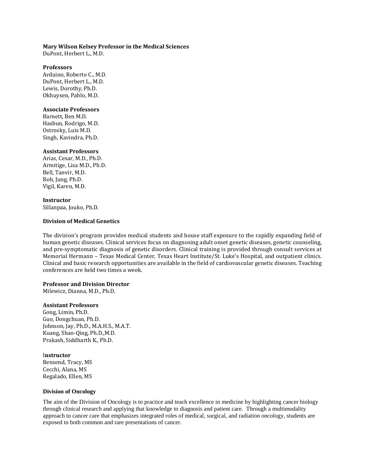## **Mary Wilson Kelsey Professor in the Medical Sciences**

DuPont, Herbert L., M.D.

### **Professors**

Arduino, Roberto C., M.D. DuPont, Herbert L., M.D. Lewis, Dorothy, Ph.D. Okhuysen, Pablo, M.D.

## **Associate Professors**

Barnett, Ben M.D. Hasbun, Rodrigo, M.D. Ostrosky, Luis M.D. Singh, Kavindra, Ph.D.

## **Assistant Professors**

Arias, Cesar, M.D., Ph.D. Armitige, Lisa M.D., Ph.D. Bell, Tanvir, M.D. Roh, Jung, Ph.D. Vigil, Karen, M.D.

#### **Instructor** Sillanpaa, Jouko, Ph.D.

## **Division of Medical Genetics**

The division's program provides medical students and house staff exposure to the rapidly expanding field of human genetic diseases. Clinical services focus on diagnosing adult onset genetic diseases, genetic counseling, and pre-symptomatic diagnosis of genetic disorders. Clinical training is provided through consult services at Memorial Hermann – Texas Medical Center, Texas Heart Institute/St. Luke's Hospital, and outpatient clinics. Clinical and basic research opportunities are available in the field of cardiovascular genetic diseases. Teaching conferences are held two times a week.

## **Professor and Division Director**

Milewicz, Dianna, M.D., Ph.D.

## **Assistant Professors**

Gong, Limin, Ph.D. Guo, Dongchuan, Ph.D. Johnson, Jay, Ph.D., M.A.H.S., M.A.T. Kuang, Shao-Qing, Ph.D.,M.D. Prakash, Siddharth K., Ph.D.

## I**nstructor**

Bensend, Tracy, MS Cecchi, Alana, MS Regalado, Ellen, MS

#### **Division of Oncology**

The aim of the Division of Oncology is to practice and teach excellence in medicine by highlighting cancer biology through clinical research and applying that knowledge to diagnosis and patient care. Through a multimodality approach to cancer care that emphasizes integrated roles of medical, surgical, and radiation oncology, students are exposed to both common and rare presentations of cancer.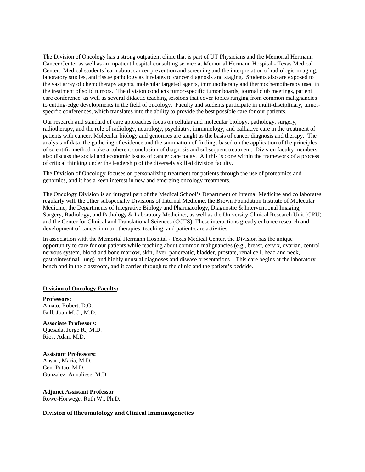The Division of Oncology has a strong outpatient clinic that is part of UT Physicians and the Memorial Hermann Cancer Center as well as an inpatient hospital consulting service at Memorial Hermann Hospital - Texas Medical Center. Medical students learn about cancer prevention and screening and the interpretation of radiologic imaging, laboratory studies, and tissue pathology as it relates to cancer diagnosis and staging. Students also are exposed to the vast array of chemotherapy agents, molecular targeted agents, immunotherapy and thermochemotherapy used in the treatment of solid tumors. The division conducts tumor-specific tumor boards, journal club meetings, patient care conference, as well as several didactic teaching sessions that cover topics ranging from common malignancies to cutting-edge developments in the field of oncology. Faculty and students participate in multi-disciplinary, tumorspecific conferences, which translates into the ability to provide the best possible care for our patients.

Our research and standard of care approaches focus on cellular and molecular biology, pathology, surgery, radiotherapy, and the role of radiology, neurology, psychiatry, immunology, and palliative care in the treatment of patients with cancer. Molecular biology and genomics are taught as the basis of cancer diagnosis and therapy. The analysis of data, the gathering of evidence and the summation of findings based on the application of the principles of scientific method make a coherent conclusion of diagnosis and subsequent treatment. Division faculty members also discuss the social and economic issues of cancer care today. All this is done within the framework of a process of critical thinking under the leadership of the diversely skilled division faculty.

The Division of Oncology focuses on personalizing treatment for patients through the use of proteomics and genomics, and it has a keen interest in new and emerging oncology treatments.

The Oncology Division is an integral part of the Medical School's Department of Internal Medicine and collaborates regularly with the other subspecialty Divisions of Internal Medicine, the Brown Foundation Institute of Molecular Medicine, the Departments of Integrative Biology and Pharmacology, Diagnostic & Interventional Imaging, Surgery, Radiology, and Pathology & Laboratory Medicine;, as well as the University Clinical Research Unit (CRU) and the Center for Clinical and Translational Sciences (CCTS). These interactions greatly enhance research and development of cancer immunotherapies, teaching, and patient-care activities.

In association with the Memorial Hermann Hospital - Texas Medical Center, the Division has the unique opportunity to care for our patients while teaching about common malignancies (e.g., breast, cervix, ovarian, central nervous system, blood and bone marrow, skin, liver, pancreatic, bladder, prostate, renal cell, head and neck, gastrointestinal, lung) and highly unusual diagnoses and disease presentations. This care begins at the laboratory bench and in the classroom, and it carries through to the clinic and the patient's bedside.

### **Division of Oncology Faculty:**

**Professors:**  Amato, Robert, D.O. Bull, Joan M.C., M.D.

**Associate Professors:** Quesada, Jorge R., M.D. Rios, Adan, M.D.

**Assistant Professors:** Ansari, Maria, M.D. Cen, Putao, M.D. Gonzalez, Annaliese, M.D.

**Adjunct Assistant Professor** Rowe-Horwege, Ruth W., Ph.D.

## **Division of Rheumatology and Clinical Immunogenetics**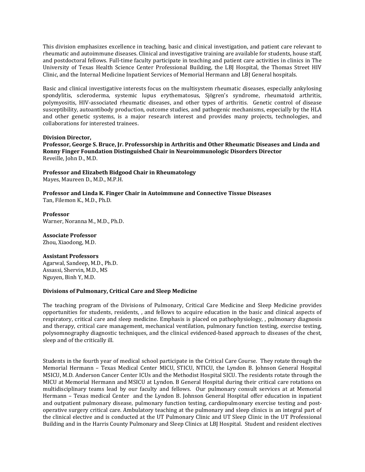This division emphasizes excellence in teaching, basic and clinical investigation, and patient care relevant to rheumatic and autoimmune diseases. Clinical and investigative training are available for students, house staff, and postdoctoral fellows. Full-time faculty participate in teaching and patient care activities in clinics in The University of Texas Health Science Center Professional Building, the LBJ Hospital, the Thomas Street HIV Clinic, and the Internal Medicine Inpatient Services of Memorial Hermann and LBJ General hospitals.

Basic and clinical investigative interests focus on the multisystem rheumatic diseases, especially ankylosing spondylitis, scleroderma, systemic lupus erythematosus, Sjögren's syndrome, rheumatoid arthritis, polymyositis, HIV-associated rheumatic diseases, and other types of arthritis. Genetic control of disease susceptibility, autoantibody production, outcome studies, and pathogenic mechanisms, especially by the HLA and other genetic systems, is a major research interest and provides many projects, technologies, and collaborations for interested trainees.

## **Division Director,**

**Professor, George S. Bruce, Jr. Professorship in Arthritis and Other Rheumatic Diseases and Linda and Ronny Finger Foundation Distinguished Chair in Neuroimmunologic Disorders Director**  Reveille, John D., M.D.

**Professor and Elizabeth Bidgood Chair in Rheumatology** Mayes, Maureen D., M.D., M.P.H.

**Professor and Linda K. Finger Chair in Autoimmune and Connective Tissue Diseases** Tan, Filemon K., M.D., Ph.D.

**Professor** Warner, Noranna M., M.D., Ph.D.

## **Associate Professor**

Zhou, Xiaodong, M.D.

## **Assistant Professors**

Agarwal, Sandeep, M.D., Ph.D. Assassi, Shervin, M.D., MS Nguyen, Binh Y, M.D.

## **Divisions of Pulmonary, Critical Care and Sleep Medicine**

The teaching program of the Divisions of Pulmonary, Critical Care Medicine and Sleep Medicine provides opportunities for students, residents, , and fellows to acquire education in the basic and clinical aspects of respiratory, critical care and sleep medicine. Emphasis is placed on pathophysiology, , pulmonary diagnosis and therapy, critical care management, mechanical ventilation, pulmonary function testing, exercise testing, polysomnography diagnostic techniques, and the clinical evidenced-based approach to diseases of the chest, sleep and of the critically ill.

Students in the fourth year of medical school participate in the Critical Care Course. They rotate through the Memorial Hermann – Texas Medical Center MICU, STICU, NTICU, the Lyndon B. Johnson General Hospital MSICU, M.D. Anderson Cancer Center ICUs and the Methodist Hospital SICU. The residents rotate through the MICU at Memorial Hermann and MSICU at Lyndon. B General Hospital during their critical care rotations on multidisciplinary teams lead by our faculty and fellows. Our pulmonary consult services at at Memorial Hermann – Texas medical Center and the Lyndon B. Johnson General Hospital offer education in inpatient and outpatient pulmonary disease, pulmonary function testing, cardiopulmonary exercise testing and postoperative surgery critical care. Ambulatory teaching at the pulmonary and sleep clinics is an integral part of the clinical elective and is conducted at the UT Pulmonary Clinic and UT Sleep Clinic in the UT Professional Building and in the Harris County Pulmonary and Sleep Clinics at LBJ Hospital. Student and resident electives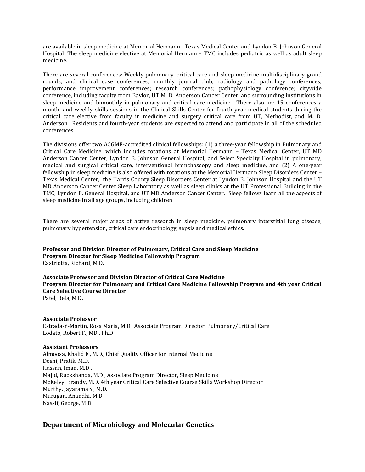are available in sleep medicine at Memorial Hermann– Texas Medical Center and Lyndon B. Johnson General Hospital. The sleep medicine elective at Memorial Hermann– TMC includes pediatric as well as adult sleep medicine.

There are several conferences: Weekly pulmonary, critical care and sleep medicine multidisciplinary grand rounds, and clinical case conferences; monthly journal club; radiology and pathology conferences; performance improvement conferences; research conferences; pathophysiology conference; citywide conference, including faculty from Baylor, UT M. D. Anderson Cancer Center, and surrounding institutions in sleep medicine and bimonthly in pulmonary and critical care medicine. There also are 15 conferences a month, and weekly skills sessions in the Clinical Skills Center for fourth-year medical students during the critical care elective from faculty in medicine and surgery critical care from UT, Methodist, and M. D. Anderson. Residents and fourth-year students are expected to attend and participate in all of the scheduled conferences.

The divisions offer two ACGME-accredited clinical fellowships: (1) a three-year fellowship in Pulmonary and Critical Care Medicine, which includes rotations at Memorial Hermann – Texas Medical Center, UT MD Anderson Cancer Center, Lyndon B. Johnson General Hospital, and Select Specialty Hospital in pulmonary, medical and surgical critical care, interventional bronchoscopy and sleep medicine, and (2) A one-year fellowship in sleep medicine is also offered with rotations at the Memorial Hermann Sleep Disorders Center – Texas Medical Center, the Harris County Sleep Disorders Center at Lyndon B. Johnson Hospital and the UT MD Anderson Cancer Center Sleep Laboratory as well as sleep clinics at the UT Professional Building in the TMC, Lyndon B. General Hospital, and UT MD Anderson Cancer Center. Sleep fellows learn all the aspects of sleep medicine in all age groups, including children.

There are several major areas of active research in sleep medicine, pulmonary interstitial lung disease, pulmonary hypertension, critical care endocrinology, sepsis and medical ethics.

**Professor and Division Director of Pulmonary, Critical Care and Sleep Medicine Program Director for Sleep Medicine Fellowship Program** Castriotta, Richard, M.D.

**Associate Professor and Division Director of Critical Care Medicine Program Director for Pulmonary and Critical Care Medicine Fellowship Program and 4th year Critical Care Selective Course Director** Patel, Bela, M.D.

## **Associate Professor**

Estrada-Y-Martin, Rosa Maria, M.D. Associate Program Director, Pulmonary/Critical Care Lodato, Robert F., MD., Ph.D.

## **Assistant Professors**

Almoosa, Khalid F., M.D., Chief Quality Officer for Internal Medicine Doshi, Pratik, M.D. Hassan, Iman, M.D., Majid, Ruckshanda, M.D., Associate Program Director, Sleep Medicine McKelvy, Brandy, M.D. 4th year Critical Care Selective Course Skills Workshop Director Murthy, Jayarama S., M.D. Murugan, Anandhi, M.D. Nassif, George, M.D.

## **Department of Microbiology and Molecular Genetics**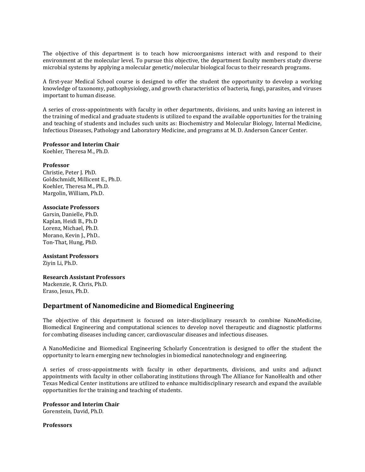The objective of this department is to teach how microorganisms interact with and respond to their environment at the molecular level. To pursue this objective, the department faculty members study diverse microbial systems by applying a molecular genetic/molecular biological focus to their research programs.

A first-year Medical School course is designed to offer the student the opportunity to develop a working knowledge of taxonomy, pathophysiology, and growth characteristics of bacteria, fungi, parasites, and viruses important to human disease.

A series of cross-appointments with faculty in other departments, divisions, and units having an interest in the training of medical and graduate students is utilized to expand the available opportunities for the training and teaching of students and includes such units as: Biochemistry and Molecular Biology, Internal Medicine, Infectious Diseases, Pathology and Laboratory Medicine, and programs at M. D. Anderson Cancer Center.

## **Professor and Interim Chair**

Koehler, Theresa M., Ph.D.

## **Professor**

Christie, Peter J. PhD. Goldschmidt, Millicent E., Ph.D. Koehler, Theresa M., Ph.D. Margolin, William, Ph.D.

## **Associate Professors**

Garsin, Danielle, Ph.D. Kaplan, Heidi B., Ph.D Lorenz, Michael, Ph.D. Morano, Kevin J., PhD.. Ton-That, Hung, PhD.

## **Assistant Professors**

Ziyin Li, Ph.D.

## **Research Assistant Professors**

Mackenzie, R. Chris, Ph.D. Eraso, Jesus, Ph.D.

## **Department of Nanomedicine and Biomedical Engineering**

The objective of this department is focused on inter-disciplinary research to combine NanoMedicine, Biomedical Engineering and computational sciences to develop novel therapeutic and diagnostic platforms for combating diseases including cancer, cardiovascular diseases and infectious diseases.

A NanoMedicine and Biomedical Engineering Scholarly Concentration is designed to offer the student the opportunity to learn emerging new technologies in biomedical nanotechnology and engineering.

A series of cross-appointments with faculty in other departments, divisions, and units and adjunct appointments with faculty in other collaborating institutions through The Alliance for NanoHealth and other Texas Medical Center institutions are utilized to enhance multidisciplinary research and expand the available opportunities for the training and teaching of students.

## **Professor and Interim Chair**

Gorenstein, David, Ph.D.

## **Professors**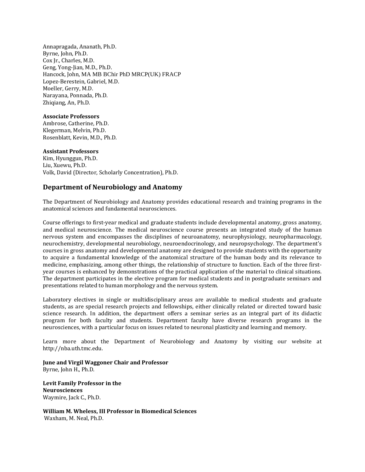Annapragada, Ananath, Ph.D. Byrne, John, Ph.D. Cox Jr., Charles, M.D. Geng, Yong-Jian, M.D., Ph.D. Hancock, John, MA MB BChir PhD MRCP(UK) FRACP Lopez-Berestein, Gabriel, M.D. Moeller, Gerry, M.D. Narayana, Ponnada, Ph.D. Zhigiang, An, Ph.D.

## **Associate Professors**

Ambrose, Catherine, Ph.D. Klegerman, Melvin, Ph.D. Rosenblatt, Kevin, M.D., Ph.D.

## **Assistant Professors**

Kim, Hyunggun, Ph.D. Liu, Xuewu, Ph.D. Volk, David (Director, Scholarly Concentration), Ph.D.

## **Department of Neurobiology and Anatomy**

The Department of Neurobiology and Anatomy provides educational research and training programs in the anatomical sciences and fundamental neurosciences.

Course offerings to first-year medical and graduate students include developmental anatomy, gross anatomy, and medical neuroscience. The medical neuroscience course presents an integrated study of the human nervous system and encompasses the disciplines of neuroanatomy, neurophysiology, neuropharmacology, neurochemistry, developmental neurobiology, neuroendocrinology, and neuropsychology. The department's courses in gross anatomy and developmental anatomy are designed to provide students with the opportunity to acquire a fundamental knowledge of the anatomical structure of the human body and its relevance to medicine, emphasizing, among other things, the relationship of structure to function. Each of the three firstyear courses is enhanced by demonstrations of the practical application of the material to clinical situations. The department participates in the elective program for medical students and in postgraduate seminars and presentations related to human morphology and the nervous system.

Laboratory electives in single or multidisciplinary areas are available to medical students and graduate students, as are special research projects and fellowships, either clinically related or directed toward basic science research. In addition, the department offers a seminar series as an integral part of its didactic program for both faculty and students. Department faculty have diverse research programs in the neurosciences, with a particular focus on issues related to neuronal plasticity and learning and memory.

Learn more about the Department of Neurobiology and Anatomy by visiting our website at http://nba.uth.tmc.edu.

**June and Virgil Waggoner Chair and Professor** Byrne, John H., Ph.D.

**Levit Family Professor in the Neurosciences**  Waymire, Jack C., Ph.D.

**William M. Wheless, III Professor in Biomedical Sciences** Waxham, M. Neal, Ph.D.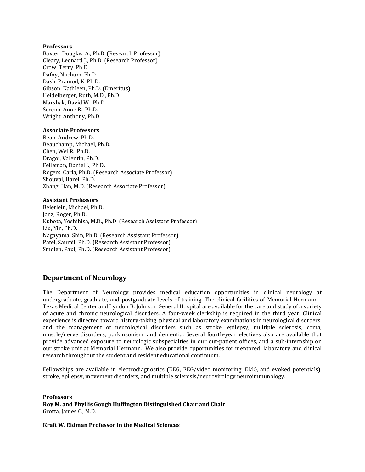## **Professors**

Baxter, Douglas, A., Ph.D. (Research Professor) Cleary, Leonard J., Ph.D. (Research Professor) Crow, Terry, Ph.D. Dafny, Nachum, Ph.D. Dash, Pramod, K. Ph.D. Gibson, Kathleen, Ph.D. (Emeritus) Heidelberger, Ruth, M.D., Ph.D. Marshak, David W., Ph.D. Sereno, Anne B., Ph.D. Wright, Anthony, Ph.D.

## **Associate Professors**

Bean, Andrew, Ph.D. Beauchamp, Michael, Ph.D. Chen, Wei R., Ph.D. Dragoi, Valentin, Ph.D. Felleman, Daniel J., Ph.D. Rogers, Carla, Ph.D. (Research Associate Professor) Shouval, Harel, Ph.D. Zhang, Han, M.D. (Research Associate Professor)

## **Assistant Professors**

Beierlein, Michael, Ph.D. Janz, Roger, Ph.D. Kubota, Yoshihisa, M.D., Ph.D. (Research Assistant Professor) Liu, Yin, Ph.D. Nagayama, Shin, Ph.D. (Research Assistant Professor) Patel, Saumil, Ph.D. (Research Assistant Professor) Smolen, Paul, Ph.D. (Research Assistant Professor)

## **Department of Neurology**

The Department of Neurology provides medical education opportunities in clinical neurology at undergraduate, graduate, and postgraduate levels of training. The clinical facilities of Memorial Hermann - Texas Medical Center and Lyndon B. Johnson General Hospital are available for the care and study of a variety of acute and chronic neurological disorders. A four-week clerkship is required in the third year. Clinical experience is directed toward history-taking, physical and laboratory examinations in neurological disorders, and the management of neurological disorders such as stroke, epilepsy, multiple sclerosis, coma, muscle/nerve disorders, parkinsonism, and dementia. Several fourth-year electives also are available that provide advanced exposure to neurologic subspecialties in our out-patient offices, and a sub-internship on our stroke unit at Memorial Hermann. We also provide opportunities for mentored laboratory and clinical research throughout the student and resident educational continuum.

Fellowships are available in electrodiagnostics (EEG, EEG/video monitoring, EMG, and evoked potentials), stroke, epilepsy, movement disorders, and multiple sclerosis/neurovirology neuroimmunology.

**Professors Roy M. and Phyllis Gough Huffington Distinguished Chair and Chair** Grotta, James C., M.D.

**Kraft W. Eidman Professor in the Medical Sciences**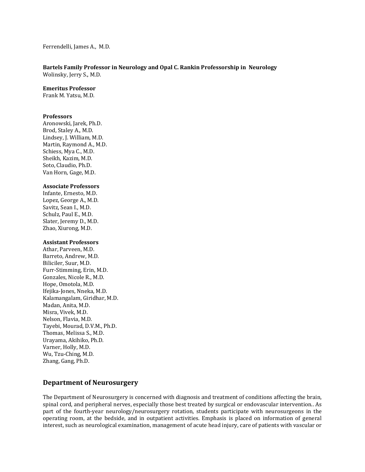#### Ferrendelli, James A., M.D.

## **Bartels Family Professor in Neurology and Opal C. Rankin Professorship in Neurology** Wolinsky, Jerry S., M.D.

**Emeritus Professor**

Frank M. Yatsu, M.D.

## **Professors**

Aronowski, Jarek, Ph.D. Brod, Staley A., M.D. Lindsey, J. William, M.D. Martin, Raymond A., M.D. Schiess, Mya C., M.D. Sheikh, Kazim, M.D. Soto, Claudio, Ph.D. Van Horn, Gage, M.D.

## **Associate Professors**

Infante, Ernesto, M.D. Lopez, George A., M.D. Savitz, Sean I., M.D. Schulz, Paul E., M.D. Slater, Jeremy D., M.D. Zhao, Xiurong, M.D.

## **Assistant Professors**

Athar, Parveen, M.D. Barreto, Andrew, M.D. Biliciler, Suur, M.D. Furr-Stimming, Erin, M.D. Gonzales, Nicole R., M.D. Hope, Omotola, M.D. Ifejika-Jones, Nneka, M.D. Kalamangalam, Giridhar, M.D. Madan, Anita, M.D. Misra, Vivek, M.D. Nelson, Flavia, M.D. Tayebi, Mourad, D.V.M., Ph.D. Thomas, Melissa S., M.D. Urayama, Akihiko, Ph.D. Varner, Holly, M.D. Wu, Tzu-Ching, M.D. Zhang, Gang, Ph.D.

## **Department of Neurosurgery**

The Department of Neurosurgery is concerned with diagnosis and treatment of conditions affecting the brain, spinal cord, and peripheral nerves, especially those best treated by surgical or endovascular intervention.. As part of the fourth-year neurology/neurosurgery rotation, students participate with neurosurgeons in the operating room, at the bedside, and in outpatient activities. Emphasis is placed on information of general interest, such as neurological examination, management of acute head injury, care of patients with vascular or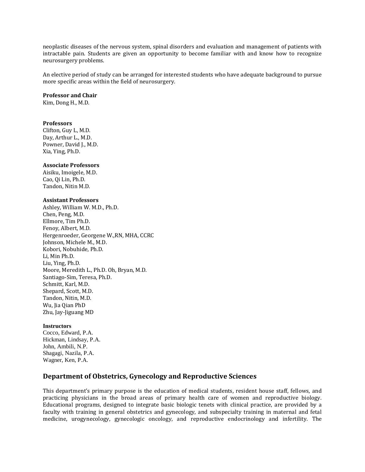neoplastic diseases of the nervous system, spinal disorders and evaluation and management of patients with intractable pain. Students are given an opportunity to become familiar with and know how to recognize neurosurgery problems.

An elective period of study can be arranged for interested students who have adequate background to pursue more specific areas within the field of neurosurgery.

## **Professor and Chair**

Kim, Dong H., M.D.

#### **Professors**

Clifton, Guy L, M.D. Day, Arthur L., M.D. Powner, David J., M.D. Xia, Ying, Ph.D.

## **Associate Professors**

Aisiku, Imoigele, M.D. Cao, Qi Lin, Ph.D. Tandon, Nitin M.D.

## **Assistant Professors**

Ashley, William W. M.D., Ph.D. Chen, Peng, M.D. Ellmore, Tim Ph.D. Fenoy, Albert, M.D. Hergenroeder, Georgene W.,RN, MHA, CCRC Johnson, Michele M., M.D. Kobori, Nobuhide, Ph.D. Li, Min Ph.D. Liu, Ying, Ph.D. Moore, Meredith L., Ph.D. Oh, Bryan, M.D. Santiago-Sim, Teresa, Ph.D. Schmitt, Karl, M.D. Shepard, Scott, M.D. Tandon, Nitin, M.D. Wu, Jia Qian PhD Zhu, Jay-Jiguang MD

#### **Instructors**

Cocco, Edward, P.A. Hickman, Lindsay, P.A. John, Ambili, N.P. Shagagi, Nazila, P.A. Wagner, Ken, P.A.

## **Department of Obstetrics, Gynecology and Reproductive Sciences**

This department's primary purpose is the education of medical students, resident house staff, fellows, and practicing physicians in the broad areas of primary health care of women and reproductive biology. Educational programs, designed to integrate basic biologic tenets with clinical practice, are provided by a faculty with training in general obstetrics and gynecology, and subspecialty training in maternal and fetal medicine, urogynecology, gynecologic oncology, and reproductive endocrinology and infertility. The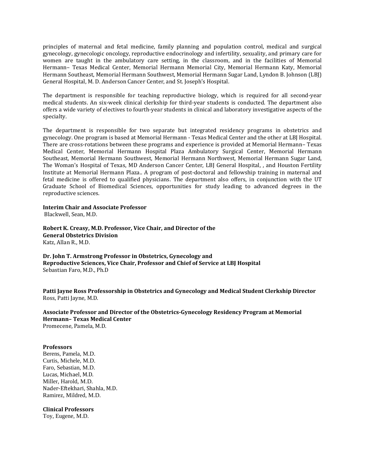principles of maternal and fetal medicine, family planning and population control, medical and surgical gynecology, gynecologic oncology, reproductive endocrinology and infertility, sexuality, and primary care for women are taught in the ambulatory care setting, in the classroom, and in the facilities of Memorial Hermann– Texas Medical Center, Memorial Hermann Memorial City, Memorial Hermann Katy, Memorial Hermann Southeast, Memorial Hermann Southwest, Memorial Hermann Sugar Land, Lyndon B. Johnson (LBJ) General Hospital, M. D. Anderson Cancer Center, and St. Joseph's Hospital.

The department is responsible for teaching reproductive biology, which is required for all second-year medical students. An six-week clinical clerkship for third-year students is conducted. The department also offers a wide variety of electives to fourth-year students in clinical and laboratory investigative aspects of the specialty.

The department is responsible for two separate but integrated residency programs in obstetrics and gynecology. One program is based at Memorial Hermann - Texas Medical Center and the other at LBJ Hospital. There are cross-rotations between these programs and experience is provided at Memorial Hermann– Texas Medical Center, Memorial Hermann Hospital Plaza Ambulatory Surgical Center, Memorial Hermann Southeast, Memorial Hermann Southwest, Memorial Hermann Northwest, Memorial Hermann Sugar Land, The Woman's Hospital of Texas, MD Anderson Cancer Center, LBJ General Hospital, , and Houston Fertility Institute at Memorial Hermann Plaza.. A program of post-doctoral and fellowship training in maternal and fetal medicine is offered to qualified physicians. The department also offers, in conjunction with the UT Graduate School of Biomedical Sciences, opportunities for study leading to advanced degrees in the reproductive sciences.

**Interim Chair and Associate Professor** Blackwell, Sean, M.D.

**Robert K. Creasy, M.D. Professor, Vice Chair, and Director of the General Obstetrics Division**

Katz, Allan R., M.D.

**Dr. John T. Armstrong Professor in Obstetrics, Gynecology and Reproductive Sciences, Vice Chair, Professor and Chief of Service at LBJ Hospital** Sebastian Faro, M.D., Ph.D

**Patti Jayne Ross Professorship in Obstetrics and Gynecology and Medical Student Clerkship Director** Ross, Patti Jayne, M.D.

**Associate Professor and Director of the Obstetrics-Gynecology Residency Program at Memorial Hermann– Texas Medical Center** Promecene, Pamela, M.D.

## **Professors**

Berens, Pamela, M.D. Curtis, Michele, M.D. Faro, Sebastian, M.D. Lucas, Michael, M.D. Miller, Harold, M.D. Nader-Eftekhari, Shahla, M.D. Ramirez, Mildred, M.D.

## **Clinical Professors**

Toy, Eugene, M.D.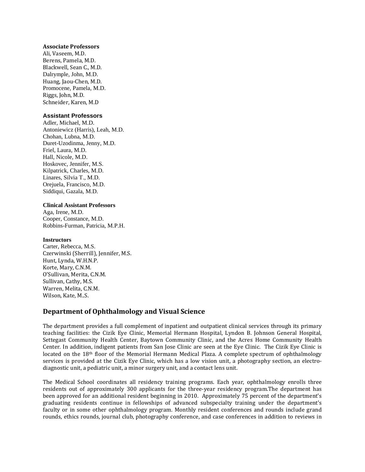## **Associate Professors**

Ali, Vaseem, M.D. Berens, Pamela, M.D. Blackwell, Sean C., M.D. Dalrymple, John, M.D. Huang, Jaou-Chen, M.D. Promocene, Pamela, M.D. Riggs, John, M.D. Schneider, Karen, M.D

## **Assistant Professors**

Adler, Michael, M.D. Antoniewicz (Harris), Leah, M.D. Chohan, Lubna, M.D. Duret-Uzodinma, Jenny, M.D. Friel, Laura, M.D. Hall, Nicole, M.D. Hoskovec, Jennifer, M.S. Kilpatrick, Charles, M.D. Linares, Silvia T., M.D. Orejuela, Francisco, M.D. Siddiqui, Gazala, M.D.

## **Clinical Assistant Professors**

Aga, Irene, M.D. Cooper, Constance, M.D. Robbins-Furman, Patricia, M.P.H.

## **Instructors**

Carter, Rebecca, M.S. Czerwinski (Sherrill), Jennifer, M.S. Hunt, Lynda, W.H.N.P. Korte, Mary, C.N.M. O'Sullivan, Merita, C.N.M. Sullivan, Cathy, M.S. Warren, Melita, C.N.M. Wilson, Kate, M..S.

## **Department of Ophthalmology and Visual Science**

The department provides a full complement of inpatient and outpatient clinical services through its primary teaching facilities: the Cizik Eye Clinic, Memorial Hermann Hospital, Lyndon B. Johnson General Hospital, Settegast Community Health Center, Baytown Community Clinic, and the Acres Home Community Health Center. In addition, indigent patients from San Jose Clinic are seen at the Eye Clinic. The Cizik Eye Clinic is located on the  $18<sup>th</sup>$  floor of the Memorial Hermann Medical Plaza. A complete spectrum of ophthalmology services is provided at the Cizik Eye Clinic, which has a low vision unit, a photography section, an electrodiagnostic unit, a pediatric unit, a minor surgery unit, and a contact lens unit.

The Medical School coordinates all residency training programs. Each year, ophthalmology enrolls three residents out of approximately 300 applicants for the three-year residency program.The department has been approved for an additional resident beginning in 2010. Approximately 75 percent of the department's graduating residents continue in fellowships of advanced subspecialty training under the department's faculty or in some other ophthalmology program. Monthly resident conferences and rounds include grand rounds, ethics rounds, journal club, photography conference, and case conferences in addition to reviews in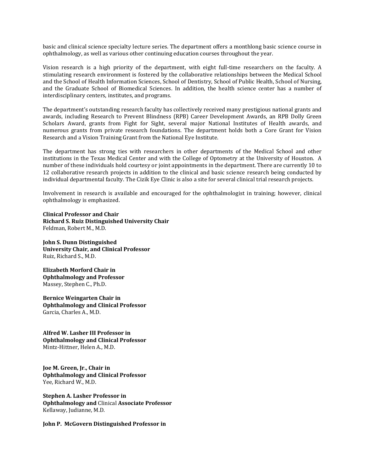basic and clinical science specialty lecture series. The department offers a monthlong basic science course in ophthalmology, as well as various other continuing education courses throughout the year.

Vision research is a high priority of the department, with eight full-time researchers on the faculty. A stimulating research environment is fostered by the collaborative relationships between the Medical School and the School of Health Information Sciences, School of Dentistry, School of Public Health, School of Nursing, and the Graduate School of Biomedical Sciences. In addition, the health science center has a number of interdisciplinary centers, institutes, and programs.

The department's outstanding research faculty has collectively received many prestigious national grants and awards, including Research to Prevent Blindness (RPB) Career Development Awards, an RPB Dolly Green Scholars Award, grants from Fight for Sight, several major National Institutes of Health awards, and numerous grants from private research foundations. The department holds both a Core Grant for Vision Research and a Vision Training Grant from the National Eye Institute.

The department has strong ties with researchers in other departments of the Medical School and other institutions in the Texas Medical Center and with the College of Optometry at the University of Houston. A number of these individuals hold courtesy or joint appointments in the department. There are currently 10 to 12 collaborative research projects in addition to the clinical and basic science research being conducted by individual departmental faculty. The Cizik Eye Clinic is also a site for several clinical trial research projects.

Involvement in research is available and encouraged for the ophthalmologist in training; however, clinical ophthalmology is emphasized.

**Clinical Professor and Chair Richard S. Ruiz Distinguished University Chair**  Feldman, Robert M., M.D.

**John S. Dunn Distinguished University Chair, and Clinical Professor**  Ruiz, Richard S., M.D.

**Elizabeth Morford Chair in Ophthalmology and Professor**  Massey, Stephen C., Ph.D.

**Bernice Weingarten Chair in Ophthalmology and Clinical Professor**  Garcia, Charles A., M.D.

**Alfred W. Lasher III Professor in Ophthalmology and Clinical Professor** Mintz-Hittner, Helen A., M.D.

**Joe M. Green, Jr., Chair in Ophthalmology and Clinical Professor** Yee, Richard W., M.D.

**Stephen A. Lasher Professor in Ophthalmology and** Clinical **Associate Professor** Kellaway, Judianne, M.D.

**John P. McGovern Distinguished Professor in**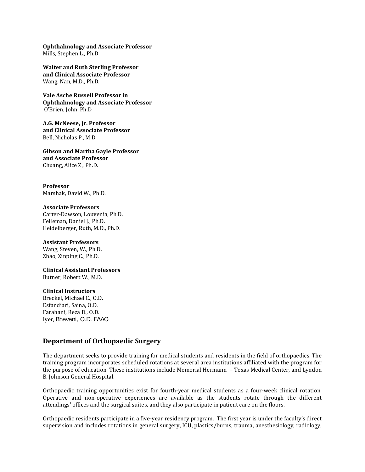**Ophthalmology and Associate Professor** Mills, Stephen L., Ph.D

**Walter and Ruth Sterling Professor and Clinical Associate Professor** Wang, Nan, M.D., Ph.D.

**Vale Asche Russell Professor in Ophthalmology and Associate Professor** O'Brien, John, Ph.D

**A.G. McNeese, Jr. Professor and Clinical Associate Professor** Bell, Nicholas P., M.D.

**Gibson and Martha Gayle Professor and Associate Professor** Chuang, Alice Z., Ph.D.

**Professor** Marshak, David W., Ph.D.

## **Associate Professors** Carter-Dawson, Louvenia, Ph.D. Felleman, Daniel J., Ph.D. Heidelberger, Ruth, M.D., Ph.D.

**Assistant Professors** Wang, Steven, W., Ph.D. Zhao, Xinping C., Ph.D.

**Clinical Assistant Professors** Butner, Robert W., M.D.

## **Clinical Instructors**

Breckel, Michael C., O.D. Esfandiari, Saina, O.D. Farahani, Reza D., O.D. Iyer, Bhavani, O.D. FAAO

## **Department of Orthopaedic Surgery**

The department seeks to provide training for medical students and residents in the field of orthopaedics. The training program incorporates scheduled rotations at several area institutions affiliated with the program for the purpose of education. These institutions include Memorial Hermann – Texas Medical Center, and Lyndon B. Johnson General Hospital.

Orthopaedic training opportunities exist for fourth-year medical students as a four-week clinical rotation. Operative and non-operative experiences are available as the students rotate through the different attendings' offices and the surgical suites, and they also participate in patient care on the floors.

Orthopaedic residents participate in a five-year residency program. The first year is under the faculty's direct supervision and includes rotations in general surgery, ICU, plastics/burns, trauma, anesthesiology, radiology,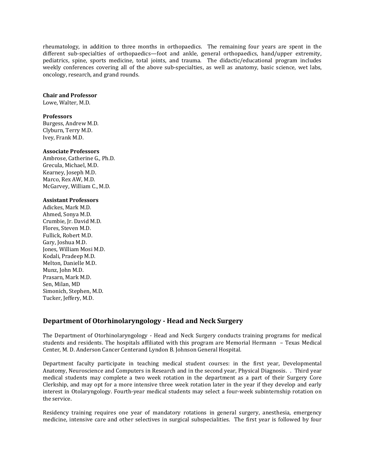rheumatology, in addition to three months in orthopaedics. The remaining four years are spent in the different sub-specialties of orthopaedics—foot and ankle, general orthopaedics, hand/upper extremity, pediatrics, spine, sports medicine, total joints, and trauma. The didactic/educational program includes weekly conferences covering all of the above sub-specialties, as well as anatomy, basic science, wet labs, oncology, research, and grand rounds.

## **Chair and Professor**

Lowe, Walter, M.D.

## **Professors**

Burgess, Andrew M.D. Clyburn, Terry M.D. Ivey, Frank M.D.

## **Associate Professors**

Ambrose, Catherine G., Ph.D. Grecula, Michael, M.D. Kearney, Joseph M.D. Marco, Rex AW, M.D. McGarvey, William C., M.D.

## **Assistant Professors**

Adickes, Mark M.D. Ahmed, Sonya M.D. Crumbie, Jr. David M.D. Flores, Steven M.D. Fullick, Robert M.D. Gary, Joshua M.D. Jones, William Mosi M.D. Kodali, Pradeep M.D. Melton, Danielle M.D. Munz, John M.D. Prasarn, Mark M.D. Sen, Milan, MD Simonich, Stephen, M.D. Tucker, Jeffery, M.D.

## **Department of Otorhinolaryngology - Head and Neck Surgery**

The Department of Otorhinolaryngology - Head and Neck Surgery conducts training programs for medical students and residents. The hospitals affiliated with this program are Memorial Hermann – Texas Medical Center, M. D. Anderson Cancer Centerand Lyndon B. Johnson General Hospital.

Department faculty participate in teaching medical student courses: in the first year, Developmental Anatomy, Neuroscience and Computers in Research and in the second year, Physical Diagnosis. . Third year medical students may complete a two week rotation in the department as a part of their Surgery Core Clerkship, and may opt for a more intensive three week rotation later in the year if they develop and early interest in Otolaryngology. Fourth-year medical students may select a four-week subinternship rotation on the service.

Residency training requires one year of mandatory rotations in general surgery, anesthesia, emergency medicine, intensive care and other selectives in surgical subspecialities. The first year is followed by four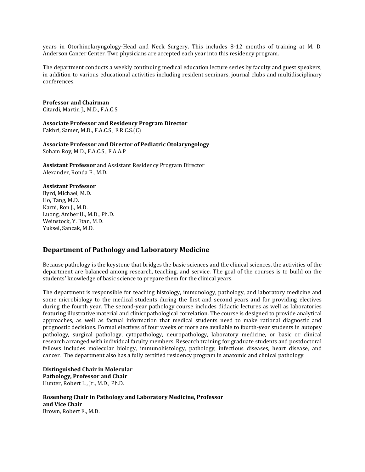years in Otorhinolaryngology-Head and Neck Surgery. This includes 8-12 months of training at M. D. Anderson Cancer Center. Two physicians are accepted each year into this residency program.

The department conducts a weekly continuing medical education lecture series by faculty and guest speakers, in addition to various educational activities including resident seminars, journal clubs and multidisciplinary conferences.

## **Professor and Chairman**

Citardi, Martin J., M.D., F.A.C.S

**Associate Professor and Residency Program Director** Fakhri, Samer, M.D., F.A.C.S., F.R.C.S.(C)

**Associate Professor and Director of Pediatric Otolaryngology** Soham Roy, M.D., F.A.C.S., F.A.A.P

**Assistant Professor** and Assistant Residency Program Director Alexander, Ronda E., M.D.

## **Assistant Professor**

Byrd, Michael, M.D. Ho, Tang, M.D. Karni, Ron J., M.D. Luong, Amber U., M.D., Ph.D. Weinstock, Y. Etan, M.D. Yuksel, Sancak, M.D.

## **Department of Pathology and Laboratory Medicine**

Because pathology is the keystone that bridges the basic sciences and the clinical sciences, the activities of the department are balanced among research, teaching, and service. The goal of the courses is to build on the students' knowledge of basic science to prepare them for the clinical years.

The department is responsible for teaching histology, immunology, pathology, and laboratory medicine and some microbiology to the medical students during the first and second years and for providing electives during the fourth year. The second-year pathology course includes didactic lectures as well as laboratories featuring illustrative material and clinicopathological correlation. The course is designed to provide analytical approaches, as well as factual information that medical students need to make rational diagnostic and prognostic decisions. Formal electives of four weeks or more are available to fourth-year students in autopsy pathology, surgical pathology, cytopathology, neuropathology, laboratory medicine, or basic or clinical research arranged with individual faculty members. Research training for graduate students and postdoctoral fellows includes molecular biology, immunohistology, pathology, infectious diseases, heart disease, and cancer. The department also has a fully certified residency program in anatomic and clinical pathology.

**Distinguished Chair in Molecular Pathology, Professor and Chair**  Hunter, Robert L., Jr., M.D., Ph.D.

**Rosenberg Chair in Pathology and Laboratory Medicine, Professor and Vice Chair**  Brown, Robert E., M.D.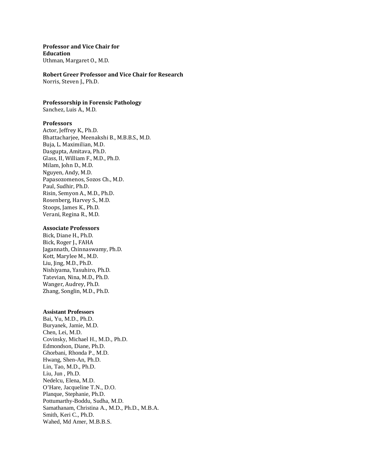## **Professor and Vice Chair for Education**

Uthman, Margaret O., M.D.

## **Robert Greer Professor and Vice Chair for Research**

Norris, Steven J., Ph.D.

## **Professorship in Forensic Pathology**

Sanchez, Luis A., M.D.

#### **Professors**

Actor, Jeffrey K., Ph.D. Bhattacharjee, Meenakshi B., M.B.B.S., M.D. Buja, L. Maximilian, M.D. Dasgupta, Amitava, Ph.D. Glass, II, William F., M.D., Ph.D. Milam, John D., M.D. Nguyen, Andy, M.D. Papasozomenos, Sozos Ch., M.D. Paul, Sudhir, Ph.D. Risin, Semyon A., M.D., Ph.D. Rosenberg, Harvey S., M.D. Stoops, James K., Ph.D. Verani, Regina R., M.D.

#### **Associate Professors**

Bick, Diane H., Ph.D. Bick, Roger J., FAHA Jagannath, Chinnaswamy, Ph.D. Kott, Marylee M., M.D. Liu, Jing, M.D., Ph.D. Nishiyama, Yasuhiro, Ph.D. Tatevian, Nina, M.D., Ph.D. Wanger, Audrey, Ph.D. Zhang, Songlin, M.D., Ph.D.

## **Assistant Professors**

Bai, Yu, M.D., Ph.D. Buryanek, Jamie, M.D. Chen, Lei, M.D. Covinsky, Michael H., M.D., Ph.D. Edmondson, Diane, Ph.D. Ghorbani, Rhonda P., M.D. Hwang, Shen-An, Ph.D. Lin, Tao, M.D., Ph.D. Liu, Jun , Ph.D. Nedelcu, Elena, M.D. O'Hare, Jacqueline T.N., D.O. Planque, Stephanie, Ph.D. Pottumarthy-Boddu, Sudha, M.D. Samathanam, Christina A., M.D., Ph.D., M.B.A. Smith, Keri C., Ph.D. Wahed, Md Amer, M.B.B.S.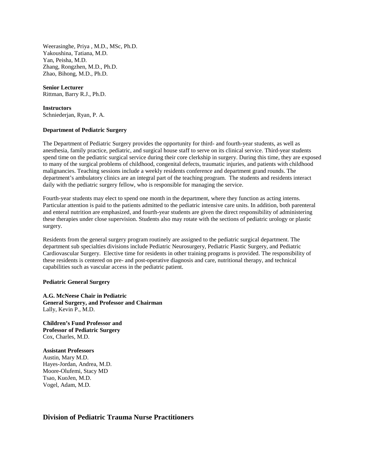Weerasinghe, Priya , M.D., MSc, Ph.D. Yakoushina, Tatiana, M.D. Yan, Peisha, M.D. Zhang, Rongzhen, M.D., Ph.D. Zhao, Bihong, M.D., Ph.D.

# **Senior Lecturer**

Rittman, Barry R.J., Ph.D.

## **Instructors**

Schniederjan, Ryan, P. A.

## **Department of Pediatric Surgery**

The Department of Pediatric Surgery provides the opportunity for third- and fourth-year students, as well as anesthesia, family practice, pediatric, and surgical house staff to serve on its clinical service. Third-year students spend time on the pediatric surgical service during their core clerkship in surgery. During this time, they are exposed to many of the surgical problems of childhood, congenital defects, traumatic injuries, and patients with childhood malignancies. Teaching sessions include a weekly residents conference and department grand rounds. The department's ambulatory clinics are an integral part of the teaching program. The students and residents interact daily with the pediatric surgery fellow, who is responsible for managing the service.

Fourth-year students may elect to spend one month in the department, where they function as acting interns. Particular attention is paid to the patients admitted to the pediatric intensive care units. In addition, both parenteral and enteral nutrition are emphasized, and fourth-year students are given the direct responsibility of administering these therapies under close supervision. Students also may rotate with the sections of pediatric urology or plastic surgery.

Residents from the general surgery program routinely are assigned to the pediatric surgical department. The department sub specialties divisions include Pediatric Neurosurgery, Pediatric Plastic Surgery, and Pediatric Cardiovascular Surgery. Elective time for residents in other training programs is provided. The responsibility of these residents is centered on pre- and post-operative diagnosis and care, nutritional therapy, and technical capabilities such as vascular access in the pediatric patient.

## **Pediatric General Surgery**

**A.G. McNeese Chair in Pediatric General Surgery, and Professor and Chairman** Lally, Kevin P., M.D.

**Children's Fund Professor and Professor of Pediatric Surgery** Cox, Charles, M.D.

## **Assistant Professors**

Austin, Mary M.D. Hayes-Jordan, Andrea, M.D. Moore-Olufemi, Stacy MD Tsao, KuoJen, M.D. Vogel, Adam, M.D.

**Division of Pediatric Trauma Nurse Practitioners**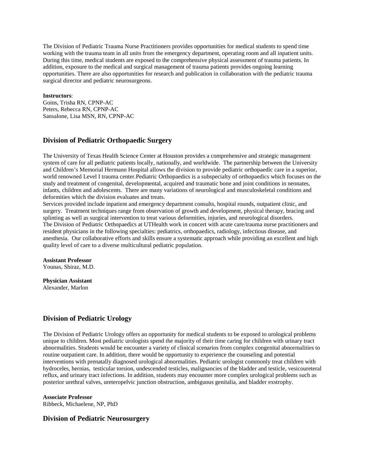The Division of Pediatric Trauma Nurse Practitioners provides opportunities for medical students to spend time working with the trauma team in all units from the emergency department, operating room and all inpatient units. During this time, medical students are exposed to the comprehensive physical assessment of trauma patients. In addition, exposure to the medical and surgical management of trauma patients provides ongoing learning opportunities. There are also opportunities for research and publication in collaboration with the pediatric trauma surgical director and pediatric neurosurgeons.

### **Instructors**:

Goins, Trisha RN, CPNP-AC Peters, Rebecca RN, CPNP-AC Sansalone, Lisa MSN, RN, CPNP-AC

## **Division of Pediatric Orthopaedic Surgery**

The University of Texas Health Science Center at Houston provides a comprehensive and strategic management system of care for all pediatric patients locally, nationally, and worldwide. The partnership between the University and Children's Memorial Hermann Hospital allows the division to provide pediatric orthopaedic care in a superior, world renowned Level I trauma center.Pediatric Orthopaedics is a subspecialty of orthopaedics which focuses on the study and treatment of congenital, developmental, acquired and traumatic bone and joint conditions in neonates, infants, children and adolescents. There are many variations of neurological and musculoskeletal conditions and deformities which the division evaluates and treats.

Services provided include inpatient and emergency department consults, hospital rounds, outpatient clinic, and surgery. Treatment techniques range from observation of growth and development, physical therapy, bracing and splinting as well as surgical intervention to treat various deformities, injuries, and neurological disorders. The Division of Pediatric Orthopaedics at UTHealth work in concert with acute care/trauma nurse practitioners and resident physicians in the following specialties: pediatrics, orthopaedics, radiology, infectious disease, and anesthesia. Our collaborative efforts and skills ensure a systematic approach while providing an excellent and high quality level of care to a diverse multicultural pediatric population.

#### **Assistant Professor**

Younas, Shiraz, M.D.

**Physician Assistant** Alexander, Marlon

## **Division of Pediatric Urology**

The Division of Pediatric Urology offers an opportunity for medical students to be exposed to urological problems unique to children. Most pediatric urologists spend the majority of their time caring for children with urinary tract abnormalities. Students would be encounter a variety of clinical scenarios from complex congenital abnormalities to routine outpatient care. In addition, there would be opportunity to experience the counseling and potential interventions with prenatally diagnosed urological abnormalities. Pediatric urologist commonly treat children with hydroceles, hernias, testicular torsion, undescended testicles, malignancies of the bladder and testicle, vesicoureteral reflux, and urinary tract infections. In addition, students may encounter more complex urological problems such as posterior urethral valves, ureteropelvic junction obstruction, ambiguous genitalia, and bladder exstrophy.

**Associate Professor** 

Ribbeck, Michaelene, NP, PhD

## **Division of Pediatric Neurosurgery**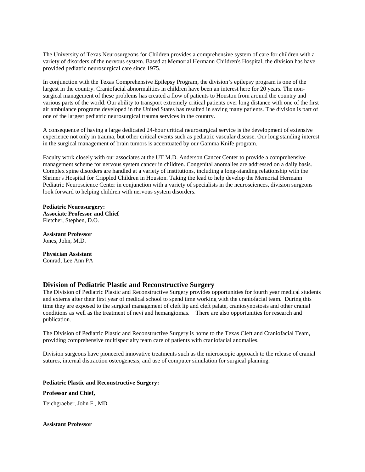The University of Texas Neurosurgeons for Children provides a comprehensive system of care for children with a variety of disorders of the nervous system. Based at Memorial Hermann Children's Hospital, the division has have provided pediatric neurosurgical care since 1975.

In conjunction with the Texas Comprehensive Epilepsy Program, the division's epilepsy program is one of the largest in the country. Craniofacial abnormalities in children have been an interest here for 20 years. The nonsurgical management of these problems has created a flow of patients to Houston from around the country and various parts of the world. Our ability to transport extremely critical patients over long distance with one of the first air ambulance programs developed in the United States has resulted in saving many patients. The division is part of one of the largest pediatric neurosurgical trauma services in the country.

A consequence of having a large dedicated 24-hour critical neurosurgical service is the development of extensive experience not only in trauma, but other critical events such as pediatric vascular disease. Our long standing interest in the surgical management of brain tumors is accentuated by our Gamma Knife program.

Faculty work closely with our associates at the UT M.D. Anderson Cancer Center to provide a comprehensive management scheme for nervous system cancer in children. Congenital anomalies are addressed on a daily basis. Complex spine disorders are handled at a variety of institutions, including a long-standing relationship with the Shriner's Hospital for Crippled Children in Houston. Taking the lead to help develop the Memorial Hermann Pediatric Neuroscience Center in conjunction with a variety of specialists in the neurosciences, division surgeons look forward to helping children with nervous system disorders.

**Pediatric Neurosurgery: Associate Professor and Chief** Fletcher, Stephen, D.O.

**Assistant Professor**  Jones, John, M.D.

**Physician Assistant**  Conrad, Lee Ann PA

## **Division of Pediatric Plastic and Reconstructive Surgery**

The Division of Pediatric Plastic and Reconstructive Surgery provides opportunities for fourth year medical students and externs after their first year of medical school to spend time working with the craniofacial team. During this time they are exposed to the surgical management of cleft lip and cleft palate, craniosynostosis and other cranial conditions as well as the treatment of nevi and hemangiomas. There are also opportunities for research and publication.

The Division of Pediatric Plastic and Reconstructive Surgery is home to the Texas Cleft and Craniofacial Team, providing comprehensive multispecialty team care of patients with craniofacial anomalies.

Division surgeons have pioneered innovative treatments such as the microscopic approach to the release of cranial sutures, internal distraction osteogenesis, and use of computer simulation for surgical planning.

**Pediatric Plastic and Reconstructive Surgery:**

**Professor and Chief,**

Teichgraeber, John F., MD

**Assistant Professor**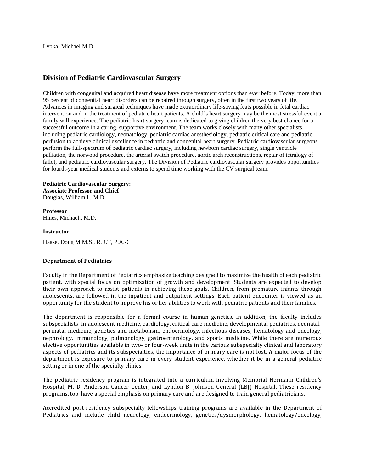Lypka, Michael M.D.

## **Division of Pediatric Cardiovascular Surgery**

Children with congenital and acquired heart disease have more treatment options than ever before. Today, more than 95 percent of congenital heart disorders can be repaired through surgery, often in the first two years of life. Advances in imaging and surgical techniques have made extraordinary life-saving feats possible in fetal cardiac intervention and in the treatment of pediatric heart patients. A child's heart surgery may be the most stressful event a family will experience. The pediatric heart surgery team is dedicated to giving children the very best chance for a successful outcome in a caring, supportive environment. The team works closely with many other specialists, including pediatric cardiology, neonatology, pediatric cardiac anesthesiology, pediatric critical care and pediatric perfusion to achieve clinical excellence in pediatric and congenital heart surgery. Pediatric cardiovascular surgeons perform the full-spectrum of pediatric cardiac surgery, including newborn cardiac surgery, single ventricle palliation, the norwood procedure, the arterial switch procedure, aortic arch reconstructions, repair of tetralogy of fallot, and pediatric cardiovascular surgery. The Division of Pediatric cardiovascular surgery provides opportunities for fourth-year medical students and externs to spend time working with the CV surgical team.

**Pediatric Cardiovascular Surgery: Associate Professor and Chief** Douglas, William I., M.D.

**Professor** Hines, Michael., M.D.

## **Instructor**

Haase, Doug M.M.S., R.R.T, P.A.-C

## **Department of Pediatrics**

Faculty in the Department of Pediatrics emphasize teaching designed to maximize the health of each pediatric patient, with special focus on optimization of growth and development. Students are expected to develop their own approach to assist patients in achieving these goals. Children, from premature infants through adolescents, are followed in the inpatient and outpatient settings. Each patient encounter is viewed as an opportunity for the student to improve his or her abilities to work with pediatric patients and their families.

The department is responsible for a formal course in human genetics. In addition, the faculty includes subspecialists in adolescent medicine, cardiology, critical care medicine, developmental pediatrics, neonatalperinatal medicine, genetics and metabolism, endocrinology, infectious diseases, hematology and oncology, nephrology, immunology, pulmonology, gastroenterology, and sports medicine. While there are numerous elective opportunities available in two- or four-week units in the various subspecialty clinical and laboratory aspects of pediatrics and its subspecialties, the importance of primary care is not lost. A major focus of the department is exposure to primary care in every student experience, whether it be in a general pediatric setting or in one of the specialty clinics.

The pediatric residency program is integrated into a curriculum involving Memorial Hermann Children's Hospital, M. D. Anderson Cancer Center, and Lyndon B. Johnson General (LBJ) Hospital. These residency programs, too, have a special emphasis on primary care and are designed to train general pediatricians.

Accredited post-residency subspecialty fellowships training programs are available in the Department of Pediatrics and include child neurology, endocrinology, genetics/dysmorphology, hematology/oncology,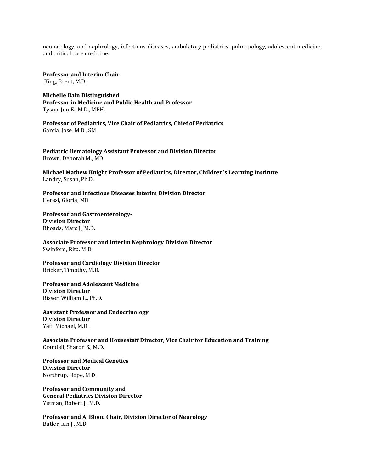neonatology, and nephrology, infectious diseases, ambulatory pediatrics, pulmonology, adolescent medicine, and critical care medicine.

**Professor and Interim Chair**  King, Brent, M.D.

**Michelle Bain Distinguished Professor in Medicine and Public Health and Professor** Tyson, Jon E., M.D., MPH.

**Professor of Pediatrics, Vice Chair of Pediatrics, Chief of Pediatrics** Garcia, Jose, M.D., SM

**Pediatric Hematology Assistant Professor and Division Director** Brown, Deborah M., MD

**Michael Mathew Knight Professor of Pediatrics, Director, Children's Learning Institute** Landry, Susan, Ph.D.

**Professor and Infectious Diseases Interim Division Director**  Heresi, Gloria, MD

**Professor and Gastroenterology-Division Director**  Rhoads, Marc J., M.D.

**Associate Professor and Interim Nephrology Division Director** Swinford, Rita, M.D.

**Professor and Cardiology Division Director** Bricker, Timothy, M.D.

**Professor and Adolescent Medicine Division Director** Risser, William L., Ph.D.

**Assistant Professor and Endocrinology Division Director** Yafi, Michael, M.D.

**Associate Professor and Housestaff Director, Vice Chair for Education and Training** Crandell, Sharon S., M.D.

**Professor and Medical Genetics Division Director**  Northrup, Hope, M.D.

**Professor and Community and General Pediatrics Division Director**  Yetman, Robert J., M.D.

**Professor and A. Blood Chair, Division Director of Neurology** Butler, Ian J., M.D.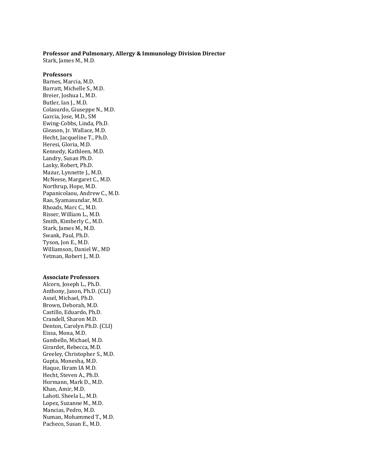### **Professor and Pulmonary, Allergy & Immunology Division Director**

Stark, James M., M.D.

## **Professors**

Barnes, Marcia, M.D. Barratt, Michelle S., M.D. Breier, Joshua I., M.D. Butler, Ian J., M.D. Colasurdo, Giuseppe N., M.D. Garcia, Jose, M.D., SM Ewing-Cobbs, Linda, Ph.D. Gleason, Jr. Wallace, M.D. Hecht, Jacqueline T., Ph.D. Heresi, Gloria, M.D. Kennedy, Kathleen, M.D. Landry, Susan Ph.D. Lasky, Robert, Ph.D. Mazur, Lynnette J., M.D. McNeese, Margaret C., M.D. Northrup, Hope, M.D. Papanicolaou, Andrew C., M.D. Rao, Syamasundar, M.D. Rhoads, Marc C., M.D. Risser, William L., M.D. Smith, Kimberly C., M.D. Stark, James M., M.D. Swank, Paul, Ph.D. Tyson, Jon E., M.D. Williamson, Daniel W., MD Yetman, Robert J., M.D.

#### **Associate Professors**

Alcorn, Joseph L., Ph.D. Anthony, Jason, Ph.D. (CLI) Assel, Michael, Ph.D. Brown, Deborah, M.D. Castillo, Eduardo, Ph.D. Crandell, Sharon M.D. Denton, Carolyn Ph.D. (CLI) Eissa, Mona, M.D. Gambello, Michael, M.D. Girardet, Rebecca, M.D. Greeley, Christopher S., M.D. Gupta, Monesha, M.D. Haque, Ikram IA M.D. Hecht, Steven A., Ph.D. Hormann, Mark D., M.D. Khan, Amir, M.D. Lahoti. Sheela L., M.D. Lopez, Suzanne M., M.D. Mancias, Pedro, M.D. Numan, Mohammed T., M.D. Pacheco, Susan E., M.D.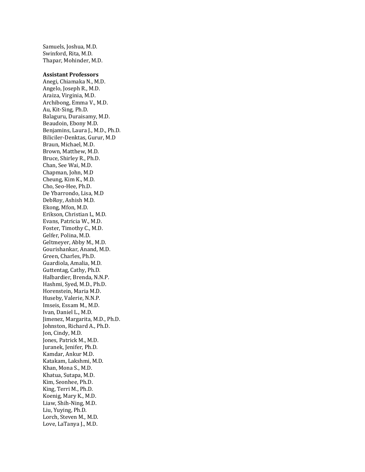Samuels, Joshua, M.D. Swinford, Rita, M.D. Thapar, Mohinder, M.D.

#### **Assistant Professors**

Anegi, Chiamaka N., M.D. Angelo, Joseph R., M.D. Araiza, Virginia, M.D. Archibong, Emma V., M.D. Au, Kit-Sing, Ph.D. Balaguru, Duraisamy, M.D. Beaudoin, Ebony M.D. Benjamins, Laura J., M.D., Ph.D. Biliciler-Denktas, Gurur, M.D Braun, Michael, M.D. Brown, Matthew, M.D. Bruce, Shirley R., Ph.D. Chan, See Wai, M.D. Chapman, John, M.D Cheung, Kim K., M.D. Cho, Seo-Hee, Ph.D. De Ybarrondo, Lisa, M.D DebRoy, Ashish M.D. Ekong, Mfon, M.D. Erikson, Christian L, M.D. Evans, Patricia W., M.D. Foster, Timothy C., M.D. Gelfer, Polina, M.D. Geltmeyer, Abby M., M.D. Gourishankar, Anand, M.D. Green, Charles, Ph.D. Guardiola, Amalia, M.D. Guttentag, Cathy, Ph.D. Halbardier, Brenda, N.N.P. Hashmi, Syed, M.D., Ph.D. Horenstein, Maria M.D. Huseby, Valerie, N.N.P. Imseis, Essam M., M.D. Ivan, Daniel L., M.D. Jimenez, Margarita, M.D., Ph.D. Johnston, Richard A., Ph.D. Jon, Cindy, M.D. Jones, Patrick M., M.D. Juranek, Jenifer, Ph.D. Kamdar, Ankur M.D. Katakam, Lakshmi, M.D. Khan, Mona S., M.D. Khatua, Sutapa, M.D. Kim, Seonhee, Ph.D. King, Terri M., Ph.D. Koenig, Mary K., M.D. Liaw, Shih-Ning, M.D. Liu, Yuying, Ph.D. Lorch, Steven M., M.D. Love, LaTanya J., M.D.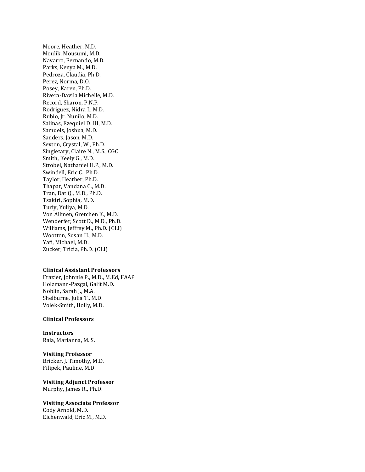Moore, Heather, M.D. Moulik, Mousumi, M.D. Navarro, Fernando, M.D. Parks, Kenya M., M.D. Pedroza, Claudia, Ph.D. Perez, Norma, D.O. Posey, Karen, Ph.D. Rivera-Davila Michelle, M.D. Record, Sharon, P.N.P. Rodriguez, Nidra I., M.D. Rubio, Jr. Nunilo, M.D. Salinas, Ezequiel D. III, M.D. Samuels, Joshua, M.D. Sanders, Jason, M.D. Sexton, Crystal, W., Ph.D. Singletary, Claire N., M.S., CGC Smith, Keely G., M.D. Strobel, Nathaniel H.P., M.D. Swindell, Eric C., Ph.D. Taylor, Heather, Ph.D. Thapar, Vandana C., M.D. Tran, Dat Q., M.D., Ph.D. Tsakiri, Sophia, M.D. Turiy, Yuliya, M.D. Von Allmen, Gretchen K., M.D. Wenderfer, Scott D., M.D., Ph.D. Williams, Jeffrey M., Ph.D. (CLI) Wootton, Susan H., M.D. Yafi, Michael, M.D. Zucker, Tricia, Ph.D. (CLI)

#### **Clinical Assistant Professors**

Frazier, Johnnie P., M.D., M.Ed, FAAP Holzmann-Pazgal, Galit M.D. Noblin, Sarah J., M.A. Shelburne, Julia T., M.D. Volek-Smith, Holly, M.D.

## **Clinical Professors**

**Instructors** Raia, Marianna, M. S.

**Visiting Professor** Bricker, J. Timothy, M.D. Filipek, Pauline, M.D.

**Visiting Adjunct Professor** Murphy, James R., Ph.D.

**Visiting Associate Professor** Cody Arnold, M.D. Eichenwald, Eric M., M.D.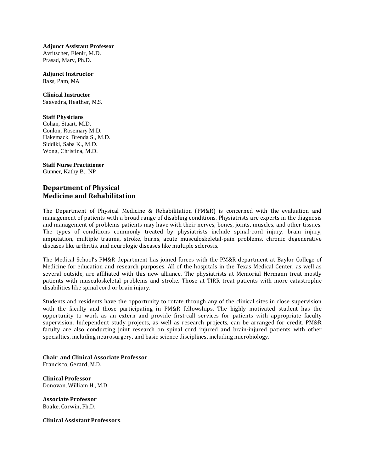**Adjunct Assistant Professor** Avritscher, Elenir, M.D. Prasad, Mary, Ph.D.

**Adjunct Instructor** Bass, Pam, MA

**Clinical Instructor** Saavedra, Heather, M.S.

## **Staff Physicians**

Cohan, Stuart, M.D. Conlon, Rosemary M.D. Hakemack, Brenda S., M.D. Siddiki, Saba K., M.D. Wong, Christina, M.D.

## **Staff Nurse Practitioner**

Gunner, Kathy B., NP

## **Department of Physical Medicine and Rehabilitation**

The Department of Physical Medicine & Rehabilitation (PM&R) is concerned with the evaluation and management of patients with a broad range of disabling conditions. Physiatrists are experts in the diagnosis and management of problems patients may have with their nerves, bones, joints, muscles, and other tissues. The types of conditions commonly treated by physiatrists include spinal-cord injury, brain injury, amputation, multiple trauma, stroke, burns, acute musculoskeletal-pain problems, chronic degenerative diseases like arthritis, and neurologic diseases like multiple sclerosis.

The Medical School's PM&R department has joined forces with the PM&R department at Baylor College of Medicine for education and research purposes. All of the hospitals in the Texas Medical Center, as well as several outside, are affiliated with this new alliance. The physiatrists at Memorial Hermann treat mostly patients with musculoskeletal problems and stroke. Those at TIRR treat patients with more catastrophic disabilities like spinal cord or brain injury.

Students and residents have the opportunity to rotate through any of the clinical sites in close supervision with the faculty and those participating in PM&R fellowships. The highly motivated student has the opportunity to work as an extern and provide first-call services for patients with appropriate faculty supervision. Independent study projects, as well as research projects, can be arranged for credit. PM&R faculty are also conducting joint research on spinal cord injured and brain-injured patients with other specialties, including neurosurgery, and basic science disciplines, including microbiology.

**Chair and Clinical Associate Professor** Francisco, Gerard, M.D.

**Clinical Professor**  Donovan, William H., M.D.

**Associate Professor** Boake, Corwin, Ph.D.

**Clinical Assistant Professors**.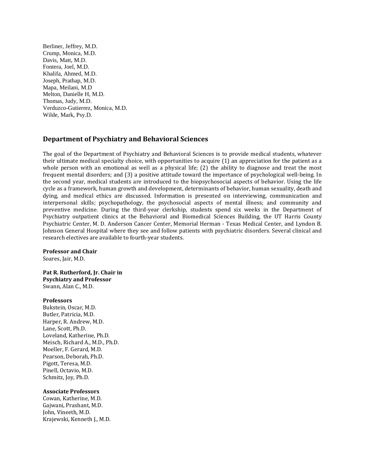Berliner, Jeffrey, M.D. Crump, Monica, M.D. Davis, Matt, M.D. Fontera, Joel, M.D. Khalifa, Ahmed, M.D. Joseph, Prathap, M.D. Mapa, Meilani, M.D Melton, Danielle H, M.D. Thomas, Judy, M.D. Verduzco-Gutierrez, Monica, M.D. Wilde, Mark, Psy.D.

## **Department of Psychiatry and Behavioral Sciences**

The goal of the Department of Psychiatry and Behavioral Sciences is to provide medical students, whatever their ultimate medical specialty choice, with opportunities to acquire (1) an appreciation for the patient as a whole person with an emotional as well as a physical life; (2) the ability to diagnose and treat the most frequent mental disorders; and (3) a positive attitude toward the importance of psychological well-being. In the second year, medical students are introduced to the biopsychosocial aspects of behavior. Using the life cycle as a framework, human growth and development, determinants of behavior, human sexuality, death and dying, and medical ethics are discussed. Information is presented on interviewing, communication and interpersonal skills; psychopathology, the psychosocial aspects of mental illness; and community and preventive medicine. During the third-year clerkship, students spend six weeks in the Department of Psychiatry outpatient clinics at the Behavioral and Biomedical Sciences Building, the UT Harris County Psychiatric Center, M. D. Anderson Cancer Center, Memorial Herman - Texas Medical Center, and Lyndon B. Johnson General Hospital where they see and follow patients with psychiatric disorders. Several clinical and research electives are available to fourth-year students.

**Professor and Chair** Soares, Jair, M.D.

**Pat R. Rutherford, Jr. Chair in Psychiatry and Professor** Swann, Alan C., M.D.

## **Professors**

Bukstein, Oscar, M.D. Butler, Patricia, M.D. Harper, R. Andrew, M.D. Lane, Scott, Ph.D. Loveland, Katherine, Ph.D. Meisch, Richard A., M.D., Ph.D. Moeller, F. Gerard, M.D. Pearson, Deborah, Ph.D. Pigott, Teresa, M.D. Pinell, Octavio, M.D. Schmitz, Joy, Ph.D.

## **Associate Professors**

Cowan, Katherine, M.D. Gajwani, Prashant, M.D. John, Vineeth, M.D. Krajewski, Kenneth J., M.D.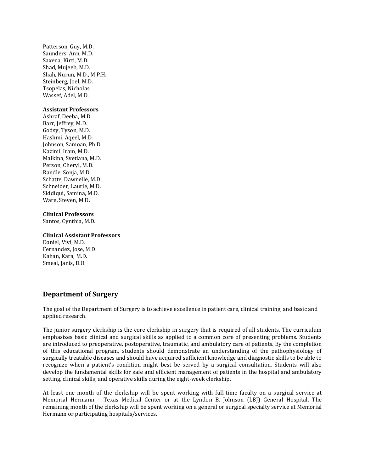Patterson, Guy, M.D. Saunders, Ann, M.D. Saxena, Kirti, M.D. Shad, Mujeeb, M.D. Shah, Nurun, M.D., M.P.H. Steinberg, Joel, M.D. Tsopelas, Nicholas Wassef, Adel, M.D.

## **Assistant Professors**

Ashraf, Deeba, M.D. Barr, Jeffrey, M.D. Godsy, Tyson, M.D. Hashmi, Aqeel, M.D. Johnson, Samoan, Ph.D. Kazimi, Iram, M.D. Malkina, Svetlana, M.D. Person, Cheryl, M.D. Randle, Sonja, M.D. Schatte, Dawnelle, M.D. Schneider, Laurie, M.D. Siddiqui, Samina, M.D. Ware, Steven, M.D.

## **Clinical Professors**

Santos, Cynthia, M.D.

## **Clinical Assistant Professors**

Daniel, Vivi, M.D. Fernandez, Jose, M.D. Kahan, Kara, M.D. Smeal, Janis, D.O.

## **Department of Surgery**

The goal of the Department of Surgery is to achieve excellence in patient care, clinical training, and basic and applied research.

The junior surgery clerkship is the core clerkship in surgery that is required of all students. The curriculum emphasizes basic clinical and surgical skills as applied to a common core of presenting problems. Students are introduced to preoperative, postoperative, traumatic, and ambulatory care of patients. By the completion of this educational program, students should demonstrate an understanding of the pathophysiology of surgically treatable diseases and should have acquired sufficient knowledge and diagnostic skills to be able to recognize when a patient's condition might best be served by a surgical consultation. Students will also develop the fundamental skills for safe and efficient management of patients in the hospital and ambulatory setting, clinical skills, and operative skills during the eight-week clerkship.

At least one month of the clerkship will be spent working with full-time faculty on a surgical service at Memorial Hermann – Texas Medical Center or at the Lyndon B. Johnson (LBJ) General Hospital. The remaining month of the clerkship will be spent working on a general or surgical specialty service at Memorial Hermann or participating hospitals/services.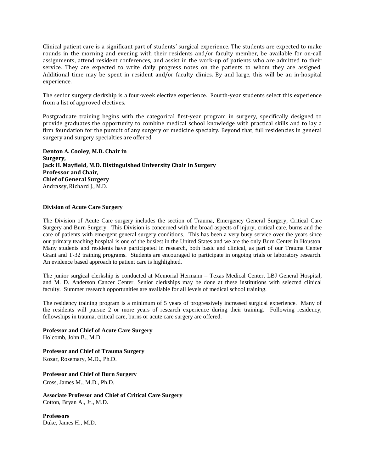Clinical patient care is a significant part of students' surgical experience. The students are expected to make rounds in the morning and evening with their residents and/or faculty member, be available for on-call assignments, attend resident conferences, and assist in the work-up of patients who are admitted to their service. They are expected to write daily progress notes on the patients to whom they are assigned. Additional time may be spent in resident and/or faculty clinics. By and large, this will be an in-hospital experience.

The senior surgery clerkship is a four-week elective experience. Fourth-year students select this experience from a list of approved electives.

Postgraduate training begins with the categorical first-year program in surgery, specifically designed to provide graduates the opportunity to combine medical school knowledge with practical skills and to lay a firm foundation for the pursuit of any surgery or medicine specialty. Beyond that, full residencies in general surgery and surgery specialties are offered.

**Denton A. Cooley, M.D. Chair in Surgery, Jack H. Mayfield, M.D. Distinguished University Chair in Surgery Professor and Chair, Chief of General Surgery** Andrassy, Richard J., M.D.

## **Division of Acute Care Surgery**

The Division of Acute Care surgery includes the section of Trauma, Emergency General Surgery, Critical Care Surgery and Burn Surgery. This Division is concerned with the broad aspects of injury, critical care, burns and the care of patients with emergent general surgery conditions. This has been a very busy service over the years since our primary teaching hospital is one of the busiest in the United States and we are the only Burn Center in Houston. Many students and residents have participated in research, both basic and clinical, as part of our Trauma Center Grant and T-32 training programs. Students are encouraged to participate in ongoing trials or laboratory research. An evidence based approach to patient care is highlighted.

The junior surgical clerkship is conducted at Memorial Hermann – Texas Medical Center, LBJ General Hospital, and M. D. Anderson Cancer Center. Senior clerkships may be done at these institutions with selected clinical faculty. Summer research opportunities are available for all levels of medical school training.

The residency training program is a minimum of 5 years of progressively increased surgical experience. Many of the residents will pursue 2 or more years of research experience during their training. Following residency, fellowships in trauma, critical care, burns or acute care surgery are offered.

**Professor and Chief of Acute Care Surgery** Holcomb, John B., M.D.

**Professor and Chief of Trauma Surgery** Kozar, Rosemary, M.D., Ph.D.

**Professor and Chief of Burn Surgery** Cross, James M., M.D., Ph.D.

**Associate Professor and Chief of Critical Care Surgery** Cotton, Bryan A., Jr., M.D.

**Professors** Duke, James H., M.D.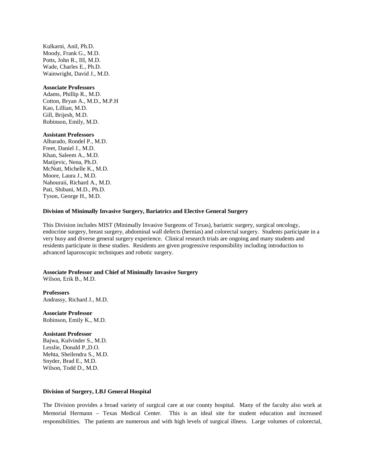Kulkarni, Anil, Ph.D. Moody, Frank G., M.D. Potts, John R., III, M.D. Wade, Charles E., Ph.D. Wainwright, David J., M.D.

#### **Associate Professors**

Adams, Phillip R., M.D. Cotton, Bryan A., M.D., M.P.H Kao, Lillian, M.D. Gill, Brijesh, M.D. Robinson, Emily, M.D.

### **Assistant Professors**

Albarado, Rondel P., M.D. Freet, Daniel J., M.D. Khan, Saleem A., M.D. Matijevic, Nena, Ph.D. McNutt, Michelle K., M.D. Moore, Laura J., M.D. Nahouraii, Richard A., M.D. Pati, Shibani, M.D., Ph.D. Tyson, George H., M.D.

## **Division of Minimally Invasive Surgery, Bariatrics and Elective General Surgery**

This Division includes MIST (Minimally Invasive Surgeons of Texas), bariatric surgery, surgical oncology, endocrine surgery, breast surgery, abdominal wall defects (hernias) and colorectal surgery. Students participate in a very busy and diverse general surgery experience. Clinical research trials are ongoing and many students and residents participate in these studies. Residents are given progressive responsibility including introduction to advanced laparoscopic techniques and robotic surgery.

## **Associate Professor and Chief of Minimally Invasive Surgery**

Wilson, Erik B., M.D.

**Professors** Andrassy, Richard J., M.D.

**Associate Professor** Robinson, Emily K., M.D.

#### **Assistant Professor**

Bajwa, Kulvinder S., M.D. Lesslie, Donald P.,D.O. Mehta, Sheilendra S., M.D. Snyder, Brad E., M.D. Wilson, Todd D., M.D.

#### **Division of Surgery, LBJ General Hospital**

The Division provides a broad variety of surgical care at our county hospital. Many of the faculty also work at Memorial Hermann – Texas Medical Center. This is an ideal site for student education and increased responsibilities. The patients are numerous and with high levels of surgical illness. Large volumes of colorectal,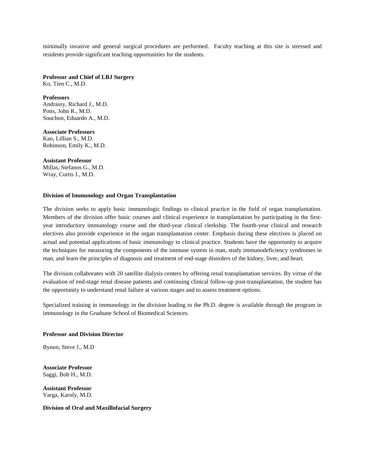minimally invasive and general surgical procedures are performed. Faculty teaching at this site is stressed and residents provide significant teaching opportunities for the students.

**Professor and Chief of LBJ Surgery**

Ko, Tien C., M.D.

**Professors** Andrassy, Richard J., M.D. Potts, John R., M.D. Souchon, Eduardo A., M.D.

**Associate Professors** Kao, Lillian S., M.D. Robinson, Emily K., M.D.

## **Assistant Professor**

Millas, Stefanos G., M.D. Wray, Curtis J., M.D.

## **Division of Immunology and Organ Transplantation**

The division seeks to apply basic immunologic findings to clinical practice in the field of organ transplantation. Members of the division offer basic courses and clinical experience in transplantation by participating in the firstyear introductory immunology course and the third-year clinical clerkship. The fourth-year clinical and research electives also provide experience in the organ transplantation center. Emphasis during these electives is placed on actual and potential applications of basic immunology to clinical practice. Students have the opportunity to acquire the techniques for measuring the components of the immune system in man, study immunodeficiency syndromes in man, and learn the principles of diagnosis and treatment of end-stage disorders of the kidney, liver, and heart.

The division collaborates with 20 satellite dialysis centers by offering renal transplantation services. By virtue of the evaluation of end-stage renal disease patients and continuing clinical follow-up post-transplantation, the student has the opportunity to understand renal failure at various stages and to assess treatment options.

Specialized training in immunology in the division leading to the Ph.D. degree is available through the program in immunology in the Graduate School of Biomedical Sciences.

## **Professor and Division Director**

Bynon, Steve J., M.D

**Associate Professor** Saggi, Bob H., M.D.

**Assistant Professor** Varga, Karoly, M.D.

**Division of Oral and Maxillofacial Surgery**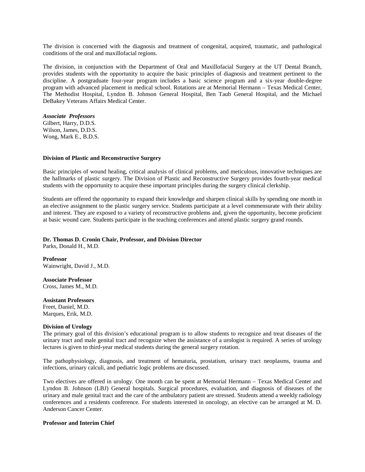The division is concerned with the diagnosis and treatment of congenital, acquired, traumatic, and pathological conditions of the oral and maxillofacial regions.

The division, in conjunction with the Department of Oral and Maxillofacial Surgery at the UT Dental Branch, provides students with the opportunity to acquire the basic principles of diagnosis and treatment pertinent to the discipline. A postgraduate four-year program includes a basic science program and a six-year double-degree program with advanced placement in medical school. Rotations are at Memorial Hermann – Texas Medical Center, The Methodist Hospital, Lyndon B. Johnson General Hospital, Ben Taub General Hospital, and the Michael DeBakey Veterans Affairs Medical Center.

*Associate Professors* Gilbert, Harry, D.D.S. Wilson, James, D.D.S. Wong, Mark E., B.D.S.

### **Division of Plastic and Reconstructive Surgery**

Basic principles of wound healing, critical analysis of clinical problems, and meticulous, innovative techniques are the hallmarks of plastic surgery. The Division of Plastic and Reconstructive Surgery provides fourth-year medical students with the opportunity to acquire these important principles during the surgery clinical clerkship.

Students are offered the opportunity to expand their knowledge and sharpen clinical skills by spending one month in an elective assignment to the plastic surgery service. Students participate at a level commensurate with their ability and interest. They are exposed to a variety of reconstructive problems and, given the opportunity, become proficient at basic wound care. Students participate in the teaching conferences and attend plastic surgery grand rounds.

## **Dr. Thomas D. Cronin Chair, Professor, and Division Director**

Parks, Donald H., M.D.

**Professor** Wainwright, David J., M.D.

**Associate Professor**

Cross, James M., M.D.

#### **Assistant Professors**

Freet, Daniel, M.D. Marques, Erik, M.D.

#### **Division of Urology**

The primary goal of this division's educational program is to allow students to recognize and treat diseases of the urinary tract and male genital tract and recognize when the assistance of a urologist is required. A series of urology lectures is given to third-year medical students during the general surgery rotation.

The pathophysiology, diagnosis, and treatment of hematuria, prostatism, urinary tract neoplasms, trauma and infections, urinary calculi, and pediatric logic problems are discussed.

Two electives are offered in urology. One month can be spent at Memorial Hermann – Texas Medical Center and Lyndon B. Johnson (LBJ) General hospitals. Surgical procedures, evaluation, and diagnosis of diseases of the urinary and male genital tract and the care of the ambulatory patient are stressed. Students attend a weekly radiology conferences and a residents conference. For students interested in oncology, an elective can be arranged at M. D. Anderson Cancer Center.

## **Professor and Interim Chief**